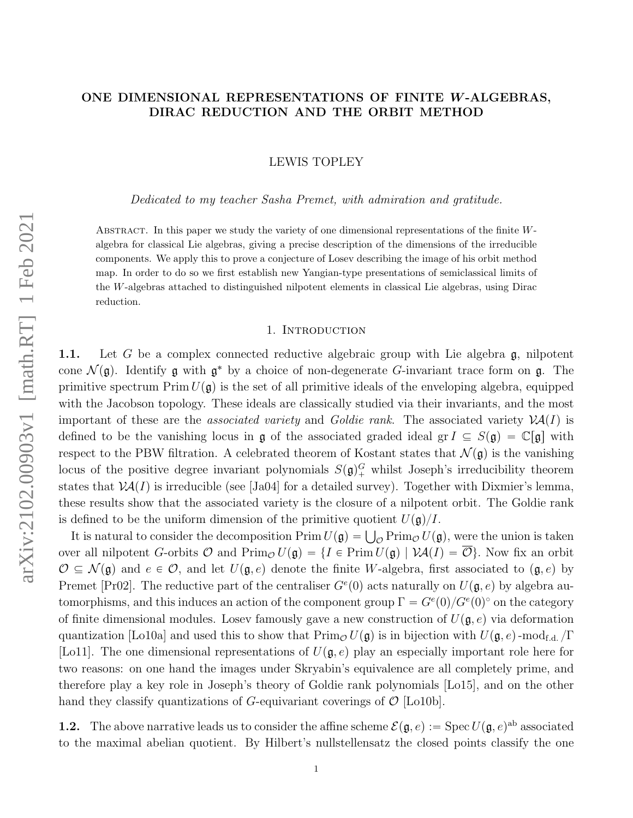# <span id="page-0-0"></span>ONE DIMENSIONAL REPRESENTATIONS OF FINITE W-ALGEBRAS, DIRAC REDUCTION AND THE ORBIT METHOD

LEWIS TOPLEY

Dedicated to my teacher Sasha Premet, with admiration and gratitude.

Abstract. In this paper we study the variety of one dimensional representations of the finite Walgebra for classical Lie algebras, giving a precise description of the dimensions of the irreducible components. We apply this to prove a conjecture of Losev describing the image of his orbit method map. In order to do so we first establish new Yangian-type presentations of semiclassical limits of the W-algebras attached to distinguished nilpotent elements in classical Lie algebras, using Dirac reduction.

# 1. INTRODUCTION

<span id="page-0-1"></span>**1.1.** Let G be a complex connected reductive algebraic group with Lie algebra  $\mathfrak{g}$ , nilpotent cone  $\mathcal{N}(\mathfrak{g})$ . Identify  $\mathfrak{g}$  with  $\mathfrak{g}^*$  by a choice of non-degenerate G-invariant trace form on  $\mathfrak{g}$ . The primitive spectrum  $\text{Prim } U(\mathfrak{g})$  is the set of all primitive ideals of the enveloping algebra, equipped with the Jacobson topology. These ideals are classically studied via their invariants, and the most important of these are the *associated variety* and *Goldie rank*. The associated variety  $\mathcal{V}A(I)$  is defined to be the vanishing locus in g of the associated graded ideal gr  $I \subseteq S(\mathfrak{g}) = \mathbb{C}[\mathfrak{g}]$  with respect to the PBW filtration. A celebrated theorem of Kostant states that  $\mathcal{N}(\mathfrak{g})$  is the vanishing locus of the positive degree invariant polynomials  $S(\mathfrak{g})^G_+$  whilst Joseph's irreducibility theorem states that  $\mathcal{V}A(I)$  is irreducible (see [\[Ja04\]](#page-49-0) for a detailed survey). Together with Dixmier's lemma, these results show that the associated variety is the closure of a nilpotent orbit. The Goldie rank is defined to be the uniform dimension of the primitive quotient  $U(\mathfrak{g})/I$ .

defined to be the uniform dimension of the primitive quotient  $U(\mathfrak{g})/I$ .<br>It is natural to consider the decomposition  $\text{Prim}\,U(\mathfrak{g})=\bigcup_{\mathcal{O}}\text{Prim}_{\mathcal{O}}U(\mathfrak{g}),$  were the union is taken over all nilpotent G-orbits  $\mathcal O$  and  $\text{Prim}_{\mathcal O} U(\mathfrak{g}) = \{I \in \text{Prim}\ U(\mathfrak{g}) \mid \mathcal VA(I) = \overline{\mathcal O}\}.$  Now fix an orbit  $\mathcal{O} \subseteq \mathcal{N}(\mathfrak{g})$  and  $e \in \mathcal{O}$ , and let  $U(\mathfrak{g}, e)$  denote the finite W-algebra, first associated to  $(\mathfrak{g}, e)$  by Premet [\[Pr02\]](#page-50-0). The reductive part of the centraliser  $G^{e}(0)$  acts naturally on  $U(\mathfrak{g}, e)$  by algebra automorphisms, and this induces an action of the component group  $\Gamma = G^e(0)/G^e(0)^\circ$  on the category of finite dimensional modules. Losey famously gave a new construction of  $U(\mathfrak{g},e)$  via deformation quantization [\[Lo10a\]](#page-50-1) and used this to show that  $\text{Prim}_{\mathcal{O}} U(\mathfrak{g})$  is in bijection with  $U(\mathfrak{g}, e)$ -mod<sub>f.d.</sub>  $\Gamma$ [\[Lo11\]](#page-50-2). The one dimensional representations of  $U(\mathfrak{g}, e)$  play an especially important role here for two reasons: on one hand the images under Skryabin's equivalence are all completely prime, and therefore play a key role in Joseph's theory of Goldie rank polynomials [\[Lo15\]](#page-50-3), and on the other hand they classify quantizations of G-equivariant coverings of  $\mathcal{O}$  [\[Lo10b\]](#page-50-4).

**1.2.** The above narrative leads us to consider the affine scheme  $\mathcal{E}(\mathfrak{g},e) := \text{Spec } U(\mathfrak{g},e)^{ab}$  associated to the maximal abelian quotient. By Hilbert's nullstellensatz the closed points classify the one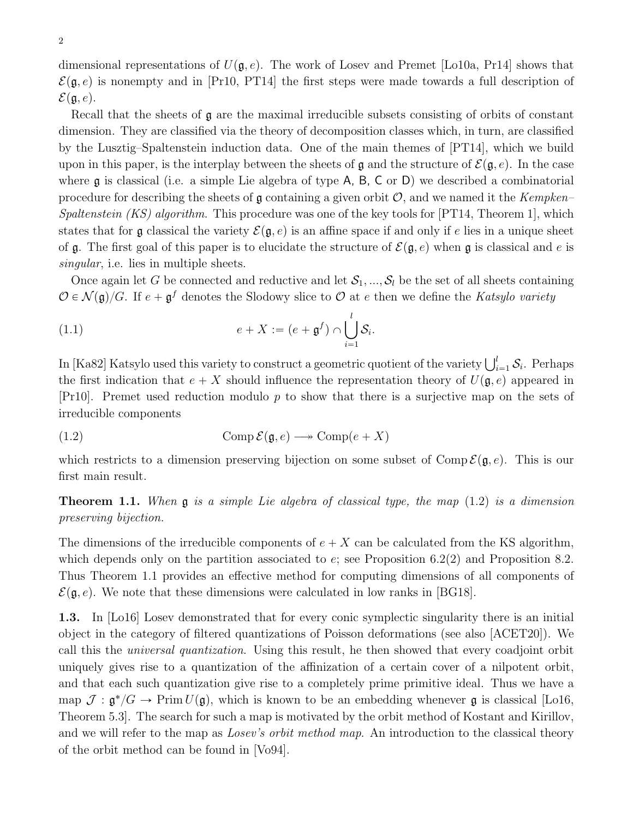dimensional representations of  $U(\mathfrak{g},e)$ . The work of Losev and Premet [\[Lo10a,](#page-50-1) [Pr14\]](#page-50-5) shows that  $\mathcal{E}(\mathfrak{g}, e)$  is nonempty and in [\[Pr10,](#page-50-6) [PT14\]](#page-50-7) the first steps were made towards a full description of  $\mathcal{E}(\mathfrak{g}, e)$ .

Recall that the sheets of  $\mathfrak g$  are the maximal irreducible subsets consisting of orbits of constant dimension. They are classified via the theory of decomposition classes which, in turn, are classified by the Lusztig–Spaltenstein induction data. One of the main themes of [\[PT14\]](#page-50-7), which we build upon in this paper, is the interplay between the sheets of g and the structure of  $\mathcal{E}(\mathfrak{g}, e)$ . In the case where **g** is classical (i.e. a simple Lie algebra of type A, B, C or D) we described a combinatorial procedure for describing the sheets of  $\mathfrak g$  containing a given orbit  $\mathcal O$ , and we named it the Kempken– Spaltenstein (KS) algorithm. This procedure was one of the key tools for  $[PT14, Theorem 1]$ , which states that for g classical the variety  $\mathcal{E}(\mathfrak{g}, e)$  is an affine space if and only if e lies in a unique sheet of g. The first goal of this paper is to elucidate the structure of  $\mathcal{E}(\mathfrak{g}, e)$  when g is classical and e is singular, i.e. lies in multiple sheets.

Once again let G be connected and reductive and let  $S_1, ..., S_l$  be the set of all sheets containing  $\mathcal{O} \in \mathcal{N}(\mathfrak{g})/G$ . If  $e + \mathfrak{g}^f$  denotes the Slodowy slice to  $\mathcal O$  at e then we define the Katsylo variety

(1.1) 
$$
e + X := (e + \mathfrak{g}^f) \cap \bigcup_{i=1}^l \mathcal{S}_i.
$$

In [\[Ka82\]](#page-50-8) Katsylo used this variety to construct a geometric quotient of the variety  $\bigcup_{i=1}^{l} S_i$ . Perhaps the first indication that  $e + X$  should influence the representation theory of  $U(\mathfrak{g}, e)$  appeared in [\[Pr10\]](#page-50-6). Premet used reduction modulo p to show that there is a surjective map on the sets of irreducible components

<span id="page-1-0"></span>(1.2) 
$$
\text{Comp}\,\mathcal{E}(\mathfrak{g},e)\longrightarrow\text{Comp}(e+X)
$$

which restricts to a dimension preserving bijection on some subset of Comp  $\mathcal{E}(\mathfrak{g}, e)$ . This is our first main result.

<span id="page-1-1"></span>**Theorem 1.1.** When  $\mathfrak{g}$  is a simple Lie algebra of classical type, the map  $(1.2)$  is a dimension preserving bijection.

The dimensions of the irreducible components of  $e + X$  can be calculated from the KS algorithm, which depends only on the partition associated to  $e$ ; see Proposition [6.2\(](#page-0-0)2) and Proposition [8.2.](#page-37-0) Thus Theorem [1.1](#page-1-1) provides an effective method for computing dimensions of all components of  $\mathcal{E}(\mathfrak{g}, e)$ . We note that these dimensions were calculated in low ranks in [\[BG18\]](#page-49-1).

1.3. In [\[Lo16\]](#page-50-9) Losev demonstrated that for every conic symplectic singularity there is an initial object in the category of filtered quantizations of Poisson deformations (see also [\[ACET20\]](#page-49-2)). We call this the universal quantization. Using this result, he then showed that every coadjoint orbit uniquely gives rise to a quantization of the affinization of a certain cover of a nilpotent orbit, and that each such quantization give rise to a completely prime primitive ideal. Thus we have a map  $\mathcal{J}: \mathfrak{g}^*/G \to \text{Prim } U(\mathfrak{g})$ , which is known to be an embedding whenever  $\mathfrak{g}$  is classical [\[Lo16,](#page-50-9) Theorem 5.3]. The search for such a map is motivated by the orbit method of Kostant and Kirillov, and we will refer to the map as *Losev's orbit method map*. An introduction to the classical theory of the orbit method can be found in [\[Vo94\]](#page-50-10).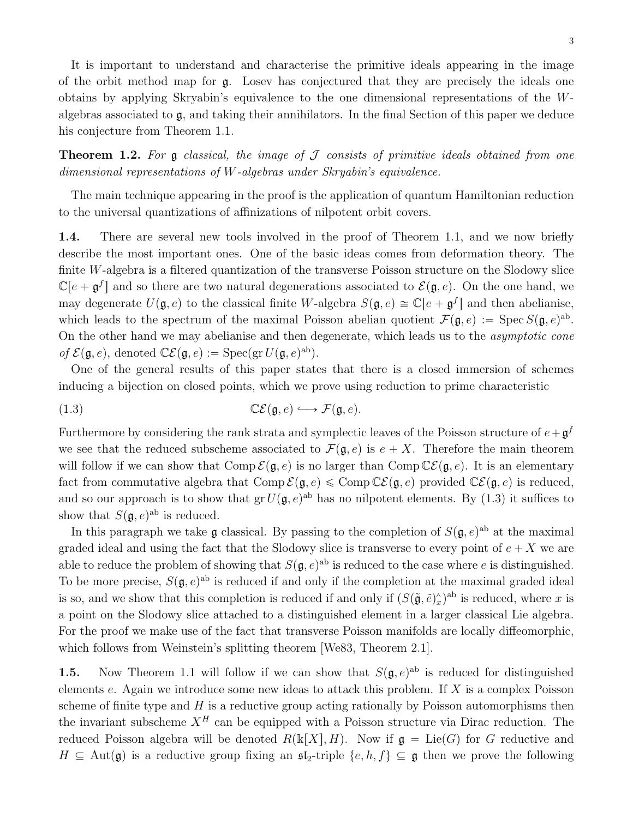It is important to understand and characterise the primitive ideals appearing in the image of the orbit method map for g. Losev has conjectured that they are precisely the ideals one obtains by applying Skryabin's equivalence to the one dimensional representations of the Walgebras associated to  $\mathfrak{g}$ , and taking their annihilators. In the final Section of this paper we deduce his conjecture from Theorem [1.1.](#page-1-1)

<span id="page-2-1"></span>**Theorem 1.2.** For  $\mathfrak g$  classical, the image of  $\mathcal J$  consists of primitive ideals obtained from one dimensional representations of W-algebras under Skryabin's equivalence.

The main technique appearing in the proof is the application of quantum Hamiltonian reduction to the universal quantizations of affinizations of nilpotent orbit covers.

1.4. There are several new tools involved in the proof of Theorem [1.1,](#page-1-1) and we now briefly describe the most important ones. One of the basic ideas comes from deformation theory. The finite  $W$ -algebra is a filtered quantization of the transverse Poisson structure on the Slodowy slice  $\mathbb{C}[e + \mathfrak{g}^f]$  and so there are two natural degenerations associated to  $\mathcal{E}(\mathfrak{g}, e)$ . On the one hand, we may degenerate  $U(\mathfrak{g}, e)$  to the classical finite W-algebra  $S(\mathfrak{g}, e) \cong \mathbb{C}[e + \mathfrak{g}^f]$  and then abelianise, which leads to the spectrum of the maximal Poisson abelian quotient  $\mathcal{F}(\mathfrak{g}, e) := \text{Spec } S(\mathfrak{g}, e)^{ab}$ . On the other hand we may abelianise and then degenerate, which leads us to the asymptotic cone of  $\mathcal{E}(\mathfrak{g}, e)$ , denoted  $\mathbb{C}\mathcal{E}(\mathfrak{g}, e) := \text{Spec}(\text{gr } U(\mathfrak{g}, e)^{\text{ab}})$ .

One of the general results of this paper states that there is a closed immersion of schemes inducing a bijection on closed points, which we prove using reduction to prime characteristic

<span id="page-2-0"></span>(1.3) 
$$
\mathbb{C}\mathcal{E}(\mathfrak{g},e) \hookrightarrow \mathcal{F}(\mathfrak{g},e).
$$

Furthermore by considering the rank strata and symplectic leaves of the Poisson structure of  $e + \mathfrak{g}^f$ we see that the reduced subscheme associated to  $\mathcal{F}(\mathfrak{g}, e)$  is  $e + X$ . Therefore the main theorem will follow if we can show that  $\text{Comp }\mathcal{E}(\mathfrak{g}, e)$  is no larger than  $\text{Comp }\mathbb{C}\mathcal{E}(\mathfrak{g}, e)$ . It is an elementary fact from commutative algebra that  $\text{Comp }\mathcal{E}(\mathfrak{g}, e) \leq \text{Comp }\mathbb{C}\mathcal{E}(\mathfrak{g}, e)$  provided  $\mathbb{C}\mathcal{E}(\mathfrak{g}, e)$  is reduced, and so our approach is to show that  $gr U(\mathfrak{g}, e)^{ab}$  has no nilpotent elements. By [\(1.3\)](#page-2-0) it suffices to show that  $S(\mathfrak{g}, e)^{ab}$  is reduced.

In this paragraph we take  $\mathfrak g$  classical. By passing to the completion of  $S(\mathfrak g, e)^{ab}$  at the maximal graded ideal and using the fact that the Slodowy slice is transverse to every point of  $e + X$  we are able to reduce the problem of showing that  $S(\mathfrak{g}, e)^{ab}$  is reduced to the case where e is distinguished. To be more precise,  $S(\mathfrak{g}, e)^{ab}$  is reduced if and only if the completion at the maximal graded ideal is so, and we show that this completion is reduced if and only if  $(S(\tilde{\mathfrak{g}}, \tilde{e})_x^{\wedge})^{\text{ab}}$  is reduced, where x is a point on the Slodowy slice attached to a distinguished element in a larger classical Lie algebra. For the proof we make use of the fact that transverse Poisson manifolds are locally diffeomorphic, which follows from Weinstein's splitting theorem [\[We83,](#page-50-11) Theorem 2.1].

**1.5.** Now Theorem [1.1](#page-1-1) will follow if we can show that  $S(\mathfrak{g}, e)^{ab}$  is reduced for distinguished elements  $e$ . Again we introduce some new ideas to attack this problem. If  $X$  is a complex Poisson scheme of finite type and  $H$  is a reductive group acting rationally by Poisson automorphisms then the invariant subscheme  $X^H$  can be equipped with a Poisson structure via Dirac reduction. The reduced Poisson algebra will be denoted  $R(k[X], H)$ . Now if  $\mathfrak{g} = \text{Lie}(G)$  for G reductive and  $H \subseteq \text{Aut}(\mathfrak{g})$  is a reductive group fixing an  $\mathfrak{sl}_2$ -triple  $\{e, h, f\} \subseteq \mathfrak{g}$  then we prove the following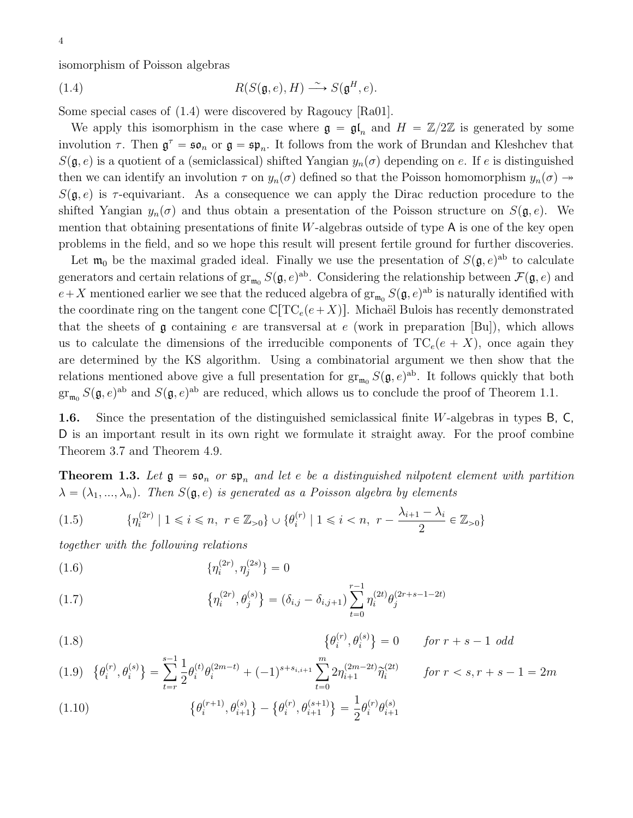isomorphism of Poisson algebras

<span id="page-3-0"></span>(1.4) 
$$
R(S(\mathfrak{g},e),H)\xrightarrow{\sim}S(\mathfrak{g}^H,e).
$$

Some special cases of [\(1.4\)](#page-3-0) were discovered by Ragoucy [\[Ra01\]](#page-50-12).

We apply this isomorphism in the case where  $\mathfrak{g} = \mathfrak{gl}_n$  and  $H = \mathbb{Z}/2\mathbb{Z}$  is generated by some involution  $\tau$ . Then  $\mathfrak{g}^{\tau} = \mathfrak{so}_n$  or  $\mathfrak{g} = \mathfrak{sp}_n$ . It follows from the work of Brundan and Kleshchev that  $S(\mathfrak{g}, e)$  is a quotient of a (semiclassical) shifted Yangian  $y_n(\sigma)$  depending on e. If e is distinguished then we can identify an involution  $\tau$  on  $y_n(\sigma)$  defined so that the Poisson homomorphism  $y_n(\sigma) \rightarrow$  $S(\mathfrak{g}, e)$  is  $\tau$ -equivariant. As a consequence we can apply the Dirac reduction procedure to the shifted Yangian  $y_n(\sigma)$  and thus obtain a presentation of the Poisson structure on  $S(\mathfrak{g}, e)$ . We mention that obtaining presentations of finite  $W$ -algebras outside of type  $A$  is one of the key open problems in the field, and so we hope this result will present fertile ground for further discoveries.

Let  $\mathfrak{m}_0$  be the maximal graded ideal. Finally we use the presentation of  $S(\mathfrak{g}, e)^{ab}$  to calculate generators and certain relations of  $\operatorname{gr}_{\mathfrak{m}_0} S(\mathfrak{g}, e)^{ab}$ . Considering the relationship between  $\mathcal{F}(\mathfrak{g}, e)$  and  $e+X$  mentioned earlier we see that the reduced algebra of  $\operatorname{gr}_{\mathfrak{m}_0} S(\mathfrak{g}, e)^{\text{ab}}$  is naturally identified with the coordinate ring on the tangent cone  $\mathbb{C}[TC_e(e+X)]$ . Michaël Bulois has recently demonstrated that the sheets of  $\mathfrak g$  containing e are transversal at e (work in preparation [\[Bu\]](#page-49-3)), which allows us to calculate the dimensions of the irreducible components of  $TC_e(e + X)$ , once again they are determined by the KS algorithm. Using a combinatorial argument we then show that the relations mentioned above give a full presentation for  $\operatorname{gr}_{\mathfrak{m}_0}S(\mathfrak{g},e)^{ab}$ . It follows quickly that both  $\operatorname{gr}_{\mathfrak{m}_0} S(\mathfrak{g}, e)^{\text{ab}}$  and  $S(\mathfrak{g}, e)^{\text{ab}}$  are reduced, which allows us to conclude the proof of Theorem [1.1.](#page-1-1)

**1.6.** Since the presentation of the distinguished semiclassical finite W-algebras in types  $B$ ,  $C$ , D is an important result in its own right we formulate it straight away. For the proof combine Theorem [3.7](#page-19-0) and Theorem [4.9.](#page-27-0)

**Theorem 1.3.** Let  $\mathfrak{g} = \mathfrak{so}_n$  or  $\mathfrak{sp}_n$  and let e be a distinguished nilpotent element with partition  $\lambda = (\lambda_1, ..., \lambda_n)$ . Then  $S(\mathfrak{g}, e)$  is generated as a Poisson algebra by elements

$$
(1.5) \qquad \{\eta_i^{(2r)} \mid 1 \le i \le n, \ r \in \mathbb{Z}_{>0}\} \cup \{\theta_i^{(r)} \mid 1 \le i < n, \ r - \frac{\lambda_{i+1} - \lambda_i}{2} \in \mathbb{Z}_{>0}\}
$$

together with the following relations

(1.6) 
$$
\{\eta_i^{(2r)}, \eta_j^{(2s)}\} = 0
$$

(1.7) 
$$
\{\eta_i^{(2r)}, \theta_j^{(s)}\} = (\delta_{i,j} - \delta_{i,j+1}) \sum_{t=0}^{r-1} \eta_i^{(2t)} \theta_j^{(2r+s-1-2t)}
$$

(1.8) 
$$
\{\theta_i^{(r)}, \theta_i^{(s)}\} = 0 \quad \text{for } r+s-1 \text{ odd}
$$

$$
(1.9) \quad \{\theta_i^{(r)}, \theta_i^{(s)}\} = \sum_{t=r}^{s-1} \frac{1}{2} \theta_i^{(t)} \theta_i^{(2m-t)} + (-1)^{s+s_{i,i+1}} \sum_{t=0}^m 2\eta_{i+1}^{(2m-2t)} \widetilde{\eta}_i^{(2t)} \qquad \text{for } r < s, r+s-1 = 2m
$$
\n
$$
(1.10) \qquad \qquad \{\theta_i^{(r+1)}, \theta_{i+1}^{(s)}\} - \{\theta_i^{(r)}, \theta_{i+1}^{(s+1)}\} = \frac{1}{2} \theta_i^{(r)} \theta_{i+1}^{(s)}
$$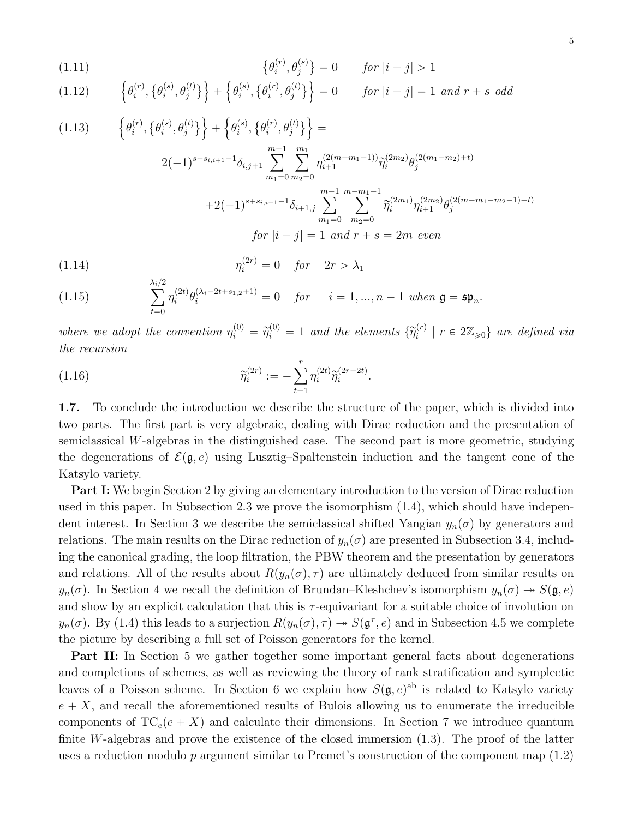(1.11) 
$$
\{\theta_i^{(r)}, \theta_j^{(s)}\} = 0 \quad \text{for } |i - j| > 1
$$

(1.12) 
$$
\left\{\theta_i^{(r)}, \left\{\theta_i^{(s)}, \theta_j^{(t)}\right\}\right\} + \left\{\theta_i^{(s)}, \left\{\theta_i^{(r)}, \theta_j^{(t)}\right\}\right\} = 0 \quad \text{for } |i - j| = 1 \text{ and } r + s \text{ odd}
$$

$$
(1.13) \qquad \left\{\theta_i^{(r)}, \{\theta_i^{(s)}, \theta_j^{(t)}\}\right\} + \left\{\theta_i^{(s)}, \{\theta_i^{(r)}, \theta_j^{(t)}\}\right\} =
$$
\n
$$
2(-1)^{s+s_{i,i+1}-1} \delta_{i,j+1} \sum_{m_1=0}^{m-1} \sum_{m_2=0}^{m_1} \eta_{i+1}^{(2(m-m_1-1))} \widetilde{\eta}_i^{(2m_2)} \theta_j^{(2(m_1-m_2)+t)}
$$
\n
$$
+2(-1)^{s+s_{i,i+1}-1} \delta_{i+1,j} \sum_{m_1=0}^{m-1} \sum_{m_2=0}^{m-m_1-1} \widetilde{\eta}_i^{(2m_1)} \eta_{i+1}^{(2m_2)} \theta_j^{(2(m-m_1-m_2-1)+t)}
$$
\n
$$
for \ |i-j|=1 \ and \ r+s=2m \ even
$$

(1.14) 
$$
\eta_i^{(2r)} = 0 \quad \text{for} \quad 2r > \lambda_1
$$

(1.15) 
$$
\sum_{t=0}^{\lambda_i/2} \eta_i^{(2t)} \theta_i^{(\lambda_i - 2t + s_{1,2} + 1)} = 0 \quad \text{for} \quad i = 1, ..., n-1 \text{ when } \mathfrak{g} = \mathfrak{sp}_n.
$$

where we adopt the convention  $\eta_i^{(0)} = \tilde{\eta}_i^{(0)} = 1$  and the elements  $\{\tilde{\eta}_i^{(r)}\}$  $i^{(r)}$  |  $r \in 2\mathbb{Z}_{\geqslant 0}$ } are defined via the recursion

(1.16) 
$$
\widetilde{\eta}_i^{(2r)} := -\sum_{t=1}^r \eta_i^{(2t)} \widetilde{\eta}_i^{(2r-2t)}.
$$

1.7. To conclude the introduction we describe the structure of the paper, which is divided into two parts. The first part is very algebraic, dealing with Dirac reduction and the presentation of semiclassical W-algebras in the distinguished case. The second part is more geometric, studying the degenerations of  $\mathcal{E}(\mathfrak{g}, e)$  using Lusztig–Spaltenstein induction and the tangent cone of the Katsylo variety.

**Part I:** We begin Section [2](#page-7-0) by giving an elementary introduction to the version of Dirac reduction used in this paper. In Subsection [2.3](#page-9-0) we prove the isomorphism [\(1.4\)](#page-3-0), which should have indepen-dent interest. In Section [3](#page-12-0) we describe the semiclassical shifted Yangian  $y_n(\sigma)$  by generators and relations. The main results on the Dirac reduction of  $y_n(\sigma)$  are presented in Subsection [3.4,](#page-18-0) including the canonical grading, the loop filtration, the PBW theorem and the presentation by generators and relations. All of the results about  $R(y_n(\sigma), \tau)$  are ultimately deduced from similar results on  $y_n(\sigma)$ . In Section [4](#page-22-0) we recall the definition of Brundan–Kleshchev's isomorphism  $y_n(\sigma) \to S(\mathfrak{g}, e)$ and show by an explicit calculation that this is  $\tau$ -equivariant for a suitable choice of involution on  $y_n(\sigma)$ . By [\(1.4\)](#page-3-0) this leads to a surjection  $R(y_n(\sigma), \tau) \to S(\mathfrak{g}^{\tau}, e)$  and in Subsection [4.5](#page-26-0) we complete the picture by describing a full set of Poisson generators for the kernel.

Part II: In Section [5](#page-28-0) we gather together some important general facts about degenerations and completions of schemes, as well as reviewing the theory of rank stratification and symplectic leaves of a Poisson scheme. In Section [6](#page-31-0) we explain how  $S(\mathfrak{g}, e)^{ab}$  is related to Katsylo variety  $e + X$ , and recall the aforementioned results of Bulois allowing us to enumerate the irreducible components of  $TC_e(e + X)$  and calculate their dimensions. In Section [7](#page-33-0) we introduce quantum finite W-algebras and prove the existence of the closed immersion  $(1.3)$ . The proof of the latter uses a reduction modulo  $p$  argument similar to Premet's construction of the component map  $(1.2)$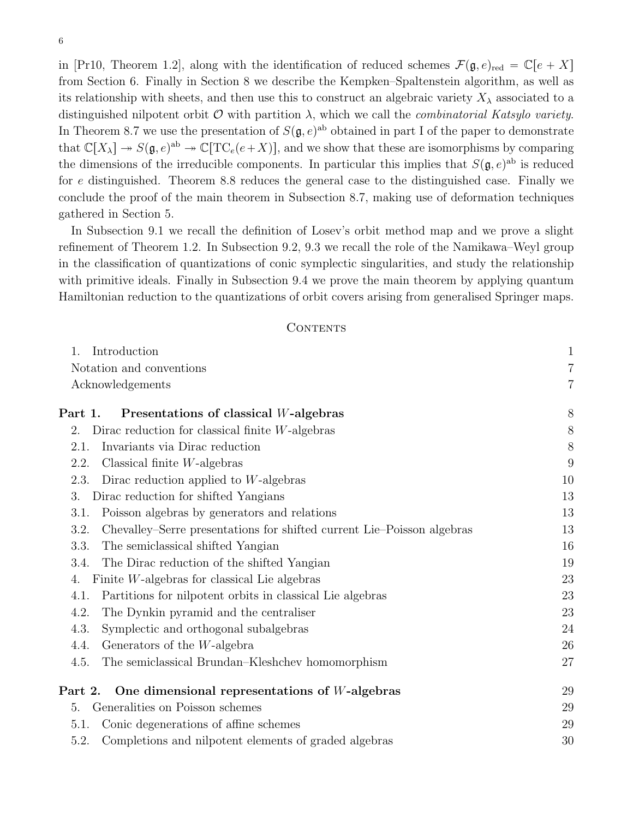in [\[Pr10,](#page-50-6) Theorem 1.2], along with the identification of reduced schemes  $\mathcal{F}(\mathfrak{g}, e)_{\text{red}} = \mathbb{C}[e + X]$ from Section [6.](#page-31-0) Finally in Section [8](#page-36-0) we describe the Kempken–Spaltenstein algorithm, as well as its relationship with sheets, and then use this to construct an algebraic variety  $X_{\lambda}$  associated to a distinguished nilpotent orbit  $\mathcal O$  with partition  $\lambda$ , which we call the *combinatorial Katsylo variety*. In Theorem [8.7](#page-41-0) we use the presentation of  $S(\mathfrak{g}, e)^{ab}$  obtained in part I of the paper to demonstrate that  $\mathbb{C}[X_\lambda] \to S(\mathfrak{g}, e)^{ab} \to \mathbb{C}[\text{TC}_e(e+X)],$  and we show that these are isomorphisms by comparing the dimensions of the irreducible components. In particular this implies that  $S(\mathfrak{g}, e)^{ab}$  is reduced for e distinguished. Theorem [8.8](#page-42-0) reduces the general case to the distinguished case. Finally we conclude the proof of the main theorem in Subsection [8.7,](#page-43-0) making use of deformation techniques gathered in Section [5.](#page-28-0)

In Subsection [9.1](#page-43-1) we recall the definition of Losev's orbit method map and we prove a slight refinement of Theorem [1.2.](#page-2-1) In Subsection [9.2,](#page-45-0) [9.3](#page-45-1) we recall the role of the Namikawa–Weyl group in the classification of quantizations of conic symplectic singularities, and study the relationship with primitive ideals. Finally in Subsection [9.4](#page-47-0) we prove the main theorem by applying quantum Hamiltonian reduction to the quantizations of orbit covers arising from generalised Springer maps.

#### CONTENTS

| 1.                                    | Introduction                                                           | $\mathbf{1}$   |
|---------------------------------------|------------------------------------------------------------------------|----------------|
| Notation and conventions              |                                                                        | $\overline{7}$ |
| Acknowledgements                      |                                                                        | 7              |
| Part 1.                               | Presentations of classical W-algebras                                  | 8              |
| 2.                                    | Dirac reduction for classical finite $W$ -algebras                     | 8              |
| 2.1.                                  | Invariants via Dirac reduction                                         | 8              |
| 2.2.                                  | Classical finite $W$ -algebras                                         | 9              |
| 2.3.                                  | Dirac reduction applied to $W$ -algebras                               | 10             |
| 3.                                    | Dirac reduction for shifted Yangians                                   | 13             |
| 3.1.                                  | Poisson algebras by generators and relations                           | 13             |
| 3.2.                                  | Chevalley–Serre presentations for shifted current Lie–Poisson algebras | 13             |
| 3.3.                                  | The semiclassical shifted Yangian                                      | 16             |
| 3.4.                                  | The Dirac reduction of the shifted Yangian                             | 19             |
| 4.                                    | Finite $W$ -algebras for classical Lie algebras                        | 23             |
| 4.1.                                  | Partitions for nilpotent orbits in classical Lie algebras              | 23             |
| 4.2.                                  | The Dynkin pyramid and the centraliser                                 | 23             |
| 4.3.                                  | Symplectic and orthogonal subalgebras                                  | 24             |
| 4.4.                                  | Generators of the $W$ -algebra                                         | 26             |
| 4.5.                                  | The semiclassical Brundan–Kleshchev homomorphism                       | 27             |
| Part 2.                               | One dimensional representations of $W$ -algebras                       | 29             |
| Generalities on Poisson schemes<br>5. |                                                                        | 29             |
| 5.1.                                  | Conic degenerations of affine schemes                                  | 29             |
| 5.2.                                  | Completions and nilpotent elements of graded algebras                  | 30             |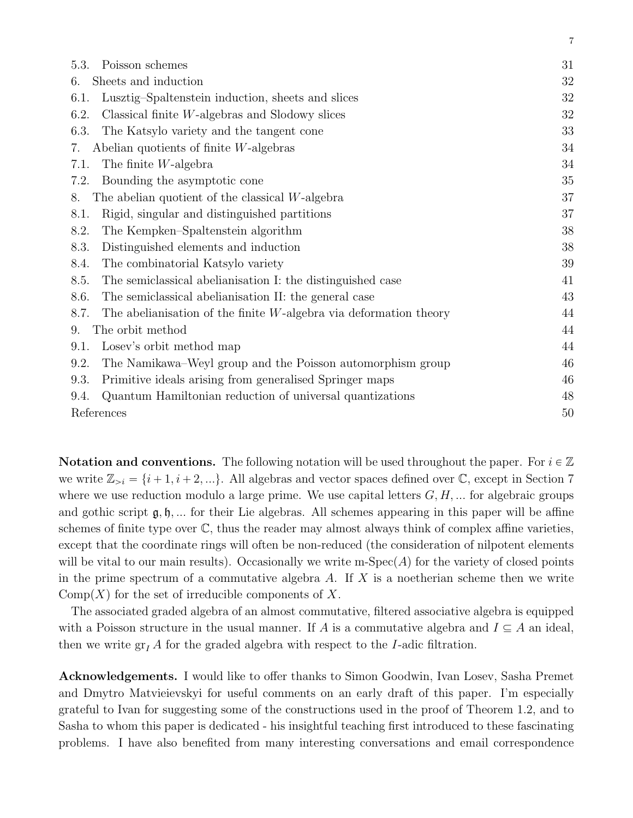| Poisson schemes<br>5.3.                                                      | 31 |
|------------------------------------------------------------------------------|----|
| Sheets and induction<br>6.                                                   | 32 |
| 6.1.<br>Lusztig–Spaltenstein induction, sheets and slices                    | 32 |
| Classical finite $W$ -algebras and Slodowy slices<br>6.2.                    | 32 |
| The Katsylo variety and the tangent cone<br>6.3.                             | 33 |
| Abelian quotients of finite $W$ -algebras<br>7.                              | 34 |
| The finite $W$ -algebra<br>7.1.                                              | 34 |
| 7.2.<br>Bounding the asymptotic cone                                         | 35 |
| The abelian quotient of the classical $W$ -algebra<br>8.                     | 37 |
| Rigid, singular and distinguished partitions<br>8.1.                         | 37 |
| The Kempken-Spaltenstein algorithm<br>8.2.                                   | 38 |
| 8.3.<br>Distinguished elements and induction                                 | 38 |
| The combinatorial Katsylo variety<br>8.4.                                    | 39 |
| 8.5.<br>The semiclassical abelianisation I: the distinguished case           | 41 |
| The semiclassical abelianisation II: the general case<br>8.6.                | 43 |
| 8.7.<br>The abelianisation of the finite $W$ -algebra via deformation theory | 44 |
| The orbit method<br>9.                                                       |    |
| Losey's orbit method map<br>9.1.                                             | 44 |
| 9.2.<br>The Namikawa–Weyl group and the Poisson automorphism group           | 46 |
| 9.3.<br>Primitive ideals arising from generalised Springer maps              | 46 |
| Quantum Hamiltonian reduction of universal quantizations<br>9.4.             | 48 |
| References                                                                   |    |

7

<span id="page-6-0"></span>**Notation and conventions.** The following notation will be used throughout the paper. For  $i \in \mathbb{Z}$ we write  $\mathbb{Z}_{\geq i} = \{i + 1, i + 2, ...\}$ . All algebras and vector spaces defined over C, except in Section [7](#page-33-0) where we use reduction modulo a large prime. We use capital letters  $G, H, \ldots$  for algebraic groups and gothic script  $\mathfrak{g}, \mathfrak{h}, \ldots$  for their Lie algebras. All schemes appearing in this paper will be affine schemes of finite type over  $\mathbb{C}$ , thus the reader may almost always think of complex affine varieties, except that the coordinate rings will often be non-reduced (the consideration of nilpotent elements will be vital to our main results). Occasionally we write  $m\text{-}Spec(A)$  for the variety of closed points in the prime spectrum of a commutative algebra  $A$ . If  $X$  is a noetherian scheme then we write  $\mathrm{Comp}(X)$  for the set of irreducible components of X.

The associated graded algebra of an almost commutative, filtered associative algebra is equipped with a Poisson structure in the usual manner. If A is a commutative algebra and  $I \subseteq A$  an ideal, then we write  $\operatorname{gr}_I A$  for the graded algebra with respect to the I-adic filtration.

<span id="page-6-1"></span>Acknowledgements. I would like to offer thanks to Simon Goodwin, Ivan Losev, Sasha Premet and Dmytro Matvieievskyi for useful comments on an early draft of this paper. I'm especially grateful to Ivan for suggesting some of the constructions used in the proof of Theorem [1.2,](#page-2-1) and to Sasha to whom this paper is dedicated - his insightful teaching first introduced to these fascinating problems. I have also benefited from many interesting conversations and email correspondence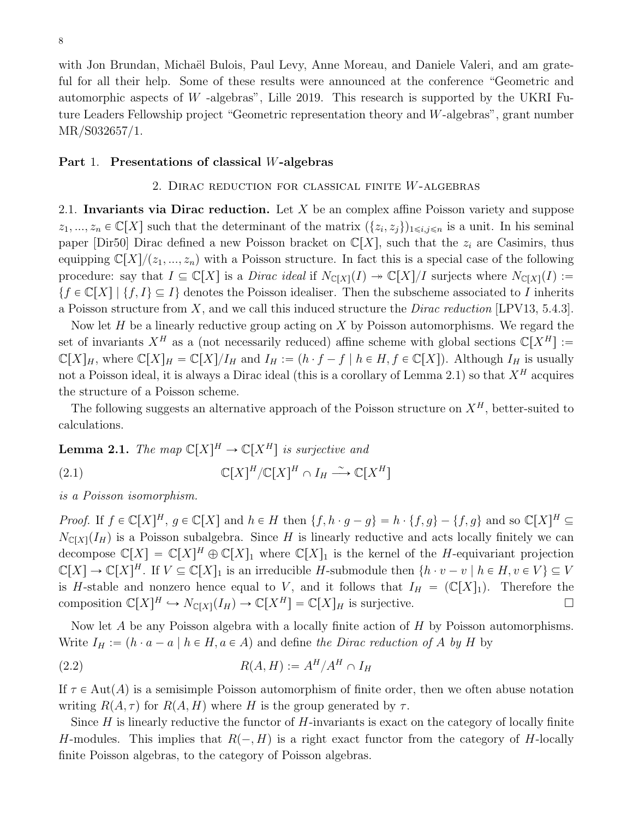with Jon Brundan, Michaël Bulois, Paul Levy, Anne Moreau, and Daniele Valeri, and am grateful for all their help. Some of these results were announced at the conference "Geometric and automorphic aspects of  $W$  -algebras", Lille 2019. This research is supported by the UKRI Future Leaders Fellowship project "Geometric representation theory and W-algebras", grant number MR/S032657/1.

## <span id="page-7-1"></span><span id="page-7-0"></span>Part 1. Presentations of classical W-algebras

## 2. Dirac reduction for classical finite W-algebras

<span id="page-7-2"></span>2.1. Invariants via Dirac reduction. Let X be an complex affine Poisson variety and suppose  $z_1, ..., z_n \in \mathbb{C}[X]$  such that the determinant of the matrix  $(\{z_i, z_j\})_{1 \leq i,j \leq n}$  is a unit. In his seminal paper [\[Dir50\]](#page-49-5) Dirac defined a new Poisson bracket on  $\mathbb{C}[X]$ , such that the  $z_i$  are Casimirs, thus equipping  $\mathbb{C}[X]/(z_1, ..., z_n)$  with a Poisson structure. In fact this is a special case of the following procedure: say that  $I \subseteq \mathbb{C}[X]$  is a *Dirac ideal* if  $N_{\mathbb{C}[X]}(I) \to \mathbb{C}[X]/I$  surjects where  $N_{\mathbb{C}[X]}(I) :=$  $\{f \in \mathbb{C}[X] \mid \{f, I\} \subseteq I\}$  denotes the Poisson idealiser. Then the subscheme associated to I inherits a Poisson structure from X, and we call this induced structure the *Dirac reduction* [\[LPV13,](#page-50-13) 5.4.3].

Now let  $H$  be a linearly reductive group acting on  $X$  by Poisson automorphisms. We regard the set of invariants  $X^H$  as a (not necessarily reduced) affine scheme with global sections  $\mathbb{C}[X^H] :=$  $\mathbb{C}[X]_H$ , where  $\mathbb{C}[X]_H = \mathbb{C}[X]/I_H$  and  $I_H := (h \cdot f - f \mid h \in H, f \in \mathbb{C}[X])$ . Although  $I_H$  is usually not a Poisson ideal, it is always a Dirac ideal (this is a corollary of Lemma [2.1\)](#page-7-3) so that  $X^H$  acquires the structure of a Poisson scheme.

The following suggests an alternative approach of the Poisson structure on  $X^H$ , better-suited to calculations.

<span id="page-7-3"></span>**Lemma 2.1.** The map  $\mathbb{C}[X]^H \to \mathbb{C}[X^H]$  is surjective and

(2.1) 
$$
\mathbb{C}[X]^H / \mathbb{C}[X]^H \cap I_H \xrightarrow{\sim} \mathbb{C}[X^H]
$$

is a Poisson isomorphism.

*Proof.* If  $f \in \mathbb{C}[X]^H$ ,  $g \in \mathbb{C}[X]$  and  $h \in H$  then  $\{f, h \cdot g - g\} = h \cdot \{f, g\} - \{f, g\}$  and so  $\mathbb{C}[X]^H \subseteq$  $N_{\mathbb{C}[X]}(I_H)$  is a Poisson subalgebra. Since H is linearly reductive and acts locally finitely we can decompose  $\mathbb{C}[X] = \mathbb{C}[X]^H \oplus \mathbb{C}[X]_1$  where  $\mathbb{C}[X]_1$  is the kernel of the H-equivariant projection  $\mathbb{C}[X] \to \mathbb{C}[X]^H$ . If  $V \subseteq \mathbb{C}[X]_1$  is an irreducible H-submodule then  $\{h \cdot v - v \mid h \in H, v \in V\} \subseteq V$ is H-stable and nonzero hence equal to V, and it follows that  $I_H = (\mathbb{C}[X]_1)$ . Therefore the composition  $\mathbb{C}[X]^H \hookrightarrow N_{\mathbb{C}[X]}(I_H) \to \mathbb{C}[X^H] = \mathbb{C}[X]_H$  is surjective.

Now let A be any Poisson algebra with a locally finite action of H by Poisson automorphisms. Write  $I_H := (h \cdot a - a \mid h \in H, a \in A)$  and define the Dirac reduction of A by H by

$$
(2.2) \t\t R(A, H) := A^H / A^H \cap I_H
$$

If  $\tau \in \text{Aut}(A)$  is a semisimple Poisson automorphism of finite order, then we often abuse notation writing  $R(A, \tau)$  for  $R(A, H)$  where H is the group generated by  $\tau$ .

Since  $H$  is linearly reductive the functor of  $H$ -invariants is exact on the category of locally finite H-modules. This implies that  $R(-, H)$  is a right exact functor from the category of H-locally finite Poisson algebras, to the category of Poisson algebras.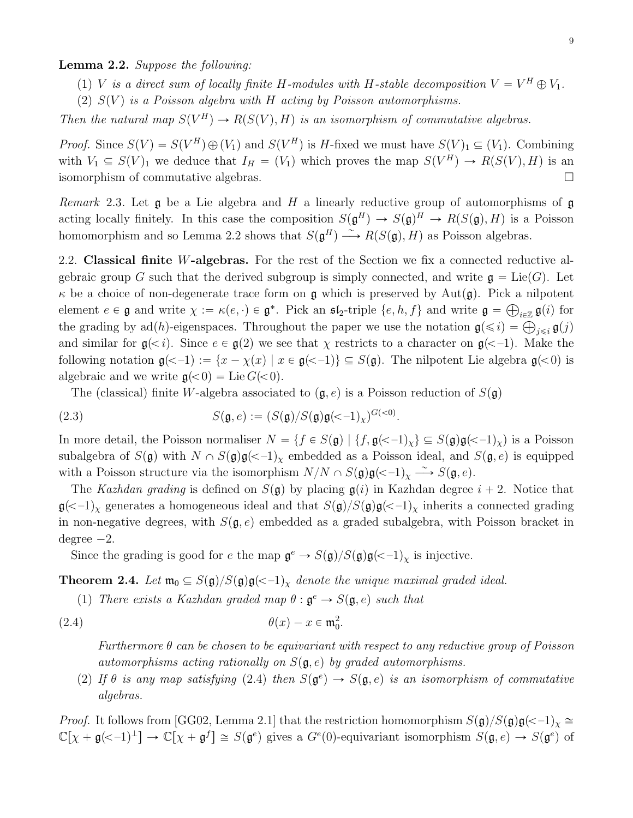<span id="page-8-1"></span>Lemma 2.2. Suppose the following:

- (1) V is a direct sum of locally finite H-modules with H-stable decomposition  $V = V^H \oplus V_1$ .
- (2)  $S(V)$  is a Poisson algebra with H acting by Poisson automorphisms.

Then the natural map  $S(V^H) \to R(S(V), H)$  is an isomorphism of commutative algebras.

*Proof.* Since  $S(V) = S(V^H) \oplus (V_1)$  and  $S(V^H)$  is H-fixed we must have  $S(V)_1 \subseteq (V_1)$ . Combining with  $V_1 \subseteq S(V)_1$  we deduce that  $I_H = (V_1)$  which proves the map  $S(V^H) \to R(S(V), H)$  is an isomorphism of commutative algebras.

<span id="page-8-4"></span>Remark 2.3. Let  $\mathfrak g$  be a Lie algebra and H a linearly reductive group of automorphisms of  $\mathfrak g$ acting locally finitely. In this case the composition  $S(\mathfrak{g}^H) \to S(\mathfrak{g})^H \to R(S(\mathfrak{g}), H)$  is a Poisson homomorphism and so Lemma [2.2](#page-8-1) shows that  $S(\mathfrak{g}^H) \longrightarrow R(S(\mathfrak{g}), H)$  as Poisson algebras.

<span id="page-8-0"></span>2.2. Classical finite W-algebras. For the rest of the Section we fix a connected reductive algebraic group G such that the derived subgroup is simply connected, and write  $\mathfrak{g} = \text{Lie}(G)$ . Let  $\kappa$  be a choice of non-degenerate trace form on **g** which is preserved by Aut(**g**). Pick a nilpotent element  $e \in \mathfrak{g}$  and write  $\chi := \kappa(e, \cdot) \in \mathfrak{g}^*$ . Pick an  $\mathfrak{sl}_2$ -triple  $\{e, h, f\}$  and write  $\mathfrak{g} = \bigoplus_{i \in \mathbb{Z}} \mathfrak{g}(i)$  for between  $e \in \mathfrak{g}$  and write  $\chi := \kappa(e, \cdot) \in \mathfrak{g}$ . Pick an  $\mathfrak{sl}_2$ -triple  $\{e, n, f\}$  and write  $\mathfrak{g} = \bigoplus_{i \in \mathbb{Z}} \mathfrak{g}(i)$  for the grading by ad(h)-eigenspaces. Throughout the paper we use the notation  $\mathfrak$ and similar for  $\mathfrak{g}(\leq i)$ . Since  $e \in \mathfrak{g}(2)$  we see that  $\chi$  restricts to a character on  $\mathfrak{g}(\leq -1)$ . Make the following notation  $\mathfrak{g}(-1) := \{x - \chi(x) | x \in \mathfrak{g}(-1)\} \subseteq S(\mathfrak{g})$ . The nilpotent Lie algebra  $\mathfrak{g}(<0)$  is algebraic and we write  $\mathfrak{g}( $0$ ) = Lie  $G( $0$ ).$$ 

The (classical) finite W-algebra associated to  $(\mathfrak{g}, e)$  is a Poisson reduction of  $S(\mathfrak{g})$ 

(2.3) 
$$
S(\mathfrak{g},e) := (S(\mathfrak{g})/S(\mathfrak{g})\mathfrak{g}(-1)_x)^{G(<0)}.
$$

In more detail, the Poisson normaliser  $N = \{f \in S(\mathfrak{g}) \mid \{f, \mathfrak{g}(\langle -1 \rangle_{\chi}) \subseteq S(\mathfrak{g})\mathfrak{g}(\langle -1 \rangle_{\chi})\}$  is a Poisson subalgebra of  $S(\mathfrak{g})$  with  $N \cap S(\mathfrak{g})\mathfrak{g}(\langle -1 \rangle_{\chi})$  embedded as a Poisson ideal, and  $S(\mathfrak{g}, e)$  is equipped with a Poisson structure via the isomorphism  $N/N \cap S(\mathfrak{g})\mathfrak{g}(\langle -1 \rangle_{\chi} \longrightarrow S(\mathfrak{g}, e)$ .

The Kazhdan grading is defined on  $S(\mathfrak{g})$  by placing  $\mathfrak{g}(i)$  in Kazhdan degree  $i + 2$ . Notice that  $\mathfrak{g}(\langle -1\rangle_{\chi})$  generates a homogeneous ideal and that  $S(\mathfrak{g})/S(\mathfrak{g})\mathfrak{g}(\langle -1\rangle_{\chi})$  inherits a connected grading in non-negative degrees, with  $S(\mathfrak{g}, e)$  embedded as a graded subalgebra, with Poisson bracket in degree  $-2$ .

Since the grading is good for e the map  $\mathfrak{g}^e \to S(\mathfrak{g})/S(\mathfrak{g})\mathfrak{g}(\lt-1)_\chi$  is injective.

<span id="page-8-3"></span>**Theorem 2.4.** Let  $\mathfrak{m}_0 \subseteq S(\mathfrak{g})/S(\mathfrak{g})\mathfrak{g}(-1)_\chi$  denote the unique maximal graded ideal.

(1) There exists a Kazhdan graded map  $\theta : \mathfrak{g}^e \to S(\mathfrak{g}, e)$  such that

$$
\theta(x) - x \in \mathfrak{m}_0^2.
$$

<span id="page-8-2"></span>Furthermore  $\theta$  can be chosen to be equivariant with respect to any reductive group of Poisson automorphisms acting rationally on  $S(\mathfrak{g}, e)$  by graded automorphisms.

(2) If  $\theta$  is any map satisfying [\(2.4\)](#page-8-2) then  $S(\mathfrak{g}^e) \to S(\mathfrak{g}, e)$  is an isomorphism of commutative algebras.

*Proof.* It follows from [\[GG02,](#page-49-6) Lemma 2.1] that the restriction homomorphism  $S(\mathfrak{g})/S(\mathfrak{g})\mathfrak{g}(-1)_x \cong$  $\mathbb{C}[\chi + \mathfrak{g}(-1)^{\perp}] \to \mathbb{C}[\chi + \mathfrak{g}^f] \cong S(\mathfrak{g}^e)$  gives a  $G^e(0)$ -equivariant isomorphism  $S(\mathfrak{g}, e) \to S(\mathfrak{g}^e)$  of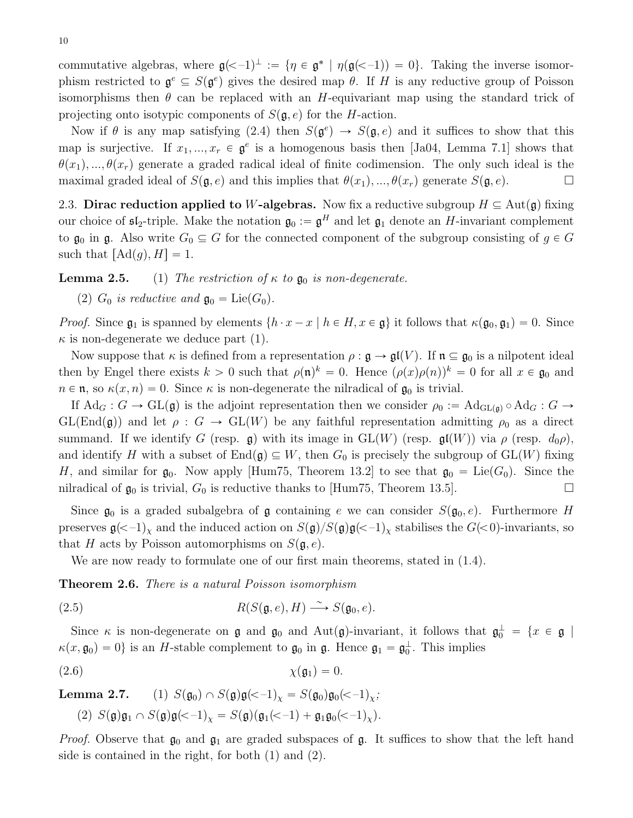commutative algebras, where  $\mathfrak{g}(-1)^{\perp} := \{ \eta \in \mathfrak{g}^* \mid \eta(\mathfrak{g}(-1)) = 0 \}.$  Taking the inverse isomorphism restricted to  $\mathfrak{g}^e \subseteq S(\mathfrak{g}^e)$  gives the desired map  $\theta$ . If H is any reductive group of Poisson isomorphisms then  $\theta$  can be replaced with an H-equivariant map using the standard trick of projecting onto isotypic components of  $S(\mathfrak{g}, e)$  for the H-action.

Now if  $\theta$  is any map satisfying [\(2.4\)](#page-8-2) then  $S(\mathfrak{g}^e) \to S(\mathfrak{g}, e)$  and it suffices to show that this map is surjective. If  $x_1, ..., x_r \in \mathfrak{g}^e$  is a homogenous basis then [\[Ja04,](#page-49-0) Lemma 7.1] shows that  $\theta(x_1), ..., \theta(x_r)$  generate a graded radical ideal of finite codimension. The only such ideal is the maximal graded ideal of  $S(\mathfrak{g}, e)$  and this implies that  $\theta(x_1), ..., \theta(x_r)$  generate  $S(\mathfrak{g}, e)$ .

<span id="page-9-0"></span>2.3. Dirac reduction applied to W-algebras. Now fix a reductive subgroup  $H \subseteq Aut(\mathfrak{g})$  fixing our choice of  $\mathfrak{sl}_2$ -triple. Make the notation  $\mathfrak{g}_0 := \mathfrak{g}^H$  and let  $\mathfrak{g}_1$  denote an H-invariant complement to  $\mathfrak{g}_0$  in  $\mathfrak{g}$ . Also write  $G_0 \subseteq G$  for the connected component of the subgroup consisting of  $g \in G$ such that  $[Ad(q), H] = 1$ .

**Lemma 2.5.** (1) The restriction of  $\kappa$  to  $\mathfrak{g}_0$  is non-degenerate.

(2)  $G_0$  is reductive and  $\mathfrak{g}_0 = \text{Lie}(G_0)$ .

*Proof.* Since  $\mathfrak{g}_1$  is spanned by elements  $\{h \cdot x - x \mid h \in H, x \in \mathfrak{g}\}\)$  it follows that  $\kappa(\mathfrak{g}_0, \mathfrak{g}_1) = 0$ . Since  $\kappa$  is non-degenerate we deduce part (1).

Now suppose that  $\kappa$  is defined from a representation  $\rho : \mathfrak{g} \to \mathfrak{gl}(V)$ . If  $\mathfrak{n} \subseteq \mathfrak{g}_0$  is a nilpotent ideal then by Engel there exists  $k > 0$  such that  $\rho(\mathfrak{n})^k = 0$ . Hence  $(\rho(x)\rho(n))^k = 0$  for all  $x \in \mathfrak{g}_0$  and  $n \in \mathfrak{n}$ , so  $\kappa(x, n) = 0$ . Since  $\kappa$  is non-degenerate the nilradical of  $\mathfrak{g}_0$  is trivial.

If  $\text{Ad}_G : G \to \text{GL}(\mathfrak{g})$  is the adjoint representation then we consider  $\rho_0 := \text{Ad}_{\text{GL}(\mathfrak{g})} \circ \text{Ad}_G : G \to$  $GL(End(\mathfrak{g}))$  and let  $\rho : G \to GL(W)$  be any faithful representation admitting  $\rho_0$  as a direct summand. If we identify G (resp. g) with its image in  $GL(W)$  (resp.  $\mathfrak{gl}(W)$ ) via  $\rho$  (resp.  $d_0\rho$ ), and identify H with a subset of  $\text{End}(\mathfrak{g}) \subseteq W$ , then  $G_0$  is precisely the subgroup of  $GL(W)$  fixing H, and similar for  $\mathfrak{g}_0$ . Now apply [\[Hum75,](#page-49-7) Theorem 13.2] to see that  $\mathfrak{g}_0 = \text{Lie}(G_0)$ . Since the nilradical of  $\mathfrak{g}_0$  is trivial,  $G_0$  is reductive thanks to [\[Hum75,](#page-49-7) Theorem 13.5].

Since  $\mathfrak{g}_0$  is a graded subalgebra of g containing e we can consider  $S(\mathfrak{g}_0, e)$ . Furthermore H preserves  $\mathfrak{g}(\langle -1\rangle_{\chi})$  and the induced action on  $S(\mathfrak{g})/S(\mathfrak{g})\mathfrak{g}(\langle -1\rangle_{\chi})$  stabilises the  $G(\langle 0\rangle)$ -invariants, so that H acts by Poisson automorphisms on  $S(\mathfrak{g}, e)$ .

We are now ready to formulate one of our first main theorems, stated in  $(1.4)$ .

<span id="page-9-2"></span>**Theorem 2.6.** There is a natural Poisson isomorphism

(2.5) 
$$
R(S(\mathfrak{g},e),H)\xrightarrow{\sim}S(\mathfrak{g}_0,e).
$$

Since  $\kappa$  is non-degenerate on  $\mathfrak g$  and  $\mathfrak g_0$  and  $\mathrm{Aut}(\mathfrak g)$ -invariant, it follows that  $\mathfrak g_0^{\perp} = \{x \in \mathfrak g \mid$  $\kappa(x, \mathfrak{g}_0) = 0$  is an *H*-stable complement to  $\mathfrak{g}_0$  in  $\mathfrak{g}$ . Hence  $\mathfrak{g}_1 = \mathfrak{g}_0^{\perp}$ . This implies

$$
\chi(\mathfrak{g}_1)=0.
$$

**Lemma 2.7.** (1)  $S(\mathfrak{g}_0) \cap S(\mathfrak{g})\mathfrak{g}(\langle -1 \rangle) = S(\mathfrak{g}_0)\mathfrak{g}_0(\langle -1 \rangle)$ <sub>x</sub>;

<span id="page-9-1"></span>(2) 
$$
S(\mathfrak{g})\mathfrak{g}_1 \cap S(\mathfrak{g})\mathfrak{g}(\langle -1 \rangle_{\chi}) = S(\mathfrak{g})(\mathfrak{g}_1(\langle -1 \rangle + \mathfrak{g}_1 \mathfrak{g}_0(\langle -1 \rangle_{\chi})).
$$

*Proof.* Observe that  $\mathfrak{g}_0$  and  $\mathfrak{g}_1$  are graded subspaces of  $\mathfrak{g}$ . It suffices to show that the left hand side is contained in the right, for both (1) and (2).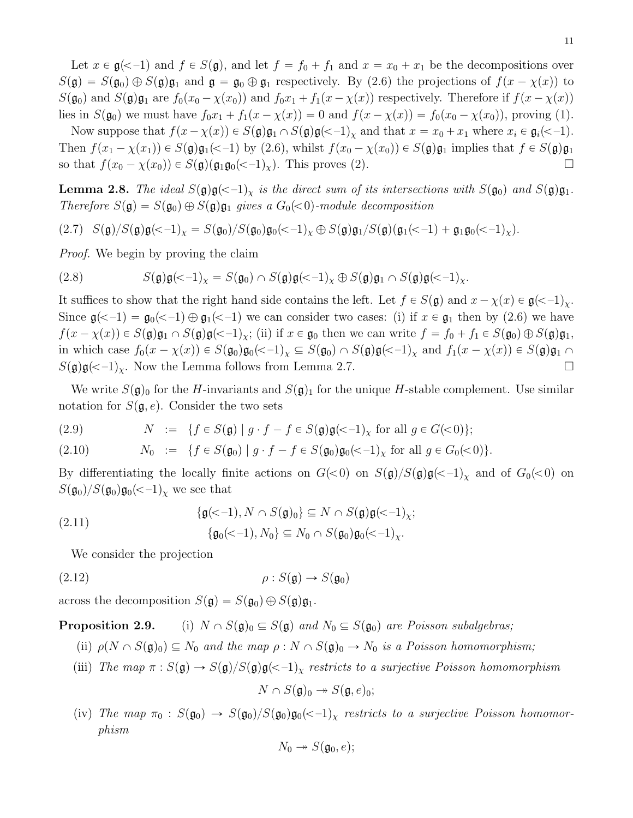Let  $x \in \mathfrak{g}(-1)$  and  $f \in S(\mathfrak{g})$ , and let  $f = f_0 + f_1$  and  $x = x_0 + x_1$  be the decompositions over  $S(\mathfrak{g}) = S(\mathfrak{g}_0) \oplus S(\mathfrak{g})\mathfrak{g}_1$  and  $\mathfrak{g} = \mathfrak{g}_0 \oplus \mathfrak{g}_1$  respectively. By [\(2.6\)](#page-9-1) the projections of  $f(x - \chi(x))$  to  $S(\mathfrak{g}_0)$  and  $S(\mathfrak{g})\mathfrak{g}_1$  are  $f_0(x_0 - \chi(x_0))$  and  $f_0x_1 + f_1(x - \chi(x))$  respectively. Therefore if  $f(x - \chi(x))$ lies in  $S(\mathfrak{g}_0)$  we must have  $f_0x_1 + f_1(x - \chi(x)) = 0$  and  $f(x - \chi(x)) = f_0(x_0 - \chi(x_0))$ , proving (1).

Now suppose that  $f(x - \chi(x)) \in S(\mathfrak{g})\mathfrak{g}_1 \cap S(\mathfrak{g})\mathfrak{g}(\langle -1 \rangle)$  and that  $x = x_0 + x_1$  where  $x_i \in \mathfrak{g}_i(\langle -1 \rangle)$ . Then  $f(x_1 - \chi(x_1)) \in S(\mathfrak{g})\mathfrak{g}_1(\langle -1\rangle)$  by [\(2.6\)](#page-9-1), whilst  $f(x_0 - \chi(x_0)) \in S(\mathfrak{g})\mathfrak{g}_1$  implies that  $f \in S(\mathfrak{g})\mathfrak{g}_1$ so that  $f(x_0 - \chi(x_0)) \in S(\mathfrak{g})(\mathfrak{g}_1\mathfrak{g}_0(\langle -1\rangle_\chi))$ . This proves (2).

<span id="page-10-1"></span>**Lemma 2.8.** The ideal  $S(\mathfrak{g})\mathfrak{g}(-1)_\chi$  is the direct sum of its intersections with  $S(\mathfrak{g}_0)$  and  $S(\mathfrak{g})\mathfrak{g}_1$ . Therefore  $S(\mathfrak{g}) = S(\mathfrak{g}_0) \oplus S(\mathfrak{g})\mathfrak{g}_1$  gives a  $G_0(<0)$ -module decomposition

(2.7)  $S(\mathfrak{g})/S(\mathfrak{g})\mathfrak{g}(\langle -1\rangle_{\chi} = S(\mathfrak{g}_0)/S(\mathfrak{g}_0)\mathfrak{g}_0(\langle -1\rangle_{\chi} \oplus S(\mathfrak{g})\mathfrak{g}_1/S(\mathfrak{g})(\mathfrak{g}_1(\langle -1\rangle + \mathfrak{g}_1\mathfrak{g}_0(\langle -1\rangle_{\chi}).$ 

Proof. We begin by proving the claim

(2.8) 
$$
S(\mathfrak{g})\mathfrak{g}(\langle -1 \rangle_{\chi} = S(\mathfrak{g}_0) \cap S(\mathfrak{g})\mathfrak{g}(\langle -1 \rangle_{\chi} \oplus S(\mathfrak{g})\mathfrak{g}_1 \cap S(\mathfrak{g})\mathfrak{g}(\langle -1 \rangle_{\chi}.
$$

It suffices to show that the right hand side contains the left. Let  $f \in S(\mathfrak{g})$  and  $x - \chi(x) \in \mathfrak{g}(-1)_\chi$ . Since  $\mathfrak{g}(-1) = \mathfrak{g}_0(-1) \oplus \mathfrak{g}_1(-1)$  we can consider two cases: (i) if  $x \in \mathfrak{g}_1$  then by [\(2.6\)](#page-9-1) we have  $f(x - \chi(x)) \in S(\mathfrak{g})\mathfrak{g}_1 \cap S(\mathfrak{g})\mathfrak{g}(\langle -1 \rangle_\chi; \text{ (ii) if } x \in \mathfrak{g}_0 \text{ then we can write } f = f_0 + f_1 \in S(\mathfrak{g}_0) \oplus S(\mathfrak{g})\mathfrak{g}_1,$ in which case  $f_0(x - \chi(x)) \in S(\mathfrak{g}_0)\mathfrak{g}_0\langle \langle -1 \rangle_\chi \subseteq S(\mathfrak{g}_0) \cap S(\mathfrak{g})\mathfrak{g}(\langle -1 \rangle_\chi \text{ and } f_1(x - \chi(x)) \in S(\mathfrak{g})\mathfrak{g}_1 \cap$  $S(\mathfrak{g})\mathfrak{g}(\langle -1\rangle_{\chi})$ . Now the Lemma follows from Lemma [2.7.](#page-0-0)

We write  $S(\mathfrak{g})_0$  for the H-invariants and  $S(\mathfrak{g})_1$  for the unique H-stable complement. Use similar notation for  $S(\mathfrak{g}, e)$ . Consider the two sets

(2.9) 
$$
N := \{ f \in S(\mathfrak{g}) \mid g \cdot f - f \in S(\mathfrak{g})\mathfrak{g}(\langle -1 \rangle_{\chi} \text{ for all } g \in G(\langle 0 \rangle) \};
$$

(2.10) 
$$
N_0 := \{ f \in S(\mathfrak{g}_0) \mid g \cdot f - f \in S(\mathfrak{g}_0) \mathfrak{g}_0 \langle \langle -1 \rangle_{\chi} \text{ for all } g \in G_0 \langle \langle 0 \rangle \}.
$$

By differentiating the locally finite actions on  $G(\leq 0)$  on  $S(\mathfrak{g})/S(\mathfrak{g})\mathfrak{g}(\leq -1)_\chi$  and of  $G_0(\leq 0)$  on  $S(\mathfrak{g}_0)/S(\mathfrak{g}_0)\mathfrak{g}_0(\lt-1)_\chi$  we see that

(2.11) 
$$
\{\mathfrak{g}(\langle -1), N \cap S(\mathfrak{g})_0\} \subseteq N \cap S(\mathfrak{g})\mathfrak{g}(\langle -1 \rangle_\chi;\\ \{\mathfrak{g}_0(\langle -1), N_0\} \subseteq N_0 \cap S(\mathfrak{g}_0)\mathfrak{g}_0(\langle -1 \rangle_\chi.
$$

<span id="page-10-0"></span>We consider the projection

$$
\rho: S(\mathfrak{g}) \to S(\mathfrak{g}_0)
$$

across the decomposition  $S(\mathfrak{g}) = S(\mathfrak{g}_0) \oplus S(\mathfrak{g})\mathfrak{g}_1$ .

**Proposition 2.9.** (i)  $N \cap S(\mathfrak{g})_0 \subseteq S(\mathfrak{g})$  and  $N_0 \subseteq S(\mathfrak{g}_0)$  are Poisson subalgebras;

- (ii)  $\rho(N \cap S(\mathfrak{g})_0) \subseteq N_0$  and the map  $\rho : N \cap S(\mathfrak{g})_0 \to N_0$  is a Poisson homomorphism;
- (iii) The map  $\pi : S(\mathfrak{g}) \to S(\mathfrak{g})/S(\mathfrak{g})\mathfrak{g}(-1)_x$  restricts to a surjective Poisson homomorphism

$$
N \cap S(\mathfrak{g})_0 \twoheadrightarrow S(\mathfrak{g},e)_0;
$$

(iv) The map  $\pi_0$  :  $S(\mathfrak{g}_0) \to S(\mathfrak{g}_0)/S(\mathfrak{g}_0)\mathfrak{g}_0(-1)_\chi$  restricts to a surjective Poisson homomorphism

$$
N_0 \twoheadrightarrow S(\mathfrak{g}_0, e);
$$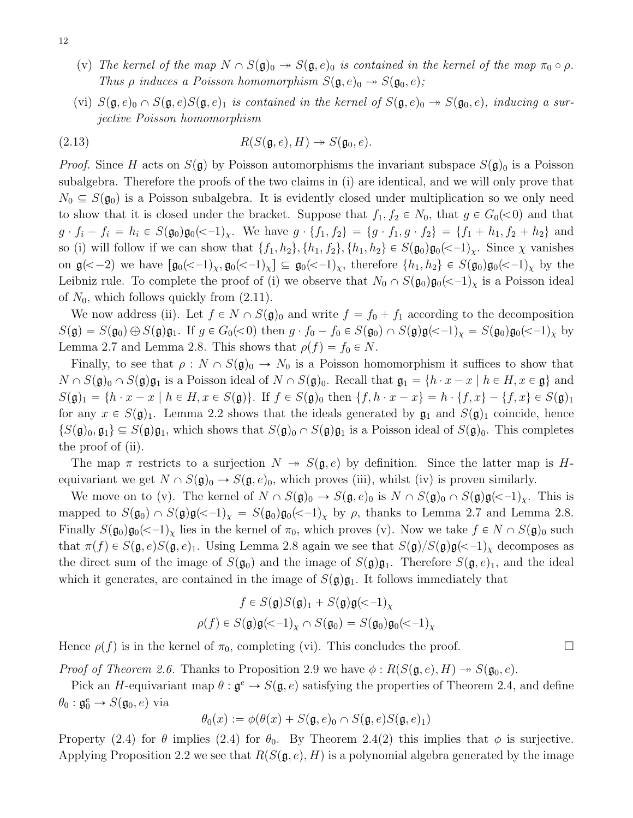- (v) The kernel of the map  $N \cap S(\mathfrak{g})_0 \to S(\mathfrak{g}, e)_0$  is contained in the kernel of the map  $\pi_0 \circ \rho$ . Thus  $\rho$  induces a Poisson homomorphism  $S(\mathfrak{g}, e)_0 \to S(\mathfrak{g}_0, e);$
- (vi)  $S(\mathfrak{g}, e)_0 \cap S(\mathfrak{g}, e)S(\mathfrak{g}, e)_1$  is contained in the kernel of  $S(\mathfrak{g}, e)_0 \to S(\mathfrak{g}_0, e)$ , inducing a surjective Poisson homomorphism

(2.13) 
$$
R(S(\mathfrak{g},e),H)\twoheadrightarrow S(\mathfrak{g}_0,e).
$$

*Proof.* Since H acts on  $S(\mathfrak{g})$  by Poisson automorphisms the invariant subspace  $S(\mathfrak{g})_0$  is a Poisson subalgebra. Therefore the proofs of the two claims in (i) are identical, and we will only prove that  $N_0 \subseteq S(\mathfrak{g}_0)$  is a Poisson subalgebra. It is evidently closed under multiplication so we only need to show that it is closed under the bracket. Suppose that  $f_1, f_2 \in N_0$ , that  $g \in G_0(\leq 0)$  and that  $g \cdot f_i - f_i = h_i \in S(\mathfrak{g}_0)\mathfrak{g}_0\langle \langle -1 \rangle_{\chi}$ . We have  $g \cdot \{f_1, f_2\} = \{g \cdot f_1, g \cdot f_2\} = \{f_1 + h_1, f_2 + h_2\}$  and so (i) will follow if we can show that  $\{f_1, h_2\}, \{h_1, f_2\}, \{h_1, h_2\} \in S(\mathfrak{g}_0)\mathfrak{g}_0(\lt-1)_\chi$ . Since  $\chi$  vanishes on  $\mathfrak{g}(\langle -2 \rangle)$  we have  $[\mathfrak{g}_0(\langle -1 \rangle_\chi, \mathfrak{g}_0(\langle -1 \rangle_\chi)] \subseteq \mathfrak{g}_0(\langle -1 \rangle_\chi)$ , therefore  $\{h_1, h_2\} \in S(\mathfrak{g}_0)\mathfrak{g}_0(\langle -1 \rangle_\chi)$  by the Leibniz rule. To complete the proof of (i) we observe that  $N_0 \cap S(\mathfrak{g}_0)\mathfrak{g}_0(\lt-1)_\chi$  is a Poisson ideal of  $N_0$ , which follows quickly from  $(2.11)$ .

We now address (ii). Let  $f \in N \cap S(\mathfrak{g})_0$  and write  $f = f_0 + f_1$  according to the decomposition  $S(\mathfrak{g}) = S(\mathfrak{g}_0) \oplus S(\mathfrak{g})\mathfrak{g}_1$ . If  $g \in G_0(\leq 0)$  then  $g \cdot f_0 - f_0 \in S(\mathfrak{g}_0) \cap S(\mathfrak{g})\mathfrak{g}(\leq -1)_\chi = S(\mathfrak{g}_0)\mathfrak{g}_0(\leq -1)_\chi$  by Lemma [2.7](#page-0-0) and Lemma [2.8.](#page-10-1) This shows that  $\rho(f) = f_0 \in N$ .

Finally, to see that  $\rho : N \cap S(\mathfrak{g})_0 \to N_0$  is a Poisson homomorphism it suffices to show that  $N \cap S(\mathfrak{g})_0 \cap S(\mathfrak{g})\mathfrak{g}_1$  is a Poisson ideal of  $N \cap S(\mathfrak{g})_0$ . Recall that  $\mathfrak{g}_1 = \{h \cdot x - x \mid h \in H, x \in \mathfrak{g}\}\$  and  $S(\mathfrak{g})_1 = \{h \cdot x - x \mid h \in H, x \in S(\mathfrak{g})\}\.$  If  $f \in S(\mathfrak{g})_0$  then  $\{f, h \cdot x - x\} = h \cdot \{f, x\} - \{f, x\} \in S(\mathfrak{g})_1$ for any  $x \in S(\mathfrak{g})_1$ . Lemma [2.2](#page-8-1) shows that the ideals generated by  $\mathfrak{g}_1$  and  $S(\mathfrak{g})_1$  coincide, hence  $\{S(\mathfrak{g})_0, \mathfrak{g}_1\} \subseteq S(\mathfrak{g})\mathfrak{g}_1$ , which shows that  $S(\mathfrak{g})_0 \cap S(\mathfrak{g})\mathfrak{g}_1$  is a Poisson ideal of  $S(\mathfrak{g})_0$ . This completes the proof of (ii).

The map  $\pi$  restricts to a surjection  $N \to S(\mathfrak{g}, e)$  by definition. Since the latter map is Hequivariant we get  $N \cap S(\mathfrak{g})_0 \to S(\mathfrak{g}, e)_0$ , which proves (iii), whilst (iv) is proven similarly.

We move on to (v). The kernel of  $N \cap S(\mathfrak{g})_0 \to S(\mathfrak{g}, e)_0$  is  $N \cap S(\mathfrak{g})_0 \cap S(\mathfrak{g})\mathfrak{g}(\lt-1)_\chi$ . This is mapped to  $S(\mathfrak{g}_0) \cap S(\mathfrak{g})\mathfrak{g}(\langle -1 \rangle_\chi) = S(\mathfrak{g}_0)\mathfrak{g}_0(\langle -1 \rangle_\chi)$  by  $\rho$ , thanks to Lemma [2.7](#page-0-0) and Lemma [2.8.](#page-10-1) Finally  $S(\mathfrak{g}_0)\mathfrak{g}_0\langle\langle -1\rangle_\chi$  lies in the kernel of  $\pi_0$ , which proves (v). Now we take  $f \in N \cap S(\mathfrak{g})_0$  such that  $\pi(f) \in S(\mathfrak{g}, e)S(\mathfrak{g}, e)_1$ . Using Lemma [2.8](#page-10-1) again we see that  $S(\mathfrak{g})/S(\mathfrak{g})\mathfrak{g}(\lt-1)_\chi$  decomposes as the direct sum of the image of  $S(\mathfrak{g}_0)$  and the image of  $S(\mathfrak{g})\mathfrak{g}_1$ . Therefore  $S(\mathfrak{g}, e)_1$ , and the ideal which it generates, are contained in the image of  $S(\mathfrak{g})\mathfrak{g}_1$ . It follows immediately that

$$
f \in S(\mathfrak{g})S(\mathfrak{g})_1 + S(\mathfrak{g})\mathfrak{g}(\langle -1 \rangle_{\chi}
$$

$$
\rho(f) \in S(\mathfrak{g})\mathfrak{g}(\langle -1 \rangle_{\chi} \cap S(\mathfrak{g}_0) = S(\mathfrak{g}_0)\mathfrak{g}_0(\langle -1 \rangle_{\chi})
$$

Hence  $\rho(f)$  is in the kernel of  $\pi_0$ , completing (vi). This concludes the proof.

*Proof of Theorem [2.6.](#page-9-2)* Thanks to Proposition [2.9](#page-0-0) we have  $\phi : R(S(\mathfrak{g}, e), H) \to S(\mathfrak{g}_0, e)$ .

Pick an H-equivariant map  $\theta : \mathfrak{g}^e \to S(\mathfrak{g}, e)$  satisfying the properties of Theorem [2.4,](#page-8-3) and define  $\theta_0: \mathfrak{g}_0^e \rightarrow S(\mathfrak{g}_0, e)$  via

$$
\theta_0(x) := \phi(\theta(x) + S(\mathfrak{g}, e)_0 \cap S(\mathfrak{g}, e)S(\mathfrak{g}, e)_1)
$$

Property [\(2.4\)](#page-8-2) for  $\theta$  implies (2.4) for  $\theta_0$ . By Theorem [2.4\(](#page-8-3)2) this implies that  $\phi$  is surjective. Applying Proposition [2.2](#page-8-1) we see that  $R(S(\mathfrak{g}, e), H)$  is a polynomial algebra generated by the image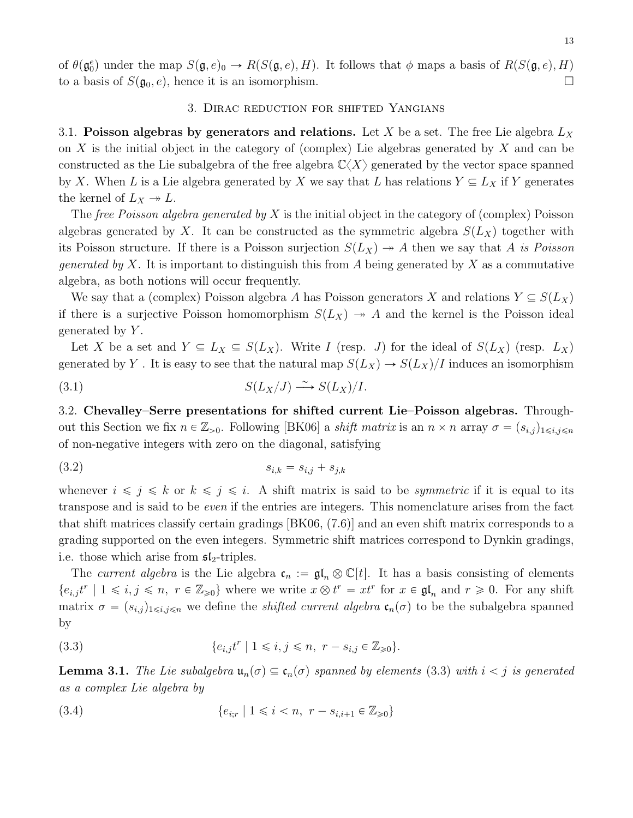of  $\theta(\mathfrak{g}_0^e)$  under the map  $S(\mathfrak{g}, e)_0 \to R(S(\mathfrak{g}, e), H)$ . It follows that  $\phi$  maps a basis of  $R(S(\mathfrak{g}, e), H)$ to a basis of  $S(\mathfrak{g}_0, e)$ , hence it is an isomorphism.

#### 3. Dirac reduction for shifted Yangians

<span id="page-12-1"></span><span id="page-12-0"></span>3.1. Poisson algebras by generators and relations. Let X be a set. The free Lie algebra  $L_X$ on X is the initial object in the category of (complex) Lie algebras generated by X and can be constructed as the Lie subalgebra of the free algebra  $\mathbb{C}\langle X\rangle$  generated by the vector space spanned by X. When L is a Lie algebra generated by X we say that L has relations  $Y \subseteq L_X$  if Y generates the kernel of  $L_X \rightarrow L$ .

The *free Poisson algebra generated by X* is the initial object in the category of (complex) Poisson algebras generated by X. It can be constructed as the symmetric algebra  $S(L_X)$  together with its Poisson structure. If there is a Poisson surjection  $S(L_X) \rightarrow A$  then we say that A is Poisson *generated by X.* It is important to distinguish this from A being generated by X as a commutative algebra, as both notions will occur frequently.

We say that a (complex) Poisson algebra A has Poisson generators X and relations  $Y \subseteq S(L_X)$ if there is a surjective Poisson homomorphism  $S(L_X) \rightarrow A$  and the kernel is the Poisson ideal generated by  $Y$ .

Let X be a set and  $Y \subseteq L_X \subseteq S(L_X)$ . Write I (resp. J) for the ideal of  $S(L_X)$  (resp.  $L_X$ ) generated by Y. It is easy to see that the natural map  $S(L_X) \rightarrow S(L_X)/I$  induces an isomorphism

<span id="page-12-6"></span>
$$
(3.1) \tS(L_X/J) \xrightarrow{\sim} S(L_X)/I.
$$

<span id="page-12-2"></span>3.2. Chevalley–Serre presentations for shifted current Lie–Poisson algebras. Throughout this Section we fix  $n \in \mathbb{Z}_{>0}$ . Following [\[BK06\]](#page-49-8) a shift matrix is an  $n \times n$  array  $\sigma = (s_{i,j})_{1 \leq i,j \leq n}$ of non-negative integers with zero on the diagonal, satisfying

<span id="page-12-4"></span>
$$
(3.2) \t\t s_{i,k} = s_{i,j} + s_{j,k}
$$

whenever  $i \leq j \leq k$  or  $k \leq j \leq i$ . A shift matrix is said to be *symmetric* if it is equal to its transpose and is said to be even if the entries are integers. This nomenclature arises from the fact that shift matrices classify certain gradings [\[BK06,](#page-49-8) (7.6)] and an even shift matrix corresponds to a grading supported on the even integers. Symmetric shift matrices correspond to Dynkin gradings, i.e. those which arise from  $\mathfrak{sl}_2$ -triples.

The current algebra is the Lie algebra  $\mathfrak{c}_n := \mathfrak{gl}_n \otimes \mathbb{C}[t]$ . It has a basis consisting of elements  $\{e_{i,j}t^r \mid 1 \leq i,j \leq n, r \in \mathbb{Z}_{\geq 0}\}\$  where we write  $x \otimes t^r = xt^r$  for  $x \in \mathfrak{gl}_n$  and  $r \geq 0$ . For any shift matrix  $\sigma = (s_{i,j})_{1\leq i,j\leq n}$  we define the *shifted current algebra*  $c_n(\sigma)$  to be the subalgebra spanned by

<span id="page-12-3"></span>(3.3) 
$$
\{e_{i,j}t^r \mid 1 \leq i, j \leq n, r - s_{i,j} \in \mathbb{Z}_{\geq 0}\}.
$$

<span id="page-12-7"></span>**Lemma 3.1.** The Lie subalgebra  $\mathfrak{u}_n(\sigma) \subseteq \mathfrak{c}_n(\sigma)$  spanned by elements [\(3.3\)](#page-12-3) with  $i < j$  is generated as a complex Lie algebra by

<span id="page-12-5"></span>(3.4) 
$$
\{e_{i,r} \mid 1 \leq i < n, \ r - s_{i,i+1} \in \mathbb{Z}_{\geq 0}\}
$$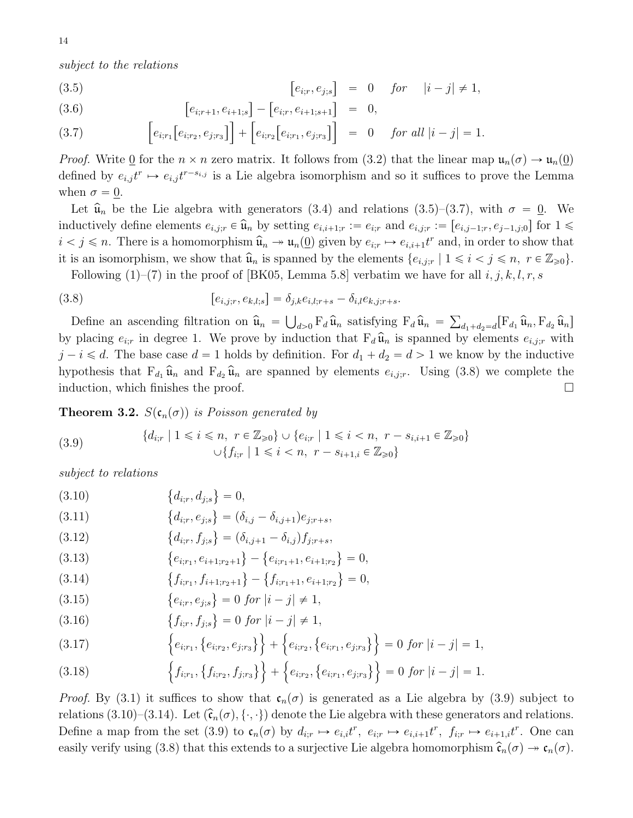subject to the relations

<span id="page-13-0"></span>(3.5) 
$$
[e_{i,r}, e_{j,s}] = 0 \quad \text{for} \quad |i - j| \neq 1,
$$

(3.6) 
$$
\left[e_{i;r+1}, e_{i+1;s}\right] - \left[e_{i;r}, e_{i+1;s+1}\right] = 0,
$$

(3.7) 
$$
\left[e_{i;r_1}\left[e_{i;r_2},e_{j;r_3}\right]\right]+\left[e_{i;r_2}\left[e_{i;r_1},e_{j;r_3}\right]\right] = 0 \text{ for all } |i-j|=1.
$$

*Proof.* Write  $\underline{0}$  for the  $n \times n$  zero matrix. It follows from [\(3.2\)](#page-12-4) that the linear map  $\mathfrak{u}_n(\sigma) \to \mathfrak{u}_n(\underline{0})$ defined by  $e_{i,j} t^r \mapsto e_{i,j} t^{r-s_{i,j}}$  is a Lie algebra isomorphism and so it suffices to prove the Lemma when  $\sigma = 0$ .

Let  $\hat{\mathfrak{u}}_n$  be the Lie algebra with generators [\(3.4\)](#page-12-5) and relations [\(3.5\)](#page-13-0)–[\(3.7\)](#page-13-0), with  $\sigma = 0$ . We inductively define elements  $e_{i,j;r} \in \hat{\mathfrak{u}}_n$  by setting  $e_{i,i+1;r} := e_{i;r}$  and  $e_{i,j;r} := [e_{i,j-1;r}, e_{j-1,j;0}]$  for  $1 \leq$  $i < j \le n$ . There is a homomorphism  $\hat{\mathfrak{u}}_n \to \mathfrak{u}_n(\underline{0})$  given by  $e_{i,r} \mapsto e_{i,i+1}t^r$  and, in order to show that it is an isomorphism, we show that  $\hat{u}_n$  is spanned by the elements  $\{e_{i,j;r} | 1 \leq i < j \leq n, r \in \mathbb{Z}_{\geq 0}\}.$ 

<span id="page-13-1"></span>Following  $(1)-(7)$  in the proof of [\[BK05,](#page-49-9) Lemma 5.8] verbatim we have for all i, j, k, l, r, s

(3.8) 
$$
[e_{i,j;r}, e_{k,l;s}] = \delta_{j,k} e_{i,l;r+s} - \delta_{i,l} e_{k,j;r+s}.
$$

Define an ascending filtration on  $\hat{u}_n$  =  $_{d>0}$  F<sub>d</sub>  $\widehat{\mathfrak{u}}_n$  satisfying F<sub>d</sub>  $\widehat{\mathfrak{u}}_n$  =  $d_1+d_2=d\big[\mathrm{F}_{d_1}\,\widehat{\mathfrak{u}}_n,\mathrm{F}_{d_2}\,\widehat{\mathfrak{u}}_n\big]$ by placing  $e_{i;r}$  in degree 1. We prove by induction that  $F_d \hat{u}_n$  is spanned by elements  $e_{i,j;r}$  with  $j - i \le d$ . The base case  $d = 1$  holds by definition. For  $d_1 + d_2 = d > 1$  we know by the inductive hypothesis that  $F_{d_1} \hat{u}_n$  and  $F_{d_2} \hat{u}_n$  are spanned by elements  $e_{i,j;r}$ . Using [\(3.8\)](#page-13-1) we complete the induction, which finishes the proof.

**Theorem 3.2.**  $S(\mathfrak{c}_n(\sigma))$  is Poisson generated by

<span id="page-13-2"></span>(3.9) 
$$
\{d_{i;r} \mid 1 \leq i \leq n, \ r \in \mathbb{Z}_{\geq 0}\} \cup \{e_{i;r} \mid 1 \leq i < n, \ r - s_{i,i+1} \in \mathbb{Z}_{\geq 0}\} \\ \cup \{f_{i;r} \mid 1 \leq i < n, \ r - s_{i+1,i} \in \mathbb{Z}_{\geq 0}\}
$$

subject to relations

(3.10) 
$$
\{d_{i;r}, d_{j;s}\} = 0,
$$

(3.11) 
$$
\{d_{i;r}, e_{j;s}\} = (\delta_{i,j} - \delta_{i,j+1})e_{j;r+s},
$$

(3.12) 
$$
\{d_{i,r}, f_{j;s}\} = (\delta_{i,j+1} - \delta_{i,j})f_{j;r+s},
$$

(3.13) 
$$
\{e_{i,r_1}, e_{i+1,r_2+1}\} - \{e_{i,r_1+1}, e_{i+1,r_2}\} = 0,
$$

<span id="page-13-3"></span>(

(3.14) 
$$
\{f_{i,r_1}, f_{i+1;r_2+1}\} - \{f_{i;r_1+1}, e_{i+1;r_2}\} = 0,
$$

(3.15) 
$$
\{e_{i;r}, e_{j;s}\} = 0 \text{ for } |i-j| \neq 1,
$$

(3.16) 
$$
\{f_{i;r}, f_{j;s}\} = 0 \text{ for } |i-j| \neq 1,
$$

(3.17) 
$$
\{e_{i,r_1}, \{e_{i,r_2}, e_{j,r_3}\}\} + \{e_{i,r_2}, \{e_{i,r_1}, e_{j,r_3}\}\} = 0 \text{ for } |i - j| = 1,
$$

(3.18) 
$$
\left\{f_{i;r_1},\left\{f_{i;r_2},f_{j;r_3}\right\}\right\}+\left\{e_{i;r_2},\left\{e_{i;r_1},e_{j;r_3}\right\}\right\}=0 \text{ for } |i-j|=1.
$$

*Proof.* By [\(3.1\)](#page-12-6) it suffices to show that  $c_n(\sigma)$  is generated as a Lie algebra by [\(3.9\)](#page-13-2) subject to relations [\(3.10\)](#page-13-3)–[\(3.14\)](#page-13-3). Let  $(\hat{\mathfrak{c}}_n(\sigma), \{\cdot, \cdot\})$  denote the Lie algebra with these generators and relations. Define a map from the set [\(3.9\)](#page-13-2) to  $\mathfrak{c}_n(\sigma)$  by  $d_{i;r} \mapsto e_{i,i}t^r$ ,  $e_{i,r} \mapsto e_{i,i+1}t^r$ ,  $f_{i;r} \mapsto e_{i+1,i}t^r$ . One can easily verify using [\(3.8\)](#page-13-1) that this extends to a surjective Lie algebra homomorphism  $\hat{\mathfrak{c}}_n(\sigma) \to \mathfrak{c}_n(\sigma)$ .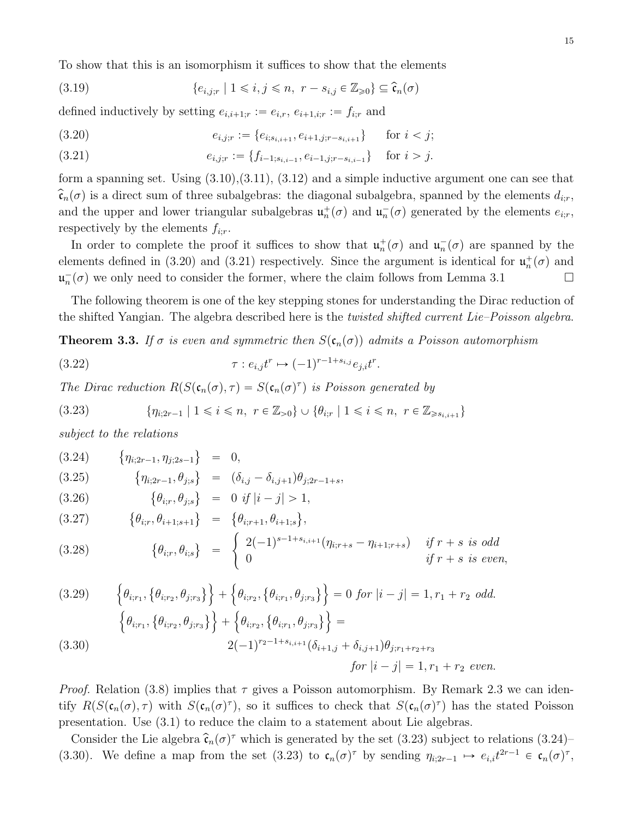To show that this is an isomorphism it suffices to show that the elements

(3.19) 
$$
\{e_{i,j;r} | 1 \leq i,j \leq n, r - s_{i,j} \in \mathbb{Z}_{\geq 0}\} \subseteq \widehat{\mathfrak{c}}_n(\sigma)
$$

defined inductively by setting  $e_{i,i+1;r} := e_{i,r}, e_{i+1,i;r} := f_{i;r}$  and

<span id="page-14-0"></span>(3.20) 
$$
e_{i,j;r} := \{e_{i;s_{i,i+1}}, e_{i+1,j;r-s_{i,i+1}}\} \text{ for } i < j;
$$

(3.21) 
$$
e_{i,j;r} := \{f_{i-1;s_{i,i-1}}, e_{i-1,j;r-s_{i,i-1}}\} \text{ for } i > j.
$$

form a spanning set. Using  $(3.10),(3.11),(3.12)$  $(3.10),(3.11),(3.12)$  $(3.10),(3.11),(3.12)$  and a simple inductive argument one can see that  $\widehat{\mathfrak{c}}_n(\sigma)$  is a direct sum of three subalgebras: the diagonal subalgebra, spanned by the elements  $d_{i,r}$ , and the upper and lower triangular subalgebras  $\mathfrak{u}_n^+(\sigma)$  and  $\mathfrak{u}_n^-(\sigma)$  generated by the elements  $e_{i,r}$ , respectively by the elements  $f_{i,r}$ .

In order to complete the proof it suffices to show that  $\mathfrak{u}_n^+(\sigma)$  and  $\mathfrak{u}_n^-(\sigma)$  are spanned by the elements defined in [\(3.20\)](#page-14-0) and [\(3.21\)](#page-14-0) respectively. Since the argument is identical for  $\mathfrak{u}_n^+(\sigma)$  and  $\mathfrak{u}_n^-(\sigma)$  we only need to consider the former, where the claim follows from Lemma [3.1](#page-12-7)

The following theorem is one of the key stepping stones for understanding the Dirac reduction of the shifted Yangian. The algebra described here is the *twisted shifted current Lie–Poisson algebra*.

<span id="page-14-4"></span>**Theorem 3.3.** If  $\sigma$  is even and symmetric then  $S(\mathfrak{c}_n(\sigma))$  admits a Poisson automorphism

<span id="page-14-5"></span>(3.22) 
$$
\tau: e_{i,j}t^r \mapsto (-1)^{r-1+s_{i,j}}e_{j,i}t^r.
$$

The Dirac reduction  $R(S(\mathfrak{c}_n(\sigma), \tau) = S(\mathfrak{c}_n(\sigma)^\tau)$  is Poisson generated by

<span id="page-14-1"></span>
$$
(3.23) \t\t \{\eta_{i;2r-1} \mid 1 \leq i \leq n, \ r \in \mathbb{Z}_{>0}\} \cup \{\theta_{i;r} \mid 1 \leq i \leq n, \ r \in \mathbb{Z}_{\geq s_{i,i+1}}\}
$$

subject to the relations 

<span id="page-14-2"></span>(3.24) 
$$
\{\eta_{i;2r-1}, \eta_{j;2s-1}\} = 0,
$$
  
(3.25) 
$$
\{\eta_{i;2r-1}, \theta_{j;s}\} = (\delta_{i,j} - \delta_{i,j+1})\theta_{j;2r-1+s},
$$

(3.26) 
$$
\{\theta_{i,r}, \theta_{j,s}\} = 0 \text{ if } |i - j| > 1,
$$

$$
(3.27) \qquad \{ \theta_{i,r}, \theta_{i+1,s+1} \} = \{ \theta_{i,r+1}, \theta_{i+1,s} \},
$$

(3.28) 
$$
\{\theta_{i;r}, \theta_{i;s}\} = \begin{cases} 2(-1)^{s-1+s_{i,i+1}}(\eta_{i;r+s} - \eta_{i+1;r+s}) & \text{if } r+s \text{ is odd} \\ 0 & \text{if } r+s \text{ is even,} \end{cases}
$$

<span id="page-14-3"></span>(3.29) 
$$
\left\{\theta_{i,r_1}, \left\{\theta_{i,r_2}, \theta_{j,r_3}\right\}\right\} + \left\{\theta_{i,r_2}, \left\{\theta_{i,r_1}, \theta_{j,r_3}\right\}\right\} = 0 \text{ for } |i - j| = 1, r_1 + r_2 \text{ odd.}
$$

$$
\left\{\theta_{i,r_1}, \left\{\theta_{i,r_2}, \theta_{j,r_3}\right\}\right\} + \left\{\theta_{i,r_2}, \left\{\theta_{i,r_1}, \theta_{j,r_3}\right\}\right\} =
$$

(3.30) 
$$
2(-1)^{r_2-1+s_{i,i+1}}(\delta_{i+1,j}+\delta_{i,j+1})\theta_{j;r_1+r_2+r_3}
$$
  
for  $|i-j|=1, r_1+r_2$  even.

*Proof.* Relation [\(3.8\)](#page-13-1) implies that  $\tau$  gives a Poisson automorphism. By Remark [2.3](#page-8-4) we can identify  $R(S(\mathfrak{c}_n(\sigma), \tau)$  with  $S(\mathfrak{c}_n(\sigma)^{\tau})$ , so it suffices to check that  $S(\mathfrak{c}_n(\sigma)^{\tau})$  has the stated Poisson presentation. Use [\(3.1\)](#page-12-6) to reduce the claim to a statement about Lie algebras.

Consider the Lie algebra  $\hat{\mathfrak{c}}_n(\sigma)^\tau$  which is generated by the set [\(3.23\)](#page-14-1) subject to relations [\(3.24\)](#page-14-2)– [\(3.30\)](#page-14-3). We define a map from the set [\(3.23\)](#page-14-1) to  $\mathfrak{c}_n(\sigma)^\tau$  by sending  $\eta_{i;2r-1} \mapsto e_{i,i}t^{2r-1} \in \mathfrak{c}_n(\sigma)^\tau$ ,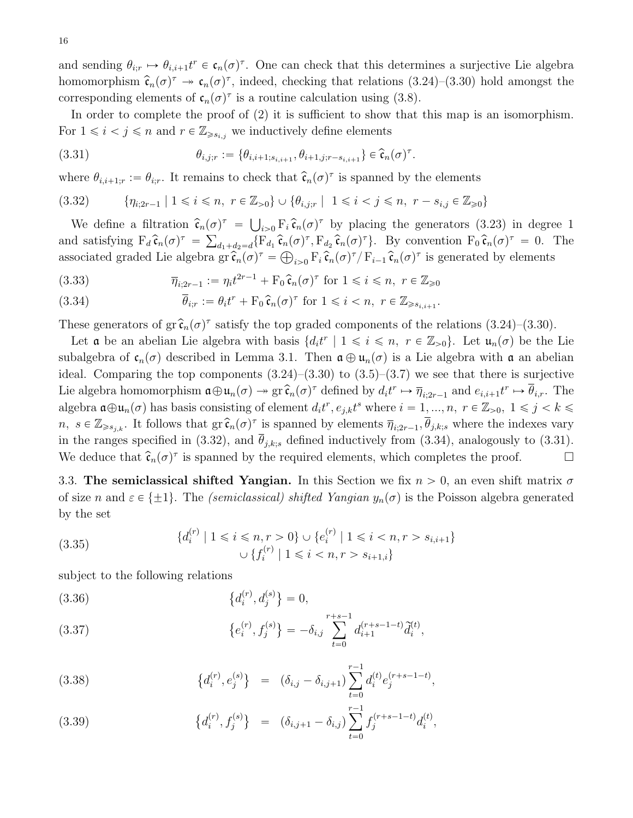and sending  $\theta_{i;r} \mapsto \theta_{i,i+1}t^r \in \mathfrak{c}_n(\sigma)^\tau$ . One can check that this determines a surjective Lie algebra homomorphism  $\hat{\mathfrak{c}}_n(\sigma)^\tau \to \mathfrak{c}_n(\sigma)^\tau$ , indeed, checking that relations [\(3.24\)](#page-14-2)–[\(3.30\)](#page-14-3) hold amongst the corresponding elements of  $\mathfrak{c}_n(\sigma)^\tau$  is a routine calculation using [\(3.8\)](#page-13-1).

In order to complete the proof of (2) it is sufficient to show that this map is an isomorphism. For  $1 \leq i \leq j \leq n$  and  $r \in \mathbb{Z}_{\geq s_{i,j}}$  we inductively define elements

<span id="page-15-3"></span>(3.31) 
$$
\theta_{i,j;r} := \{ \theta_{i,i+1;s_{i,i+1}}, \theta_{i+1,j;r-s_{i,i+1}} \} \in \hat{\mathfrak{c}}_n(\sigma)^\tau.
$$

where  $\theta_{i,i+1;r} := \theta_{i;r}$ . It remains to check that  $\hat{\mathfrak{c}}_n(\sigma)^\tau$  is spanned by the elements

<span id="page-15-1"></span>
$$
(3.32) \qquad \{ \eta_{i;2r-1} \mid 1 \le i \le n, \ r \in \mathbb{Z}_{>0} \} \cup \{ \theta_{i,j;r} \mid 1 \le i < j \le n, \ r - s_{i,j} \in \mathbb{Z}_{\ge 0} \}
$$

We define a filtration  $\hat{\mathfrak{c}}_n(\sigma)^\tau$  =  $(\sigma)^{\tau} = \bigcup_{i>0} \mathbf{F}_i \hat{\mathbf{c}}_n(\sigma)^{\tau}$  by placing the generators [\(3.23\)](#page-14-1) in degree 1 and satisfying  $F_d \hat{c}_n(\sigma)^\tau = \sum_{d_1+d_2=d} \{F_{d_1} \hat{c}_n(\sigma)^\tau, F_{d_2} \hat{c}_n(\sigma)^\tau\}$ . By convention  $F_0 \hat{c}_n(\sigma)^\tau = 0$ . The associated graded Lie algebra  $gr\hat{\epsilon}_n(\sigma)^\tau =$  $\mathfrak{c}_n($  $_{i>0}$   $\mathrm{F}_i \, \widehat{\mathfrak{c}}_n(\sigma)^\tau / \mathrm{F}_{i-1} \, \widehat{\mathfrak{c}}_n(\sigma)^\tau$  is generated by elements

<span id="page-15-2"></span>(3.33) 
$$
\overline{\eta}_{i;2r-1} := \eta_i t^{2r-1} + \mathcal{F}_0 \hat{\mathfrak{c}}_n(\sigma)^\tau \text{ for } 1 \leq i \leq n, \ r \in \mathbb{Z}_{\geq 0}
$$

(3.34) 
$$
\overline{\theta}_{i;r} := \theta_i t^r + F_0 \hat{\mathfrak{c}}_n(\sigma)^{\tau} \text{ for } 1 \leq i < n, \ r \in \mathbb{Z}_{\geq s_{i,i+1}}.
$$

These generators of  $gr \hat{\mathfrak{c}}_n(\sigma)$ <sup> $\tau$ </sup> satisfy the top graded components of the relations [\(3.24\)](#page-14-2)–[\(3.30\)](#page-14-3).

Let **a** be an abelian Lie algebra with basis  $\{d_i t^r \mid 1 \leq i \leq n, r \in \mathbb{Z}_{>0}\}$ . Let  $\mathfrak{u}_n(\sigma)$  be the Lie subalgebra of  $\mathfrak{c}_n(\sigma)$  described in Lemma [3.1.](#page-12-7) Then  $\mathfrak{a} \oplus \mathfrak{u}_n(\sigma)$  is a Lie algebra with  $\mathfrak{a}$  an abelian ideal. Comparing the top components  $(3.24)$ – $(3.30)$  to  $(3.5)$ – $(3.7)$  we see that there is surjective Lie algebra homomorphism  $\mathfrak{a} \oplus \mathfrak{u}_n(\sigma) \to \text{gr } \widehat{\mathfrak{c}}_n(\sigma)^\tau$  defined by  $d_i t^r \mapsto \overline{\eta}_{i;2r-1}$  and  $e_{i,i+1}t^r \mapsto \overline{\theta}_{i,r}$ . The algebra  $\mathfrak{a} \oplus \mathfrak{u}_n(\sigma)$  has basis consisting of element  $d_i t^r, e_{j,k} t^s$  where  $i = 1, ..., n$ ,  $r \in \mathbb{Z}_{>0}$ ,  $1 \leq j \leq k \leq n$  $n, s \in \mathbb{Z}_{\geq s_{j,k}}$ . It follows that  $gr \hat{\mathfrak{c}}_n(\sigma)^\tau$  is spanned by elements  $\overline{\eta}_{i;2r-1}, \overline{\theta}_{j,k;s}$  where the indexes vary in the ranges specified in [\(3.32\)](#page-15-1), and  $\bar{\theta}_{j,k;s}$  defined inductively from [\(3.34\)](#page-15-2), analogously to [\(3.31\)](#page-15-3). We deduce that  $\hat{\mathfrak{c}}_n(\sigma)^\tau$  is spanned by the required elements, which completes the proof.

<span id="page-15-0"></span>3.3. The semiclassical shifted Yangian. In this Section we fix  $n > 0$ , an even shift matrix  $\sigma$ of size n and  $\varepsilon \in \{\pm 1\}$ . The *(semiclassical) shifted Yangian*  $y_n(\sigma)$  is the Poisson algebra generated by the set

<span id="page-15-6"></span>(3.35) 
$$
\{d_i^{(r)} \mid 1 \le i \le n, r > 0\} \cup \{e_i^{(r)} \mid 1 \le i < n, r > s_{i,i+1}\} \cup \{f_i^{(r)} \mid 1 \le i < n, r > s_{i+1,i}\}
$$

subject to the following relations

<span id="page-15-4"></span>(3.36) 
$$
\{d_i^{(r)}, d_j^{(s)}\} = 0,
$$

(3.37) 
$$
\{e_i^{(r)}, f_j^{(s)}\} = -\delta_{i,j} \sum_{t=0}^{r+s-1} d_{i+1}^{(r+s-1-t)} \tilde{d}_i^{(t)},
$$

<span id="page-15-5"></span>(3.38) 
$$
\{d_i^{(r)}, e_j^{(s)}\} = (\delta_{i,j} - \delta_{i,j+1}) \sum_{t=0}^{r-1} d_i^{(t)} e_j^{(r+s-1-t)},
$$

(3.39) 
$$
\{d_i^{(r)}, f_j^{(s)}\} = (\delta_{i,j+1} - \delta_{i,j}) \sum_{t=0}^{r-1} f_j^{(r+s-1-t)} d_i^{(t)},
$$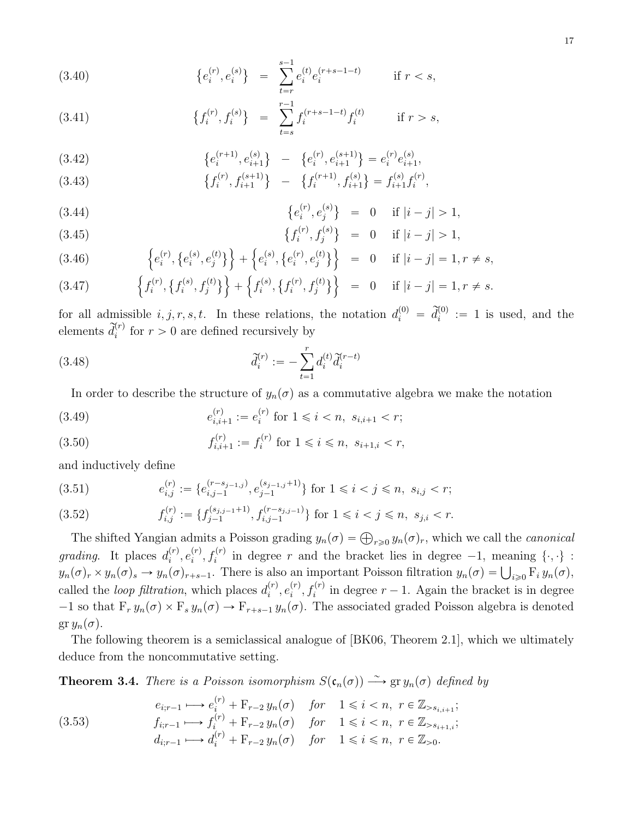<span id="page-16-5"></span>(3.40) 
$$
\{e_i^{(r)}, e_i^{(s)}\} = \sum_{t=r}^{s-1} e_i^{(t)} e_i^{(r+s-1-t)} \quad \text{if } r < s,
$$

(3.41) 
$$
\{f_i^{(r)}, f_i^{(s)}\} = \sum_{t=s}^{r-1} f_i^{(r+s-1-t)} f_i^{(t)} \quad \text{if } r > s,
$$

<span id="page-16-6"></span>(3.42) 
$$
\{e_i^{(r+1)}, e_{i+1}^{(s)}\} - \{e_i^{(r)}, e_{i+1}^{(s+1)}\} = e_i^{(r)} e_{i+1}^{(s)},
$$

(3.43) 
$$
\{f_i^{(r)}, f_{i+1}^{(s+1)}\} - \{f_i^{(r+1)}, f_{i+1}^{(s)}\} = f_{i+1}^{(s)} f_i^{(r)},
$$

<span id="page-16-0"></span>(3.44) 
$$
\{e_i^{(r)}, e_j^{(s)}\} = 0 \quad \text{if } |i - j| > 1,
$$

$$
\{f_i^{(r)}, f_j^{(s)}\} = 0 \quad \text{if } |i - j| > 1,
$$

(3.45) 
$$
\{f_i^{(r)}, f_j^{(s)}\} = 0 \quad \text{if } |i - j| > 1,
$$

$$
(3.46) \qquad \left\{ e_i^{(r)}, \{ e_i^{(s)}, e_j^{(t)} \} \right\} + \left\{ e_i^{(s)}, \{ e_i^{(r)}, e_j^{(t)} \} \right\} = 0 \quad \text{if } |i - j| = 1, r \neq s,
$$

$$
(3.47) \qquad \left\{ f_i^{(r)}, \left\{ f_i^{(s)}, f_j^{(t)} \right\} \right\} + \left\{ f_i^{(s)}, \left\{ f_i^{(r)}, f_j^{(t)} \right\} \right\} = 0 \quad \text{if } |i - j| = 1, r \neq s.
$$

for all admissible  $i, j, r, s, t$ . In these relations, the notation  $d_i^{(0)} = \tilde{d}_i^{(0)} := 1$  is used, and the elements  $\tilde{d}_i^{(r)}$  for  $r > 0$  are defined recursively by

(3.48) 
$$
\tilde{d}_i^{(r)} := -\sum_{t=1}^r d_i^{(t)} \tilde{d}_i^{(r-t)}
$$

<span id="page-16-3"></span>In order to describe the structure of  $y_n(\sigma)$  as a commutative algebra we make the notation

(3.49) 
$$
e_{i,i+1}^{(r)} := e_i^{(r)} \text{ for } 1 \leq i < n, \ s_{i,i+1} < r;
$$

(3.50) 
$$
f_{i,i+1}^{(r)} := f_i^{(r)} \text{ for } 1 \leq i \leq n, \ s_{i+1,i} < r,
$$

and inductively define

<span id="page-16-2"></span>
$$
(3.51) \t e_{i,j}^{(r)} := \{e_{i,j-1}^{(r-s_{j-1,j})}, e_{j-1}^{(s_{j-1,j}+1)}\} \text{ for } 1 \le i < j \le n, \ s_{i,j} < r;
$$

(3.52) 
$$
f_{i,j}^{(r)} := \{ f_{j-1}^{(s_{j,j-1}+1)}, f_{i,j-1}^{(r-s_{j,j-1})} \} \text{ for } 1 \leq i < j \leq n, \ s_{j,i} < r.
$$

The shifted Yangian admits a Poisson grading  $y_n(\sigma) = \bigoplus_{r\geqslant 0} y_n(\sigma)_r$ , which we call the *canonical grading*. It places  $d_i^{(r)}$  $i^{(r)}, e_i^{(r)}$  $i^{(r)}$ ,  $f_i^{(r)}$  in degree r and the bracket lies in degree  $-1$ , meaning  $\{\cdot, \cdot\}$ : graang. It places  $a_i^y, e_i^z, f_i^z$  in degree r and the bracket lies in degree  $-1$ , meaning  $\{\cdot, \cdot\}$ :<br>  $y_n(\sigma)_r \times y_n(\sigma)_s \to y_n(\sigma)_{r+s-1}$ . There is also an important Poisson filtration  $y_n(\sigma) = \bigcup_{i \geq 0} F_i y_n(\sigma)$ , called the *loop filtration*, which places  $d_i^{(r)}$  $\binom{r}{i}, e_i^{(r)}$  $i^{(r)}$ ,  $f_i^{(r)}$  in degree  $r - 1$ . Again the bracket is in degree  $-1$  so that  $F_r y_n(\sigma) \times F_s y_n(\sigma) \to F_{r+s-1} y_n(\sigma)$ . The associated graded Poisson algebra is denoted  $\operatorname{gr} y_n(\sigma)$ .

The following theorem is a semiclassical analogue of [\[BK06,](#page-49-8) Theorem 2.1], which we ultimately deduce from the noncommutative setting.

<span id="page-16-4"></span>**Theorem 3.4.** There is a Poisson isomorphism  $S(\mathfrak{c}_n(\sigma)) \longrightarrow \text{gr } y_n(\sigma)$  defined by

<span id="page-16-1"></span>(3.53) 
$$
e_{i,r-1} \longmapsto e_i^{(r)} + F_{r-2} y_n(\sigma) \quad \text{for} \quad 1 \le i < n, \ r \in \mathbb{Z}_{>s_{i,i+1}};
$$
\n
$$
f_{i,r-1} \longmapsto f_i^{(r)} + F_{r-2} y_n(\sigma) \quad \text{for} \quad 1 \le i < n, \ r \in \mathbb{Z}_{>s_{i+1,i}};
$$
\n
$$
d_{i,r-1} \longmapsto d_i^{(r)} + F_{r-2} y_n(\sigma) \quad \text{for} \quad 1 \le i \le n, \ r \in \mathbb{Z}_{>0}.
$$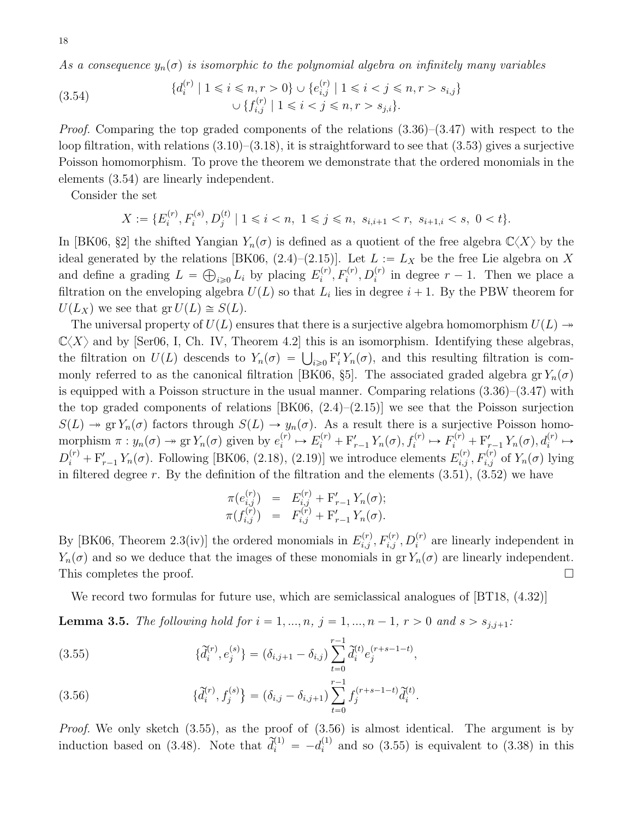As a consequence  $y_n(\sigma)$  is isomorphic to the polynomial algebra on infinitely many variables

<span id="page-17-0"></span>(3.54) 
$$
\{d_i^{(r)} \mid 1 \le i \le n, r > 0\} \cup \{e_{i,j}^{(r)} \mid 1 \le i < j \le n, r > s_{i,j}\} \cup \{f_{i,j}^{(r)} \mid 1 \le i < j \le n, r > s_{j,i}\}.
$$

*Proof.* Comparing the top graded components of the relations  $(3.36)$ – $(3.47)$  with respect to the loop filtration, with relations  $(3.10)$ – $(3.18)$ , it is straightforward to see that  $(3.53)$  gives a surjective Poisson homomorphism. To prove the theorem we demonstrate that the ordered monomials in the elements [\(3.54\)](#page-17-0) are linearly independent.

Consider the set

$$
X := \{ E_i^{(r)}, F_i^{(s)}, D_j^{(t)} \mid 1 \le i < n, \ 1 \le j \le n, \ s_{i,i+1} < r, \ s_{i+1,i} < s, \ 0 < t \}.
$$

In [\[BK06,](#page-49-8) §2] the shifted Yangian  $Y_n(\sigma)$  is defined as a quotient of the free algebra  $\mathbb{C}\langle X\rangle$  by the ideal generated by the relations [\[BK06,](#page-49-8)  $(2.4)$ – $(2.15)$ ]. Let  $L := L_X$  be the free Lie algebra on X and define a grading  $L = \bigoplus_{i \geq 0} L_i$  by placing  $E_i^{(r)}$  $i_i^{(r)}, F_i^{(r)}, D_i^{(r)}$  in degree  $r-1$ . Then we place a filtration on the enveloping algebra  $U(L)$  so that  $L_i$  lies in degree  $i + 1$ . By the PBW theorem for  $U(L_X)$  we see that  $gr U(L) \cong S(L)$ .

The universal property of  $U(L)$  ensures that there is a surjective algebra homomorphism  $U(L) \rightarrow$  $\mathbb{C}\langle X\rangle$  and by [\[Ser06,](#page-50-14) I, Ch. IV, Theorem 4.2] this is an isomorphism. Identifying these algebras,  $\cup \langle X \rangle$  and by Servo, 1, Cn. Tv, Theorem 4.2 this is an isomorphism. Identifying these algebras,<br>the filtration on  $U(L)$  descends to  $Y_n(\sigma) = \bigcup_{i \geq 0} F'_i Y_n(\sigma)$ , and this resulting filtration is com-monly referred to as the canonical filtration [\[BK06,](#page-49-8) §5]. The associated graded algebra gr  $Y_n(\sigma)$ is equipped with a Poisson structure in the usual manner. Comparing relations [\(3.36\)](#page-15-4)–[\(3.47\)](#page-16-0) with the top graded components of relations  $[BK06, (2.4)–(2.15)]$  we see that the Poisson surjection  $S(L) \twoheadrightarrow \text{gr } Y_n(\sigma)$  factors through  $S(L) \rightarrow y_n(\sigma)$ . As a result there is a surjective Poisson homomorphism  $\pi : y_n(\sigma) \to \operatorname{gr} Y_n(\sigma)$  given by  $e_i^{(r)}$  $f_i^{(r)} \mapsto E_i^{(r)} + F'_{r-1} Y_n(\sigma), f_i^{(r)} \mapsto F_i^{(r)} + F'_{r-1} Y_n(\sigma), d_i^{(r)} \mapsto$  $D_i^{(r)} + F'_{r-1} Y_n(\sigma)$ . Following [\[BK06,](#page-49-8) (2.18), (2.19)] we introduce elements  $E_{i,j}^{(r)}$ ,  $F_{i,j}^{(r)}$  of  $Y_n(\sigma)$  lying in filtered degree r. By the definition of the filtration and the elements  $(3.51)$ ,  $(3.52)$  we have

$$
\pi(e_{i,j}^{(r)}) = E_{i,j}^{(r)} + F'_{r-1} Y_n(\sigma);
$$
  
\n
$$
\pi(f_{i,j}^{(r)}) = F_{i,j}^{(r)} + F'_{r-1} Y_n(\sigma).
$$

By [\[BK06,](#page-49-8) Theorem 2.3(iv)] the ordered monomials in  $E_{i,j}^{(r)}$ ,  $F_{i,j}^{(r)}$ ,  $D_i^{(r)}$  are linearly independent in  $Y_n(\sigma)$  and so we deduce that the images of these monomials in gr  $Y_n(\sigma)$  are linearly independent. This completes the proof.

<span id="page-17-1"></span>We record two formulas for future use, which are semiclassical analogues of  $[BT18, (4.32)]$ 

**Lemma 3.5.** The following hold for  $i = 1, ..., n, j = 1, ..., n - 1, r > 0$  and  $s > s_{j,j+1}$ :

(3.55) 
$$
\{\tilde{d}_i^{(r)}, e_j^{(s)}\} = (\delta_{i,j+1} - \delta_{i,j}) \sum_{t=0}^{r-1} \tilde{d}_i^{(t)} e_j^{(r+s-1-t)},
$$

(3.56) 
$$
\{\tilde{d}_i^{(r)}, f_j^{(s)}\} = (\delta_{i,j} - \delta_{i,j+1}) \sum_{t=0}^{r-1} f_j^{(r+s-1-t)} \tilde{d}_i^{(t)}.
$$

Proof. We only sketch [\(3.55\)](#page-17-1), as the proof of [\(3.56\)](#page-17-1) is almost identical. The argument is by induction based on [\(3.48\)](#page-16-3). Note that  $\hat{d}_i^{(1)} = -d_i^{(1)}$  $i_i^{(1)}$  and so [\(3.55\)](#page-17-1) is equivalent to [\(3.38\)](#page-15-5) in this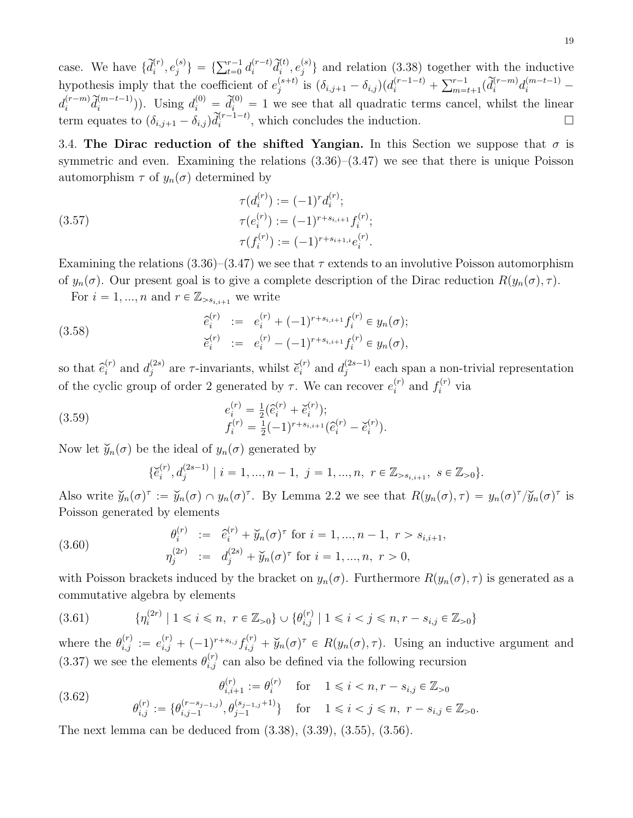case. We have  $\{\tilde{d}_i^{(r)}, e_j^{(s)}\}$  ${^{(s)}}_j$ } = { $\sum_{t=0}^{r-1} d_i^{(r-t)}$  $\tilde{d}_i^{(r-t)}\tilde{d}_i^{(t)}, e_j^{(s)}$  $j^{(s)}$  and relation [\(3.38\)](#page-15-5) together with the inductive hypothesis imply that the coefficient of  $e_i^{(s+t)}$  $j^{(s+t)}$  is  $(\delta_{i,j+1} - \delta_{i,j}) (d_i^{(r-1-t)} +$  $\bar{\nabla}^{r-1}$  $\prod_{m=t+1}^{r-1} (\tilde{d}_i^{(r-m)} d_i^{(m-t-1)}$  $d_i^{(r-m)}$  $\tilde{d}_i^{(r-m)}\tilde{d}_i^{(m-t-1)}$ ). Using  $d_i^{(0)} = \tilde{d}_i^{(0)} = 1$  we see that all quadratic terms cancel, whilst the linear term equates to  $(\delta_{i,j+1} - \delta_{i,j})\tilde{d}_i^{(r-1-t)}$ , which concludes the induction.

<span id="page-18-0"></span>3.4. The Dirac reduction of the shifted Yangian. In this Section we suppose that  $\sigma$  is symmetric and even. Examining the relations [\(3.36\)](#page-15-4)–[\(3.47\)](#page-16-0) we see that there is unique Poisson automorphism  $\tau$  of  $y_n(\sigma)$  determined by

<span id="page-18-5"></span>(3.57)  
\n
$$
\tau(d_i^{(r)}) := (-1)^r d_i^{(r)};
$$
\n
$$
\tau(e_i^{(r)}) := (-1)^{r+s_{i,i+1}} f_i^{(r)};
$$
\n
$$
\tau(f_i^{(r)}) := (-1)^{r+s_{i+1,i}} e_i^{(r)}.
$$

Examining the relations  $(3.36)$ – $(3.47)$  we see that  $\tau$  extends to an involutive Poisson automorphism of  $y_n(\sigma)$ . Our present goal is to give a complete description of the Dirac reduction  $R(y_n(\sigma), \tau)$ .

For  $i = 1, ..., n$  and  $r \in \mathbb{Z}_{\geq s_{i,i+1}}$  we write

(3.58) 
$$
\begin{aligned}\n\hat{e}_i^{(r)} &:= e_i^{(r)} + (-1)^{r + s_{i,i+1}} f_i^{(r)} \in y_n(\sigma); \\
\check{e}_i^{(r)} &:= e_i^{(r)} - (-1)^{r + s_{i,i+1}} f_i^{(r)} \in y_n(\sigma),\n\end{aligned}
$$

so that  $\hat{e}_i^{(r)}$  $i^{(r)}$  and  $d_j^{(2s)}$  $j_j^{(2s)}$  are  $\tau$ -invariants, whilst  $\check{e}_i^{(r)}$  $i^{(r)}$  and  $d_j^{(2s-1)}$  $j^{(2s-1)}$  each span a non-trivial representation of the cyclic group of order 2 generated by  $\tau$ . We can recover  $e_i^{(r)}$  $i \choose i$  and  $f_i^{(r)}$  via

(3.59) 
$$
e_i^{(r)} = \frac{1}{2} (\hat{e}_i^{(r)} + \check{e}_i^{(r)}); \nf_i^{(r)} = \frac{1}{2} (-1)^{r + s_{i,i+1}} (\hat{e}_i^{(r)} - \check{e}_i^{(r)}).
$$

Now let  $\widetilde{y}_n(\sigma)$  be the ideal of  $y_n(\sigma)$  generated by

<span id="page-18-2"></span><span id="page-18-1"></span>
$$
\{\breve{e}_i^{(r)}, d_j^{(2s-1)} \mid i = 1, ..., n-1, \ j = 1, ..., n, \ r \in \mathbb{Z}_{>s_{i,i+1}}, \ s \in \mathbb{Z}_{>0}\}.
$$

Also write  $\tilde{y}_n(\sigma)^\tau := \tilde{y}_n(\sigma) \cap y_n(\sigma)^\tau$ . By Lemma [2.2](#page-8-1) we see that  $R(y_n(\sigma), \tau) = y_n(\sigma)^\tau / \tilde{y}_n(\sigma)^\tau$  is Poisson generated by elements

(3.60) 
$$
\theta_i^{(r)} := \hat{e}_i^{(r)} + \check{y}_n(\sigma)^\tau \text{ for } i = 1, ..., n-1, r > s_{i,i+1},
$$

$$
\eta_j^{(2r)} := d_j^{(2s)} + \check{y}_n(\sigma)^\tau \text{ for } i = 1, ..., n, r > 0,
$$

with Poisson brackets induced by the bracket on  $y_n(\sigma)$ . Furthermore  $R(y_n(\sigma), \tau)$  is generated as a commutative algebra by elements

<span id="page-18-3"></span>
$$
(3.61) \qquad \{\eta_i^{(2r)} \mid 1 \le i \le n, \ r \in \mathbb{Z}_{>0}\} \cup \{\theta_{i,j}^{(r)} \mid 1 \le i < j \le n, r - s_{i,j} \in \mathbb{Z}_{>0}\}
$$

where the  $\theta_{i,j}^{(r)} := e_{i,j}^{(r)} + (-1)^{r+s_{i,j}} f_{i,j}^{(r)} + \check{y}_n(\sigma)^{\tau} \in R(y_n(\sigma), \tau)$ . Using an inductive argument and [\(3.37\)](#page-15-4) we see the elements  $\theta_{i,j}^{(r)}$  can also be defined via the following recursion

<span id="page-18-4"></span>(3.62) 
$$
\theta_{i,i+1}^{(r)} := \theta_i^{(r)} \quad \text{for} \quad 1 \le i < n, r - s_{i,j} \in \mathbb{Z}_{>0}
$$

$$
\theta_{i,j}^{(r)} := \{ \theta_{i,j-1}^{(r-s_{j-1,j})}, \theta_{j-1}^{(s_{j-1,j}+1)} \} \quad \text{for} \quad 1 \le i < j \le n, \ r - s_{i,j} \in \mathbb{Z}_{>0}.
$$

The next lemma can be deduced from [\(3.38\)](#page-15-5), [\(3.39\)](#page-15-5), [\(3.55\)](#page-17-1), [\(3.56\)](#page-17-1).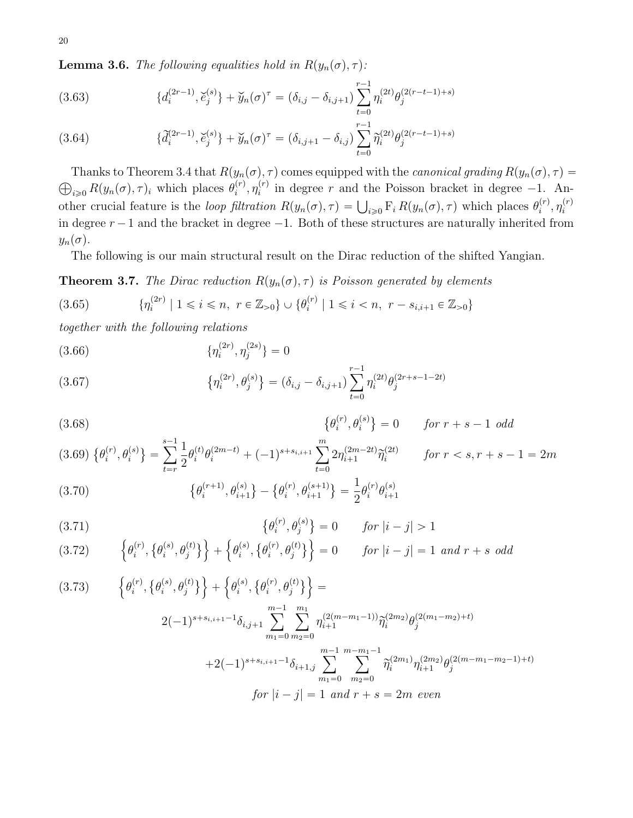**Lemma 3.6.** The following equalities hold in  $R(y_n(\sigma), \tau)$ :

<span id="page-19-5"></span>(3.63) 
$$
\{d_i^{(2r-1)}, \check{e}_j^{(s)}\} + \check{y}_n(\sigma)^\tau = (\delta_{i,j} - \delta_{i,j+1}) \sum_{t=0}^{r-1} \eta_i^{(2t)} \theta_j^{(2(r-t-1)+s)}
$$

(3.64) 
$$
\{\tilde{d}_i^{(2r-1)}, \tilde{e}_j^{(s)}\} + \tilde{y}_n(\sigma)^\tau = (\delta_{i,j+1} - \delta_{i,j}) \sum_{t=0}^{r-1} \tilde{\eta}_i^{(2t)} \theta_j^{(2(r-t-1)+s)}
$$

Thanks to Theorem [3.4](#page-16-4) that  $R(y_n(\sigma), \tau)$  comes equipped with the *canonical grading*  $R(y_n(\sigma), \tau)$  =  $i\geqslant0} R(y_n(\sigma), \tau)_i$  which places  $\theta_i^{(r)}$  $\eta_i^{(r)}, \eta_i^{(r)}$  $i^{(r)}$  in degree r and the Poisson bracket in degree  $-1$ . An- $\bigcup_{i\geqslant 0} P_i(y_n(\sigma), \tau)_i$  which places  $\theta_i$ ,  $\eta_i$  in degree  $\tau$  and the roisson blacket in degree  $-1$ .<br>other crucial feature is the *loop filtration*  $R(y_n(\sigma), \tau) = \bigcup_{i\geqslant 0} F_i R(y_n(\sigma), \tau)$  which places  $\theta_i^{(r)}$  $\eta_i^{(r)}, \eta_i^{(r)}$ i in degree  $r - 1$  and the bracket in degree  $-1$ . Both of these structures are naturally inherited from  $y_n(\sigma)$ .

The following is our main structural result on the Dirac reduction of the shifted Yangian.

<span id="page-19-0"></span>**Theorem 3.7.** The Dirac reduction  $R(y_n(\sigma), \tau)$  is Poisson generated by elements

<span id="page-19-6"></span>
$$
(3.65) \qquad \{ \eta_i^{(2r)} \mid 1 \le i \le n, \ r \in \mathbb{Z}_{>0} \} \cup \{ \theta_i^{(r)} \mid 1 \le i < n, \ r - s_{i,i+1} \in \mathbb{Z}_{>0} \}
$$

together with the following relations

<span id="page-19-1"></span>(3.66) 
$$
\{\eta_i^{(2r)}, \eta_j^{(2s)}\} = 0
$$

(3.67) 
$$
\{\eta_i^{(2r)}, \theta_j^{(s)}\} = (\delta_{i,j} - \delta_{i,j+1}) \sum_{t=0}^{r-1} \eta_i^{(2t)} \theta_j^{(2r+s-1-2t)}
$$

<span id="page-19-3"></span>(3.68) 
$$
\{\theta_i^{(r)}, \theta_i^{(s)}\} = 0 \quad \text{for } r+s-1 \text{ odd}
$$

$$
(3.69)\left\{\theta_i^{(r)}, \theta_i^{(s)}\right\} = \sum_{t=r}^{s-1} \frac{1}{2} \theta_i^{(t)} \theta_i^{(2m-t)} + (-1)^{s+s_{i,i+1}} \sum_{t=0}^m 2\eta_{i+1}^{(2m-2t)} \widetilde{\eta}_i^{(2t)} \qquad \text{for } r < s, r+s-1 = 2m
$$
\n
$$
(2.79)
$$

(3.70) 
$$
\{\theta_i^{(r+1)}, \theta_{i+1}^{(s)}\} - \{\theta_i^{(r)}, \theta_{i+1}^{(s+1)}\} = \frac{1}{2}\theta_i^{(r)}\theta_{i+1}^{(s)}
$$

<span id="page-19-4"></span>(3.71) 
$$
\{\theta_i^{(r)}, \theta_j^{(s)}\} = 0 \quad \text{for } |i - j| > 1
$$

(3.72) 
$$
\left\{\theta_i^{(r)}, \left\{\theta_i^{(s)}, \theta_j^{(t)}\right\}\right\} + \left\{\theta_i^{(s)}, \left\{\theta_i^{(r)}, \theta_j^{(t)}\right\}\right\} = 0 \quad \text{for } |i - j| = 1 \text{ and } r + s \text{ odd}
$$

<span id="page-19-2"></span>
$$
(3.73) \qquad \left\{ \theta_i^{(r)}, \left\{ \theta_i^{(s)}, \theta_j^{(t)} \right\} \right\} + \left\{ \theta_i^{(s)}, \left\{ \theta_i^{(r)}, \theta_j^{(t)} \right\} \right\} =
$$
\n
$$
2(-1)^{s+s_{i,i+1}-1} \delta_{i,j+1} \sum_{m_1=0}^{m-1} \sum_{m_2=0}^{m_1} \eta_{i+1}^{(2(m-m_1-1))} \tilde{\eta}_i^{(2m_2)} \theta_j^{(2(m_1-m_2)+t)}
$$
\n
$$
+2(-1)^{s+s_{i,i+1}-1} \delta_{i+1,j} \sum_{m_1=0}^{m-1} \sum_{m_2=0}^{m-m_1-1} \tilde{\eta}_i^{(2m_1)} \eta_{i+1}^{(2m_2)} \theta_j^{(2(m-m_1-m_2-1)+t)}
$$
\n
$$
for \left| i-j \right| = 1 \text{ and } r+s = 2m \text{ even}
$$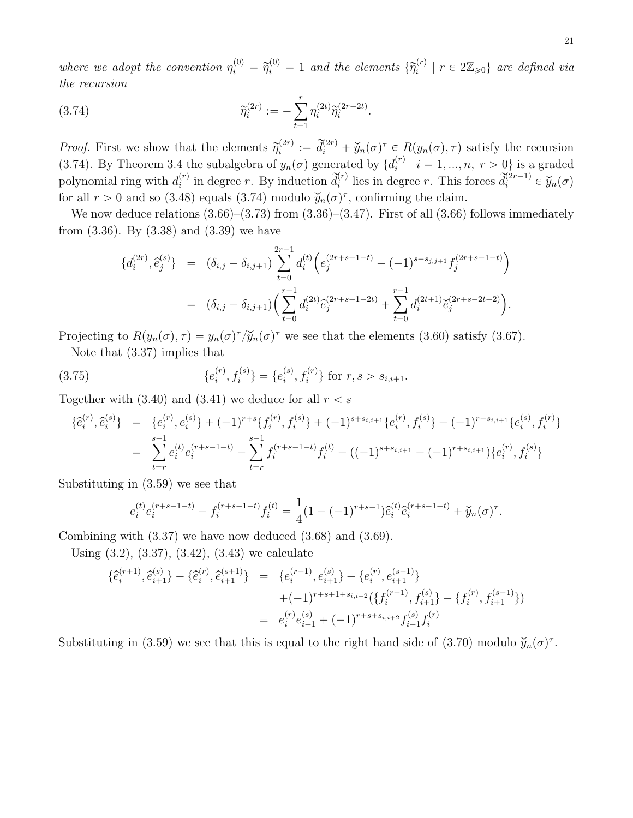where we adopt the convention  $\eta_i^{(0)} = \tilde{\eta}_i^{(0)} = 1$  and the elements  $\{\tilde{\eta}_i^{(r)}\}$  $i^{(r)}$  |  $r \in 2\mathbb{Z}_{\geqslant 0}$ } are defined via the recursion

<span id="page-20-0"></span>(3.74) 
$$
\widetilde{\eta}_i^{(2r)} := -\sum_{t=1}^r \eta_i^{(2t)} \widetilde{\eta}_i^{(2r-2t)}.
$$

*Proof.* First we show that the elements  $\widetilde{\eta}_i^{(2r)}$  $i^{(2r)} := \tilde{d}_i^{(2r)} + \tilde{y}_n(\sigma)^\tau \in R(y_n(\sigma), \tau)$  satisfy the recursion [\(3.74\)](#page-20-0). By Theorem [3.4](#page-16-4) the subalgebra of  $y_n(\sigma)$  generated by  $\{d_i^{(r)}\}$  $\binom{r}{i}$  |  $i = 1, ..., n, r > 0$ } is a graded polynomial ring with  $d_i^{(r)}$  $\widetilde{d}_i^{(r)}$  in degree r. By induction  $\widetilde{d}_i^{(r)}$  lies in degree r. This forces  $\widetilde{d}_i^{(2r-1)} \in \widetilde{y}_n(\sigma)$ for all  $r > 0$  and so [\(3.48\)](#page-16-3) equals [\(3.74\)](#page-20-0) modulo  $\widetilde{y}_n(\sigma)^\tau$ , confirming the claim.

We now deduce relations  $(3.66)$ – $(3.73)$  from  $(3.36)$ – $(3.47)$ . First of all  $(3.66)$  follows immediately from [\(3.36\)](#page-15-4). By [\(3.38\)](#page-15-5) and [\(3.39\)](#page-15-5) we have

$$
\{d_i^{(2r)}, \hat{e}_j^{(s)}\} = (\delta_{i,j} - \delta_{i,j+1}) \sum_{t=0}^{2r-1} d_i^{(t)} \Big(e_j^{(2r+s-1-t)} - (-1)^{s+s_{j,j+1}} f_j^{(2r+s-1-t)}\Big)
$$
  

$$
= (\delta_{i,j} - \delta_{i,j+1}) \Big(\sum_{t=0}^{r-1} d_i^{(2t)} \hat{e}_j^{(2r+s-1-2t)} + \sum_{t=0}^{r-1} d_i^{(2t+1)} \hat{e}_j^{(2r+s-2t-2)}\Big).
$$

Projecting to  $R(y_n(\sigma), \tau) = y_n(\sigma)^{\tau}/\widetilde{y}_n(\sigma)^{\tau}$  we see that the elements [\(3.60\)](#page-18-1) satisfy [\(3.67\)](#page-19-1). Note that [\(3.37\)](#page-15-4) implies that

<span id="page-20-1"></span>

(3.75) 
$$
\{e_i^{(r)}, f_i^{(s)}\} = \{e_i^{(s)}, f_i^{(r)}\} \text{ for } r, s > s_{i,i+1}.
$$

Together with  $(3.40)$  and  $(3.41)$  we deduce for all  $r < s$ 

$$
\begin{split} \{\hat{e}_{i}^{(r)},\hat{e}_{i}^{(s)}\} &= \{e_{i}^{(r)},e_{i}^{(s)}\} + (-1)^{r+s}\{f_{i}^{(r)},f_{i}^{(s)}\} + (-1)^{s+s_{i,i+1}}\{e_{i}^{(r)},f_{i}^{(s)}\} - (-1)^{r+s_{i,i+1}}\{e_{i}^{(s)},f_{i}^{(r)}\} \\ &= \sum_{t=r}^{s-1} e_{i}^{(t)}e_{i}^{(r+s-1-t)} - \sum_{t=r}^{s-1} f_{i}^{(r+s-1-t)}f_{i}^{(t)} - ((-1)^{s+s_{i,i+1}} - (-1)^{r+s_{i,i+1}})\{e_{i}^{(r)},f_{i}^{(s)}\} \end{split}
$$

Substituting in [\(3.59\)](#page-18-2) we see that

$$
e_i^{(t)} e_i^{(r+s-1-t)} - f_i^{(r+s-1-t)} f_i^{(t)} = \frac{1}{4} (1 - (-1)^{r+s-1}) \hat{e}_i^{(t)} \hat{e}_i^{(r+s-1-t)} + \breve{y}_n(\sigma)^\tau.
$$

Combining with [\(3.37\)](#page-15-4) we have now deduced [\(3.68\)](#page-19-3) and [\(3.69\)](#page-19-3).

Using [\(3.2\)](#page-12-4), [\(3.37\)](#page-15-4), [\(3.42\)](#page-16-6), [\(3.43\)](#page-16-6) we calculate

$$
\begin{aligned}\n\{\hat{e}_{i}^{(r+1)}, \hat{e}_{i+1}^{(s)}\} - \{\hat{e}_{i}^{(r)}, \hat{e}_{i+1}^{(s+1)}\} &= \{e_{i}^{(r+1)}, e_{i+1}^{(s)}\} - \{e_{i}^{(r)}, e_{i+1}^{(s+1)}\} \\
&\quad + (-1)^{r+s+1+s_{i,i+2}} \left(\{f_{i}^{(r+1)}, f_{i+1}^{(s)}\} - \{f_{i}^{(r)}, f_{i+1}^{(s+1)}\}\right) \\
&= e_{i}^{(r)} e_{i+1}^{(s)} + (-1)^{r+s+s_{i,i+2}} f_{i+1}^{(s)} f_{i}^{(r)}\n\end{aligned}
$$

Substituting in [\(3.59\)](#page-18-2) we see that this is equal to the right hand side of [\(3.70\)](#page-19-3) modulo  $\widetilde{y}_n(\sigma)^{\tau}$ .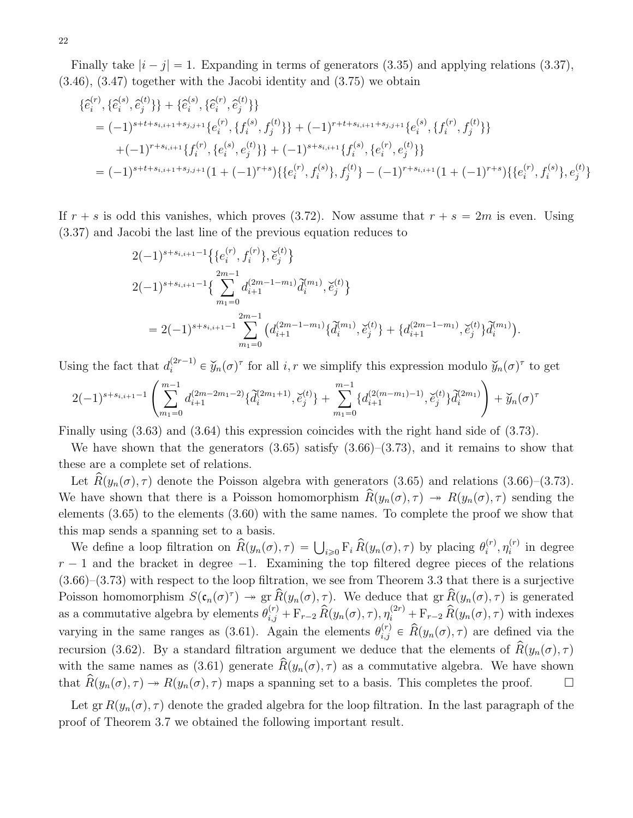Finally take  $|i - j| = 1$ . Expanding in terms of generators [\(3.35\)](#page-15-6) and applying relations [\(3.37\)](#page-15-4), [\(3.46\)](#page-16-0), [\(3.47\)](#page-16-0) together with the Jacobi identity and [\(3.75\)](#page-20-1) we obtain

$$
\begin{split}\n\{\hat{e}_{i}^{(r)}, \{\hat{e}_{i}^{(s)}, \hat{e}_{j}^{(t)}\}\} + \{\hat{e}_{i}^{(s)}, \{\hat{e}_{i}^{(r)}, \hat{e}_{j}^{(t)}\}\} \\
&= (-1)^{s+t+s_{i,i+1}+s_{j,j+1}} \{e_{i}^{(r)}, \{f_{i}^{(s)}, f_{j}^{(t)}\}\} + (-1)^{r+t+s_{i,i+1}+s_{j,j+1}} \{e_{i}^{(s)}, \{f_{i}^{(r)}, f_{j}^{(t)}\}\} \\
&+ (-1)^{r+s_{i,i+1}} \{f_{i}^{(r)}, \{e_{i}^{(s)}, e_{j}^{(t)}\}\} + (-1)^{s+s_{i,i+1}} \{f_{i}^{(s)}, \{e_{i}^{(r)}, e_{j}^{(t)}\}\} \\
&= (-1)^{s+t+s_{i,i+1}+s_{j,j+1}} \{1+(-1)^{r+s}\} \{ \{e_{i}^{(r)}, f_{i}^{(s)}\}, f_{j}^{(t)}\} - (-1)^{r+s_{i,i+1}} \{1+(-1)^{r+s}\} \{ \{e_{i}^{(r)}, f_{i}^{(s)}\}, e_{j}^{(t)}\}\n\end{split}
$$

If  $r + s$  is odd this vanishes, which proves [\(3.72\)](#page-19-4). Now assume that  $r + s = 2m$  is even. Using [\(3.37\)](#page-15-4) and Jacobi the last line of the previous equation reduces to

$$
2(-1)^{s+s_{i,i+1}-1} \{ \{e_i^{(r)}, f_i^{(r)}\}, \check{e}_j^{(t)} \}
$$
  
\n
$$
2(-1)^{s+s_{i,i+1}-1} \{ \sum_{m_1=0}^{2m-1} d_{i+1}^{(2m-1-m_1)} \tilde{d}_i^{(m_1)}, \check{e}_j^{(t)} \}
$$
  
\n
$$
= 2(-1)^{s+s_{i,i+1}-1} \sum_{m_1=0}^{2m-1} (d_{i+1}^{(2m-1-m_1)} \{ \tilde{d}_i^{(m_1)}, \check{e}_j^{(t)} \} + \{ d_{i+1}^{(2m-1-m_1)}, \check{e}_j^{(t)} \} \tilde{d}_i^{(m_1)}).
$$

Using the fact that  $d_i^{(2r-1)} \in \check{y}_n(\sigma)^\tau$  for all  $i, r$  we simplify this expression modulo  $\check{y}_n(\sigma)^\tau$  to get

$$
2(-1)^{s+s_{i,i+1}-1}\left(\sum_{m_1=0}^{m-1}d_{i+1}^{(2m-2m_1-2)}\{\tilde{d}_i^{(2m_1+1)},\tilde{e}_j^{(t)}\}+\sum_{m_1=0}^{m-1}\{d_{i+1}^{(2(m-m_1)-1)},\tilde{e}_j^{(t)}\}\tilde{d}_i^{(2m_1)}\right)+\tilde{y}_n(\sigma)^{\tau}
$$

Finally using [\(3.63\)](#page-19-5) and [\(3.64\)](#page-19-5) this expression coincides with the right hand side of [\(3.73\)](#page-19-2).

We have shown that the generators  $(3.65)$  satisfy  $(3.66)$ – $(3.73)$ , and it remains to show that these are a complete set of relations.

Let  $\hat{R}(y_n(\sigma), \tau)$  denote the Poisson algebra with generators [\(3.65\)](#page-19-6) and relations [\(3.66\)](#page-19-1)–[\(3.73\)](#page-19-2). We have shown that there is a Poisson homomorphism  $\hat{R}(y_n(\sigma), \tau) \to R(y_n(\sigma), \tau)$  sending the elements [\(3.65\)](#page-19-6) to the elements [\(3.60\)](#page-18-1) with the same names. To complete the proof we show that this map sends a spanning set to a basis.

is map sends a spanning set to a basis.<br>We define a loop filtration on  $\widehat{R}(y_n(\sigma), \tau) = \bigcup_{i \geq 0} \mathcal{F}_i \widehat{R}(y_n(\sigma), \tau)$  by placing  $\theta_i^{(r)}$  $\eta_i^{(r)}, \eta_i^{(r)}$  $i^{(r)}$  in degree  $r - 1$  and the bracket in degree  $-1$ . Examining the top filtered degree pieces of the relations [\(3.66\)](#page-19-1)–[\(3.73\)](#page-19-2) with respect to the loop filtration, we see from Theorem [3.3](#page-14-4) that there is a surjective Poisson homomorphism  $S(\mathfrak{c}_n(\sigma)^\tau) \to \text{gr } \hat{R}(y_n(\sigma), \tau)$ . We deduce that  $\text{gr } \hat{R}(y_n(\sigma), \tau)$  is generated as a commutative algebra by elements  $\theta_{i,j}^{(r)} + F_{r-2} \hat{R}(y_n(\sigma), \tau)$ ,  $\eta_i^{(2r)} + F_{r-2} \hat{R}(y_n(\sigma), \tau)$  with indexes varying in the same ranges as [\(3.61\)](#page-18-3). Again the elements  $\theta_{i,j}^{(r)} \in \hat{R}(y_n(\sigma), \tau)$  are defined via the recursion [\(3.62\)](#page-18-4). By a standard filtration argument we deduce that the elements of  $\hat{R}(y_n(\sigma), \tau)$ with the same names as [\(3.61\)](#page-18-3) generate  $\hat{R}(y_n(\sigma), \tau)$  as a commutative algebra. We have shown that  $\widehat{R}(y_n(\sigma), \tau) \to R(y_n(\sigma), \tau)$  maps a spanning set to a basis. This completes the proof.  $\Box$ 

Let gr  $R(y_n(\sigma), \tau)$  denote the graded algebra for the loop filtration. In the last paragraph of the proof of Theorem [3.7](#page-19-0) we obtained the following important result.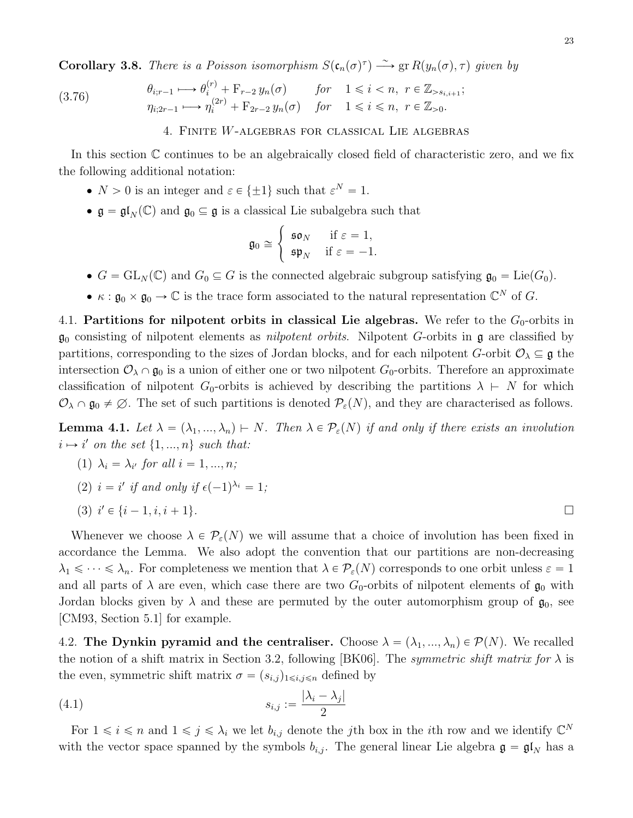<span id="page-22-4"></span>**Corollary 3.8.** There is a Poisson isomorphism  $S(\mathfrak{c}_n(\sigma)^\tau) \longrightarrow \text{gr } R(y_n(\sigma), \tau)$  given by

(3.76) 
$$
\theta_{i;r-1} \longmapsto \theta_i^{(r)} + \mathcal{F}_{r-2} y_n(\sigma) \quad \text{for} \quad 1 \leq i < n, \ r \in \mathbb{Z}_{>s_{i,i+1}}; \eta_{i;2r-1} \longmapsto \eta_i^{(2r)} + \mathcal{F}_{2r-2} y_n(\sigma) \quad \text{for} \quad 1 \leq i \leq n, \ r \in \mathbb{Z}_{>0}.
$$

4. Finite W-algebras for classical Lie algebras

<span id="page-22-0"></span>In this section  $\mathbb C$  continues to be an algebraically closed field of characteristic zero, and we fix the following additional notation:

- $N > 0$  is an integer and  $\varepsilon \in {\pm 1}$  such that  $\varepsilon^N = 1$ .
- $\mathfrak{g} = \mathfrak{gl}_N(\mathbb{C})$  and  $\mathfrak{g}_0 \subseteq \mathfrak{g}$  is a classical Lie subalgebra such that

$$
\mathfrak{g}_0 \cong \left\{ \begin{array}{ll} \mathfrak{so}_N & \text{if } \varepsilon = 1, \\ \mathfrak{sp}_N & \text{if } \varepsilon = -1. \end{array} \right.
$$

- $G = GL_N(\mathbb{C})$  and  $G_0 \subseteq G$  is the connected algebraic subgroup satisfying  $\mathfrak{g}_0 = \text{Lie}(G_0)$ .
- $\kappa : \mathfrak{g}_0 \times \mathfrak{g}_0 \to \mathbb{C}$  is the trace form associated to the natural representation  $\mathbb{C}^N$  of G.

<span id="page-22-1"></span>4.1. Partitions for nilpotent orbits in classical Lie algebras. We refer to the  $G_0$ -orbits in  $\mathfrak{g}_0$  consisting of nilpotent elements as *nilpotent orbits*. Nilpotent G-orbits in  $\mathfrak{g}$  are classified by partitions, corresponding to the sizes of Jordan blocks, and for each nilpotent G-orbit  $\mathcal{O}_\lambda \subseteq \mathfrak{g}$  the intersection  $\mathcal{O}_\lambda \cap \mathfrak{g}_0$  is a union of either one or two nilpotent  $G_0$ -orbits. Therefore an approximate classification of nilpotent G<sub>0</sub>-orbits is achieved by describing the partitions  $\lambda \vdash N$  for which  $\mathcal{O}_{\lambda} \cap \mathfrak{g}_0 \neq \emptyset$ . The set of such partitions is denoted  $\mathcal{P}_{\varepsilon}(N)$ , and they are characterised as follows.

<span id="page-22-3"></span>**Lemma 4.1.** Let  $\lambda = (\lambda_1, ..., \lambda_n) \vdash N$ . Then  $\lambda \in \mathcal{P}_{\varepsilon}(N)$  if and only if there exists an involution  $i \mapsto i'$  on the set  $\{1, ..., n\}$  such that:

- (1)  $\lambda_i = \lambda_{i'}$  for all  $i = 1, ..., n;$
- (2)  $i = i'$  if and only if  $\epsilon(-1)^{\lambda_i} = 1$ ;

$$
(3) \ \ i' \in \{i-1, i, i+1\}.
$$

Whenever we choose  $\lambda \in \mathcal{P}_{\varepsilon}(N)$  we will assume that a choice of involution has been fixed in accordance the Lemma. We also adopt the convention that our partitions are non-decreasing  $\lambda_1 \leq \cdots \leq \lambda_n$ . For completeness we mention that  $\lambda \in \mathcal{P}_{\varepsilon}(N)$  corresponds to one orbit unless  $\varepsilon = 1$ and all parts of  $\lambda$  are even, which case there are two  $G_0$ -orbits of nilpotent elements of  $\mathfrak{g}_0$  with Jordan blocks given by  $\lambda$  and these are permuted by the outer automorphism group of  $\mathfrak{g}_0$ , see [\[CM93,](#page-49-11) Section 5.1] for example.

<span id="page-22-2"></span>4.2. The Dynkin pyramid and the centraliser. Choose  $\lambda = (\lambda_1, ..., \lambda_n) \in \mathcal{P}(N)$ . We recalled the notion of a shift matrix in Section [3.2,](#page-12-2) following [\[BK06\]](#page-49-8). The *symmetric shift matrix for*  $\lambda$  is the even, symmetric shift matrix  $\sigma = (s_{i,j})_{1 \leq i,j \leq n}$  defined by

<span id="page-22-5"></span>
$$
(4.1) \t\t s_{i,j} := \frac{|\lambda_i - \lambda_j|}{2}
$$

For  $1 \leq i \leq n$  and  $1 \leq j \leq \lambda_i$  we let  $b_{i,j}$  denote the jth box in the *i*th row and we identify  $\mathbb{C}^N$ with the vector space spanned by the symbols  $b_{i,j}$ . The general linear Lie algebra  $\mathfrak{g} = \mathfrak{gl}_N$  has a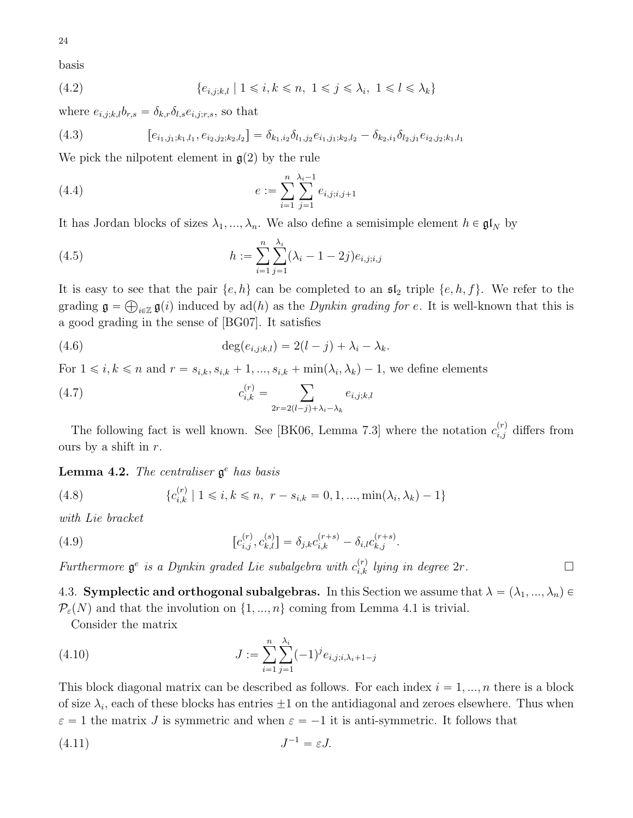basis

(4.2) 
$$
\{e_{i,j;k,l} \mid 1 \leq i,k \leq n, 1 \leq j \leq \lambda_i, 1 \leq l \leq \lambda_k\}
$$

where  $e_{i,j;k,l}b_{r,s} = \delta_{k,r}\delta_{l,s}e_{i,j;r,s}$ , so that

(4.3) 
$$
[e_{i_1,j_1;k_1,l_1},e_{i_2,j_2;k_2,l_2}] = \delta_{k_1,i_2}\delta_{l_1,j_2}e_{i_1,j_1;k_2,l_2} - \delta_{k_2,i_1}\delta_{l_2,j_1}e_{i_2,j_2;k_1,l_1}
$$

We pick the nilpotent element in  $g(2)$  by the rule

<span id="page-23-2"></span>(4.4) 
$$
e := \sum_{i=1}^{n} \sum_{j=1}^{\lambda_i - 1} e_{i,j;i,j+1}
$$

It has Jordan blocks of sizes  $\lambda_1, ..., \lambda_n$ . We also define a semisimple element  $h \in \mathfrak{gl}_N$  by

<span id="page-23-3"></span>(4.5) 
$$
h := \sum_{i=1}^{n} \sum_{j=1}^{\lambda_i} (\lambda_i - 1 - 2j) e_{i,j;i,j}
$$

It is easy to see that the pair  $\{e, h\}$  can be completed to an  $\mathfrak{sl}_2$  triple  $\{e, h, f\}$ . We refer to the grading  $\mathfrak{g} = \bigoplus_{i \in \mathbb{Z}} \mathfrak{g}(i)$  induced by ad $(h)$  as the *Dynkin grading for e.* It is well-known that this is a good grading in the sense of [\[BG07\]](#page-49-12). It satisfies

<span id="page-23-6"></span>(4.6) 
$$
\deg(e_{i,j,k,l}) = 2(l-j) + \lambda_i - \lambda_k.
$$

For  $1 \leq i, k \leq n$  and  $r = s_{i,k}, s_{i,k} + 1, ..., s_{i,k} + \min(\lambda_i, \lambda_k) - 1$ , we define elements

<span id="page-23-4"></span>(4.7) 
$$
c_{i,k}^{(r)} = \sum_{2r=2(l-j)+\lambda_i-\lambda_k} e_{i,j;k,l}
$$

The following fact is well known. See [\[BK06,](#page-49-8) Lemma 7.3] where the notation  $c_{i,j}^{(r)}$  differs from ours by a shift in  $r$ .

# <span id="page-23-5"></span>**Lemma 4.2.** The centraliser  $\mathfrak{g}^e$  has basis

(4.8) 
$$
\{c_{i,k}^{(r)} \mid 1 \leq i, k \leq n, r - s_{i,k} = 0, 1, ..., \min(\lambda_i, \lambda_k) - 1\}
$$

with Lie bracket

(4.9) 
$$
[c_{i,j}^{(r)}, c_{k,l}^{(s)}] = \delta_{j,k} c_{i,k}^{(r+s)} - \delta_{i,l} c_{k,j}^{(r+s)}.
$$

Furthermore  $\mathfrak{g}^e$  is a Dynkin graded Lie subalgebra with  $c_{i,k}^{(r)}$  lying in degree  $2r$ .

<span id="page-23-0"></span>4.3. Symplectic and orthogonal subalgebras. In this Section we assume that  $\lambda = (\lambda_1, ..., \lambda_n) \in$  $\mathcal{P}_{\varepsilon}(N)$  and that the involution on  $\{1, ..., n\}$  coming from Lemma [4.1](#page-22-3) is trivial.

Consider the matrix

(4.10) 
$$
J := \sum_{i=1}^{n} \sum_{j=1}^{\lambda_i} (-1)^j e_{i,j;i,\lambda_i+1-j}
$$

This block diagonal matrix can be described as follows. For each index  $i = 1, ..., n$  there is a block of size  $\lambda_i$ , each of these blocks has entries  $\pm 1$  on the antidiagonal and zeroes elsewhere. Thus when  $\varepsilon = 1$  the matrix J is symmetric and when  $\varepsilon = -1$  it is anti-symmetric. It follows that

<span id="page-23-1"></span>
$$
(4.11)\t\t\t J^{-1} = \varepsilon J.
$$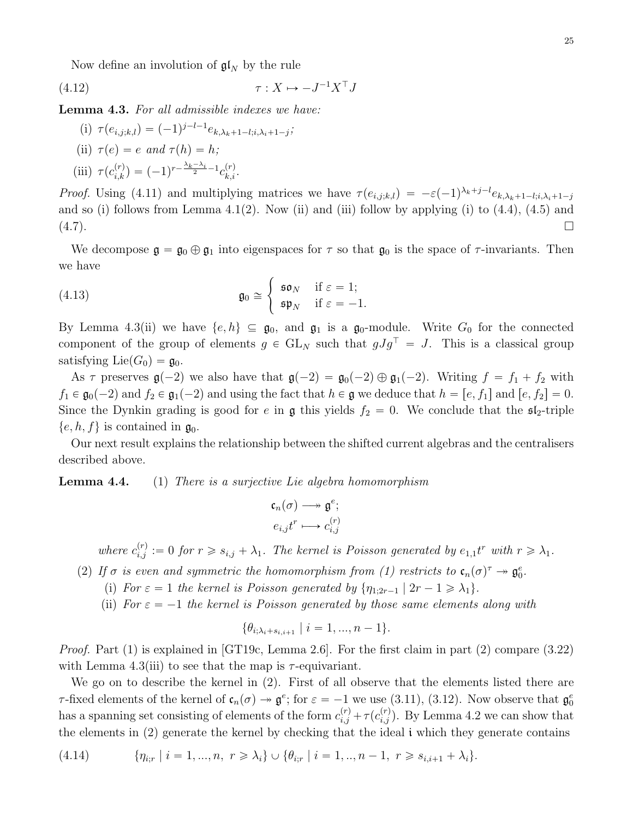Now define an involution of  $\mathfrak{gl}_N$  by the rule

$$
(4.12)\t\t\t\t\t\tau : X \mapsto -J^{-1}X^{\top}J
$$

<span id="page-24-0"></span>Lemma 4.3. For all admissible indexes we have:

(i) 
$$
\tau(e_{i,j;k,l}) = (-1)^{j-l-1} e_{k,\lambda_k+1-l;i,\lambda_i+1-j}
$$
;  
\n(ii)  $\tau(e) = e$  and  $\tau(h) = h$ ;  
\n(iii)  $\tau(c_{i,k}^{(r)}) = (-1)^{r-\frac{\lambda_k-\lambda_i}{2}-1} c_{k,i}^{(r)}$ .

*Proof.* Using [\(4.11\)](#page-23-1) and multiplying matrices we have  $\tau(e_{i,j;k,l}) = -\varepsilon(-1)^{\lambda_k+j-l}e_{k,\lambda_k+1-l;i,\lambda_i+1-j}$ and so (i) follows from Lemma  $4.1(2)$  $4.1(2)$ . Now (ii) and (iii) follow by applying (i) to  $(4.4)$ ,  $(4.5)$  and  $(4.7).$  $(4.7).$ 

We decompose  $\mathfrak{g} = \mathfrak{g}_0 \oplus \mathfrak{g}_1$  into eigenspaces for  $\tau$  so that  $\mathfrak{g}_0$  is the space of  $\tau$ -invariants. Then we have #

(4.13) 
$$
\mathfrak{g}_0 \cong \begin{cases} \mathfrak{so}_N & \text{if } \varepsilon = 1; \\ \mathfrak{sp}_N & \text{if } \varepsilon = -1. \end{cases}
$$

By Lemma [4.3\(](#page-24-0)ii) we have  $\{e, h\} \subseteq \mathfrak{g}_0$ , and  $\mathfrak{g}_1$  is a  $\mathfrak{g}_0$ -module. Write  $G_0$  for the connected component of the group of elements  $g \in GL_N$  such that  $gJg^{\top} = J$ . This is a classical group satisfying  $\text{Lie}(G_0) = \mathfrak{g}_0$ .

As  $\tau$  preserves  $\mathfrak{g}(-2)$  we also have that  $\mathfrak{g}(-2) = \mathfrak{g}_0(-2) \oplus \mathfrak{g}_1(-2)$ . Writing  $f = f_1 + f_2$  with  $f_1 \in \mathfrak{g}_0(-2)$  and  $f_2 \in \mathfrak{g}_1(-2)$  and using the fact that  $h \in \mathfrak{g}$  we deduce that  $h = [e, f_1]$  and  $[e, f_2] = 0$ . Since the Dynkin grading is good for e in **g** this yields  $f_2 = 0$ . We conclude that the  $\mathfrak{sl}_2$ -triple  $\{e, h, f\}$  is contained in  $\mathfrak{g}_0$ .

Our next result explains the relationship between the shifted current algebras and the centralisers described above.

**Lemma 4.4.** (1) There is a surjective Lie algebra homomorphism

$$
c_n(\sigma) \longrightarrow \mathfrak{g}^e;
$$
  

$$
e_{i,j}t^r \longmapsto c_{i,j}^{(r)}
$$

where  $c_{i,j}^{(r)} := 0$  for  $r \geq s_{i,j} + \lambda_1$ . The kernel is Poisson generated by  $e_{1,1}t^r$  with  $r \geq \lambda_1$ .

- (2) If  $\sigma$  is even and symmetric the homomorphism from (1) restricts to  $\mathfrak{c}_n(\sigma)^\tau \to \mathfrak{g}_0^e$ .
	- (i) For  $\varepsilon = 1$  the kernel is Poisson generated by  $\{\eta_{1;2r-1} \mid 2r 1 \geq \lambda_1\}.$
	- (ii) For  $\varepsilon = -1$  the kernel is Poisson generated by those same elements along with

$$
\{\theta_{i;\lambda_i+s_{i,i+1}} \mid i=1,...,n-1\}.
$$

*Proof.* Part (1) is explained in [\[GT19c,](#page-49-13) Lemma 2.6]. For the first claim in part (2) compare [\(3.22\)](#page-14-5) with Lemma [4.3\(](#page-24-0)iii) to see that the map is  $\tau$ -equivariant.

We go on to describe the kernel in  $(2)$ . First of all observe that the elements listed there are τ-fixed elements of the kernel of  $\mathfrak{c}_n(\sigma) \to \mathfrak{g}^e$ ; for  $\varepsilon = -1$  we use [\(3.11\)](#page-13-3), [\(3.12\)](#page-13-3). Now observe that  $\mathfrak{g}_0^e$ has a spanning set consisting of elements of the form  $c_{i,j}^{(r)} + \tau (c_{i,j}^{(r)})$ . By Lemma [4.2](#page-23-5) we can show that the elements in (2) generate the kernel by checking that the ideal i which they generate contains

<span id="page-24-1"></span>
$$
(4.14) \qquad \{\eta_{i,r} \mid i = 1, ..., n, \ r \geq \lambda_i\} \cup \{\theta_{i,r} \mid i = 1, ..., n-1, \ r \geq s_{i,i+1} + \lambda_i\}.
$$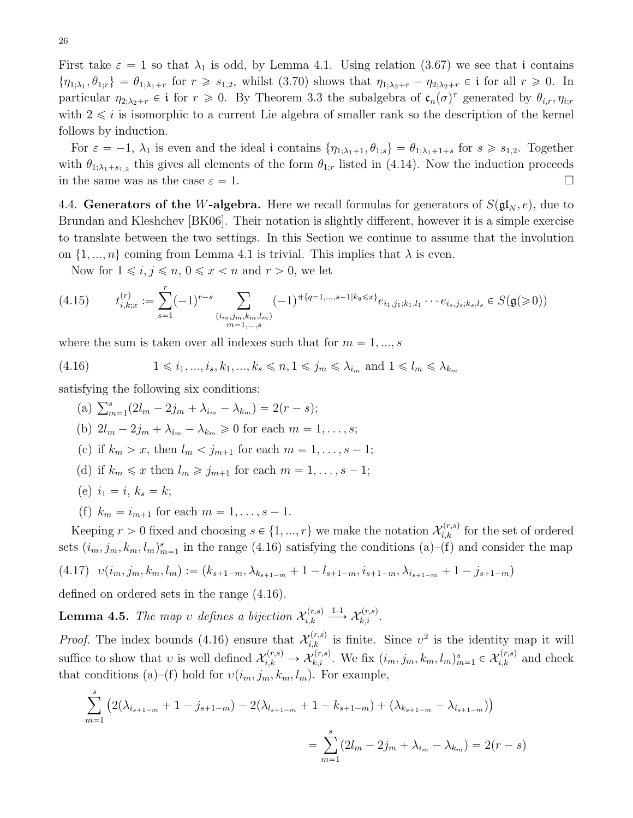First take  $\varepsilon = 1$  so that  $\lambda_1$  is odd, by Lemma [4.1.](#page-22-3) Using relation [\(3.67\)](#page-19-1) we see that i contains  $\{\eta_{1;\lambda_1}, \theta_{1;r}\} = \theta_{1;\lambda_1+r}$  for  $r \geq s_{1,2}$ , whilst  $(3.70)$  shows that  $\eta_{1;\lambda_2+r} - \eta_{2;\lambda_2+r} \in \mathfrak{i}$  for all  $r \geq 0$ . In particular  $\eta_{2;\lambda_2+r} \in \mathfrak{i}$  for  $r \geq 0$ . By Theorem [3.3](#page-14-4) the subalgebra of  $\mathfrak{c}_n(\sigma)^\tau$  generated by  $\theta_{i,r}, \eta_{i,r}$ with  $2 \leq i$  is isomorphic to a current Lie algebra of smaller rank so the description of the kernel follows by induction.

For  $\varepsilon = -1$ ,  $\lambda_1$  is even and the ideal i contains  $\{\eta_{1;\lambda_1+1}, \theta_{1;s}\} = \theta_{1;\lambda_1+1+s}$  for  $s \geq s_{1,2}$ . Together with  $\theta_{1;\lambda_1+s_{1,2}}$  this gives all elements of the form  $\theta_{1;r}$  listed in [\(4.14\)](#page-24-1). Now the induction proceeds in the same was as the case  $\varepsilon = 1$ .

<span id="page-25-0"></span>4.4. Generators of the W-algebra. Here we recall formulas for generators of  $S(\mathfrak{gl}_N, e)$ , due to Brundan and Kleshchev [\[BK06\]](#page-49-8). Their notation is slightly different, however it is a simple exercise to translate between the two settings. In this Section we continue to assume that the involution on  $\{1, ..., n\}$  coming from Lemma [4.1](#page-22-3) is trivial. This implies that  $\lambda$  is even.

<span id="page-25-3"></span>Now for  $1 \leq i, j \leq n, 0 \leq x < n$  and  $r > 0$ , we let

$$
(4.15) \qquad t_{i,k;x}^{(r)} := \sum_{s=1}^{r} (-1)^{r-s} \sum_{\substack{(i_m,j_m,k_m,l_m) \\ m=1,\dots,s}} (-1)^{\#\{q=1,\dots,s-1\}_{kq} \leq x\}} e_{i_1,j_1;k_1,l_1} \cdots e_{i_s,j_s;k_s,l_s} \in S(\mathfrak{g}(\geq 0))
$$

where the sum is taken over all indexes such that for  $m = 1, ..., s$ 

$$
(4.16) \t 1 \leq i_1, ..., i_s, k_1, ..., k_s \leq n, 1 \leq j_m \leq \lambda_{i_m} \text{ and } 1 \leq l_m \leq \lambda_{k_m}
$$

satisfying the following six conditions:

- <span id="page-25-1"></span>(a)  $\sum_{m=1}^{s} (2l_m - 2j_m + \lambda_{i_m} - \lambda_{k_m}) = 2(r - s);$ (b)  $2l_m - 2j_m + \lambda_{i_m} - \lambda_{k_m} \geq 0$  for each  $m = 1, \ldots, s;$ (c) if  $k_m > x$ , then  $l_m < j_{m+1}$  for each  $m = 1, \ldots, s - 1;$ (d) if  $k_m \leq x$  then  $l_m \geq j_{m+1}$  for each  $m = 1, \ldots, s - 1;$ (e)  $i_1 = i$ ,  $k_s = k$ ;
- (f)  $k_m = i_{m+1}$  for each  $m = 1, \ldots, s 1$ .

Keeping  $r > 0$  fixed and choosing  $s \in \{1, ..., r\}$  we make the notation  $\mathcal{X}_{i,k}^{(r,s)}$  for the set of ordered sets  $(i_m, j_m, k_m, l_m)_{m=1}^s$  in the range [\(4.16\)](#page-25-1) satisfying the conditions (a)–(f) and consider the map  $(4.17) \quad v(i_m, j_m, k_m, l_m) := (k_{s+1-m}, \lambda_{k_{s+1-m}} + 1 - l_{s+1-m}, i_{s+1-m}, \lambda_{i_{s+1-m}} + 1 - j_{s+1-m})$ defined on ordered sets in the range [\(4.16\)](#page-25-1).

<span id="page-25-2"></span>**Lemma 4.5.** The map v defines a bijection  $\mathcal{X}_{i,k}^{(r,s)}$  $\lambda_{i,k}^{(r,s)} \stackrel{1-1}{\longrightarrow} \mathcal{X}_{k,i}^{(r,s)}.$ 

*Proof.* The index bounds [\(4.16\)](#page-25-1) ensure that  $\mathcal{X}_{i,k}^{(r,s)}$  is finite. Since  $v^2$  is the identity map it will suffice to show that v is well defined  $\mathcal{X}_{i,k}^{(r,s)} \to \mathcal{X}_{k,i}^{(r,s)}$ . We fix  $(i_m, j_m, k_m, l_m)_{m=1}^s \in \mathcal{X}_{i,k}^{(r,s)}$  and check that conditions (a)–(f) hold for  $v(i_m, j_m, k_m, l_m)$ . For example,

$$
\sum_{m=1}^{s} \left( 2(\lambda_{i_{s+1-m}} + 1 - j_{s+1-m}) - 2(\lambda_{i_{s+1-m}} + 1 - k_{s+1-m}) + (\lambda_{k_{s+1-m}} - \lambda_{i_{s+1-m}}) \right)
$$
  
= 
$$
\sum_{m=1}^{s} (2l_m - 2j_m + \lambda_{i_m} - \lambda_{k_m}) = 2(r - s)
$$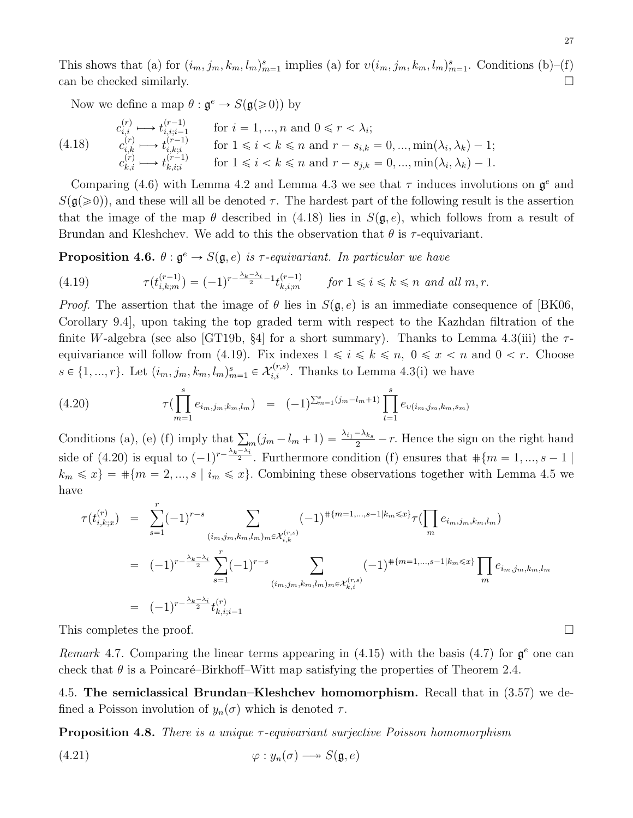This shows that (a) for  $(i_m, j_m, k_m, l_m)_{m=1}^s$  implies (a) for  $v(i_m, j_m, k_m, l_m)_{m=1}^s$ . Conditions (b)–(f) can be checked similarly.

Now we define a map  $\theta : \mathfrak{g}^e \to S(\mathfrak{g}(\geq 0))$  by

<span id="page-26-1"></span>
$$
(4.18) \quad c_{i,i}^{(r)} \longmapsto t_{i,i;i-1}^{(r-1)} \quad \text{for } i = 1, \dots, n \text{ and } 0 \le r < \lambda_i;
$$
\n
$$
c_{i,k}^{(r)} \longmapsto t_{i,k;i}^{(r-1)} \quad \text{for } 1 \le i < k \le n \text{ and } r - s_{i,k} = 0, \dots, \min(\lambda_i, \lambda_k) - 1;
$$
\n
$$
c_{k,i}^{(r)} \longmapsto t_{k,i;i}^{(r-1)} \quad \text{for } 1 \le i < k \le n \text{ and } r - s_{j,k} = 0, \dots, \min(\lambda_i, \lambda_k) - 1.
$$

Comparing [\(4.6\)](#page-23-6) with Lemma [4.2](#page-23-5) and Lemma [4.3](#page-24-0) we see that  $\tau$  induces involutions on  $\mathfrak{g}^e$  and  $S(\mathfrak{g}(\geqslant0))$ , and these will all be denoted  $\tau$ . The hardest part of the following result is the assertion that the image of the map  $\theta$  described in [\(4.18\)](#page-26-1) lies in  $S(\mathfrak{g},e)$ , which follows from a result of Brundan and Kleshchev. We add to this the observation that  $\theta$  is  $\tau$ -equivariant.

<span id="page-26-4"></span>**Proposition 4.6.**  $\theta: \mathfrak{g}^e \to S(\mathfrak{g}, e)$  is  $\tau$ -equivariant. In particular we have

<span id="page-26-2"></span>(4.19) 
$$
\tau(t_{i,k;m}^{(r-1)}) = (-1)^{r-\frac{\lambda_k-\lambda_i}{2}-1} t_{k,i;m}^{(r-1)} \quad \text{for } 1 \leq i \leq k \leq n \text{ and all } m, r.
$$

*Proof.* The assertion that the image of  $\theta$  lies in  $S(\mathfrak{g}, e)$  is an immediate consequence of [\[BK06,](#page-49-8) Corollary 9.4], upon taking the top graded term with respect to the Kazhdan filtration of the finite W-algebra (see also [\[GT19b,](#page-49-14) §4] for a short summary). Thanks to Lemma [4.3\(](#page-24-0)iii) the  $\tau$ -equivariance will follow from [\(4.19\)](#page-26-2). Fix indexes  $1 \leq i \leq k \leq n$ ,  $0 \leq x < n$  and  $0 < r$ . Choose  $s \in \{1, ..., r\}$ . Let  $(i_m, j_m, k_m, l_m)_{m=1}^s \in \mathcal{X}_{i,i}^{(r,s)}$ . Thanks to Lemma [4.3\(](#page-24-0)i) we have

<span id="page-26-3"></span>(4.20) 
$$
\tau\left(\prod_{m=1}^{s} e_{i_m,j_m;k_m,l_m}\right) = (-1)^{\sum_{m=1}^{s}(j_m-l_m+1)}\prod_{t=1}^{s} e_{v(i_m,j_m,k_m,s_m)}
$$

Conditions (a), (e) (f) imply that  $\sum_m (j_m - l_m + 1) = \frac{\lambda_{i_1} - \lambda_{k_s}}{2} - r$ . Hence the sign on the right hand side of [\(4.20\)](#page-26-3) is equal to  $(-1)^{r-\frac{\lambda_k-\lambda_i}{2}}$ . Furthermore condition (f) ensures that  $\#\{m=1,..., s-1\}$  $k_m \leq x$ } =  $\#\{m = 2, ..., s \mid i_m \leq x\}$ . Combining these observations together with Lemma [4.5](#page-25-2) we have

$$
\tau(t_{i,k;x}^{(r)}) = \sum_{s=1}^{r} (-1)^{r-s} \sum_{(i_m,j_m,k_m,l_m)_{m} \in \mathcal{X}_{i,k}^{(r,s)}} (-1)^{\#\{m=1,\ldots,s-1|k_m \leq x\}} \tau(\prod_{m} e_{i_m,j_m,k_m,l_m})
$$
  
\n
$$
= (-1)^{r-\frac{\lambda_k-\lambda_i}{2}} \sum_{s=1}^{r} (-1)^{r-s} \sum_{(i_m,j_m,k_m,l_m)_{m} \in \mathcal{X}_{k,i}^{(r,s)}} (-1)^{\#\{m=1,\ldots,s-1|k_m \leq x\}} \prod_{m} e_{i_m,j_m,k_m,l_m}
$$
  
\n
$$
= (-1)^{r-\frac{\lambda_k-\lambda_i}{2}} t_{k,i;i-1}^{(r)}
$$

This completes the proof.  $\Box$ 

Remark 4.7. Comparing the linear terms appearing in [\(4.15\)](#page-25-3) with the basis [\(4.7\)](#page-23-4) for  $\mathfrak{g}^e$  one can check that  $\theta$  is a Poincaré–Birkhoff–Witt map satisfying the properties of Theorem [2.4.](#page-8-3)

<span id="page-26-0"></span>4.5. The semiclassical Brundan–Kleshchev homomorphism. Recall that in [\(3.57\)](#page-18-5) we defined a Poisson involution of  $y_n(\sigma)$  which is denoted  $\tau$ .

<span id="page-26-5"></span>**Proposition 4.8.** There is a unique  $\tau$ -equivariant surjective Poisson homomorphism

$$
\varphi: y_n(\sigma) \longrightarrow S(\mathfrak{g}, e)
$$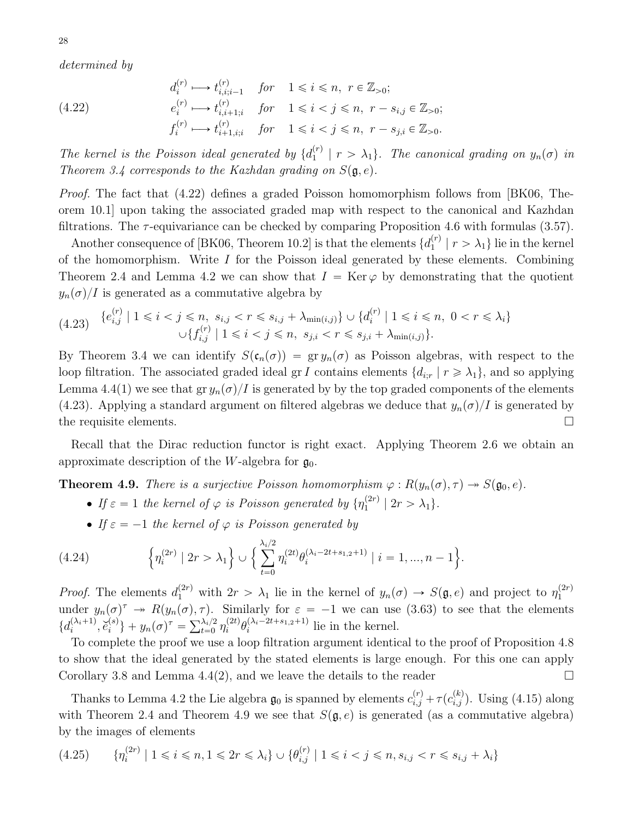determined by

<span id="page-27-1"></span>
$$
d_i^{(r)} \longmapsto t_{i,i;i-1}^{(r)} \quad \text{for} \quad 1 \le i \le n, \ r \in \mathbb{Z}_{>0};
$$
\n
$$
e_i^{(r)} \longmapsto t_{i,i+1;i}^{(r)} \quad \text{for} \quad 1 \le i < j \le n, \ r - s_{i,j} \in \mathbb{Z}_{>0};
$$
\n
$$
f_i^{(r)} \longmapsto t_{i+1, i;i}^{(r)} \quad \text{for} \quad 1 \le i < j \le n, \ r - s_{j,i} \in \mathbb{Z}_{>0}.
$$

The kernel is the Poisson ideal generated by  $\{d_1^{(r)}\}$  $\binom{r}{1}$  |  $r > \lambda_1$ . The canonical grading on  $y_n(\sigma)$  in Theorem [3.4](#page-16-4) corresponds to the Kazhdan grading on  $S(\mathfrak{g}, e)$ .

Proof. The fact that [\(4.22\)](#page-27-1) defines a graded Poisson homomorphism follows from [\[BK06,](#page-49-8) Theorem 10.1] upon taking the associated graded map with respect to the canonical and Kazhdan filtrations. The  $\tau$ -equivariance can be checked by comparing Proposition [4.6](#page-26-4) with formulas [\(3.57\)](#page-18-5).

Another consequence of [\[BK06,](#page-49-8) Theorem 10.2] is that the elements  $\{d_1^{(r)}\}$  $\binom{r}{1}$  |  $r > \lambda_1$ } lie in the kernel of the homomorphism. Write  $I$  for the Poisson ideal generated by these elements. Combining Theorem [2.4](#page-8-3) and Lemma [4.2](#page-23-5) we can show that  $I = \text{Ker }\varphi$  by demonstrating that the quotient  $y_n(\sigma)/I$  is generated as a commutative algebra by

<span id="page-27-2"></span>
$$
(4.23) \quad \{e_{i,j}^{(r)} \mid 1 \le i < j \le n, \ s_{i,j} < r \le s_{i,j} + \lambda_{\min(i,j)}\} \cup \{d_i^{(r)} \mid 1 \le i \le n, \ 0 < r \le \lambda_i\} \cup \{f_{i,j}^{(r)} \mid 1 \le i < j \le n, \ s_{j,i} < r \le s_{j,i} + \lambda_{\min(i,j)}\}.
$$

By Theorem [3.4](#page-16-4) we can identify  $S(\mathfrak{c}_n(\sigma)) = \operatorname{gr} y_n(\sigma)$  as Poisson algebras, with respect to the loop filtration. The associated graded ideal gr I contains elements  $\{d_{i,r} | r \geq \lambda_1\}$ , and so applying Lemma [4.4\(](#page-0-0)1) we see that  $\operatorname{gr}_{y_n}(\sigma)/I$  is generated by by the top graded components of the elements [\(4.23\)](#page-27-2). Applying a standard argument on filtered algebras we deduce that  $y_n(\sigma)/I$  is generated by the requisite elements.

Recall that the Dirac reduction functor is right exact. Applying Theorem [2.6](#page-9-2) we obtain an approximate description of the W-algebra for  $\mathfrak{g}_0$ .

<span id="page-27-0"></span>**Theorem 4.9.** There is a surjective Poisson homomorphism  $\varphi : R(y_n(\sigma), \tau) \to S(\mathfrak{g}_0, e)$ .

- If  $\varepsilon = 1$  the kernel of  $\varphi$  is Poisson generated by  $\{\eta_1^{(2r)}\}$  $\frac{1}{1}^{(2r)} | 2r > \lambda_1$ .
- <span id="page-27-3"></span>• If  $\varepsilon = -1$  the kernel of  $\varphi$  is Poisson generated by

(4.24) 
$$
\left\{\eta_i^{(2r)} \mid 2r > \lambda_1\right\} \cup \left\{\sum_{t=0}^{\lambda_i/2} \eta_i^{(2t)} \theta_i^{(\lambda_i - 2t + s_{1,2} + 1)} \mid i = 1, ..., n-1\right\}.
$$

*Proof.* The elements  $d_1^{(2r)}$  with  $2r > \lambda_1$  lie in the kernel of  $y_n(\sigma) \to S(\mathfrak{g}, e)$  and project to  $\eta_1^{(2r)}$ 1 under  $y_n(\sigma)^\tau \to R(y_n(\sigma), \tau)$ . Similarly for  $\varepsilon = -1$  we can use [\(3.63\)](#page-19-5) to see that the elements  $\{d_i^{(\lambda_i+1)}\}$  $\widetilde{e}_i^{(\lambda_i+1)}, \widetilde{e}_i^{(s)}$  $\begin{aligned} \lambda^{(s)}(t) &\rightarrow \mathit{R}(y_n(\sigma), \tau). \ \lambda^{(s)}(t) &\rightarrow \mathit{Y}_n(\sigma)^\tau = \sum_{t=0}^{\lambda_i/2} \lambda^{(t)} \end{aligned}$  $\frac{\lambda_i/2}{t=0} \eta_i^{(2t)}$  $i^{(2t)}\theta_i^{(\lambda_i-2t+s_{1,2}+1)}$  $\sum_{i=1}^{(\lambda_i - 2i + s_1, 2 + 1)}$  lie in the kernel.

To complete the proof we use a loop filtration argument identical to the proof of Proposition [4.8](#page-26-5) to show that the ideal generated by the stated elements is large enough. For this one can apply Corollary [3.8](#page-22-4) and Lemma [4.4\(](#page-0-0)2), and we leave the details to the reader  $\Box$ 

Thanks to Lemma [4.2](#page-23-5) the Lie algebra  $\mathfrak{g}_0$  is spanned by elements  $c_{i,j}^{(r)} + \tau(c_{i,j}^{(k)})$ . Using [\(4.15\)](#page-25-3) along with Theorem [2.4](#page-8-3) and Theorem [4.9](#page-27-0) we see that  $S(\mathfrak{g}, e)$  is generated (as a commutative algebra) by the images of elements

$$
(4.25) \qquad \{\eta_i^{(2r)} \mid 1 \le i \le n, 1 \le 2r \le \lambda_i\} \cup \{\theta_{i,j}^{(r)} \mid 1 \le i < j \le n, s_{i,j} < r \le s_{i,j} + \lambda_i\}
$$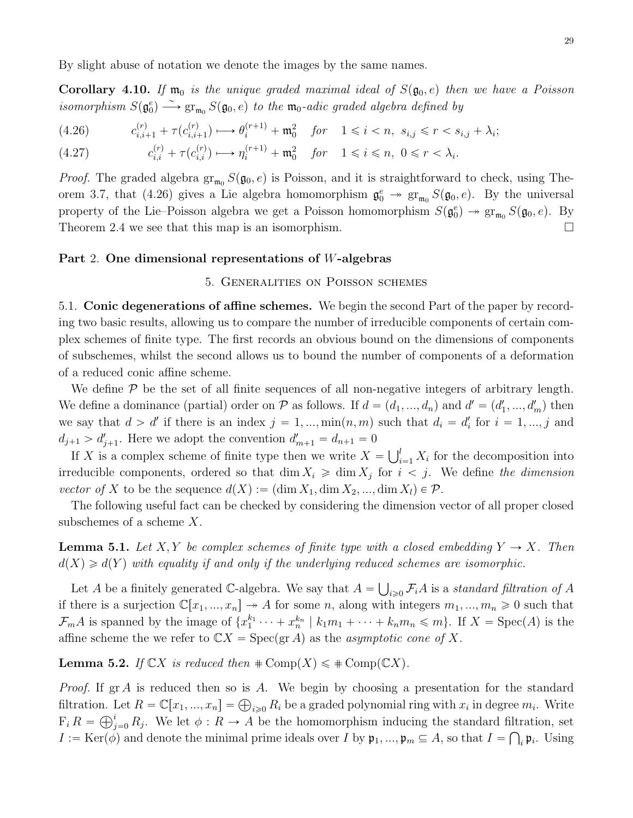By slight abuse of notation we denote the images by the same names.

<span id="page-28-5"></span>**Corollary 4.10.** If  $\mathfrak{m}_0$  is the unique graded maximal ideal of  $S(\mathfrak{g}_0, e)$  then we have a Poisson isomorphism  $S(\mathfrak{g}_0^e) \longrightarrow \text{gr}_{\mathfrak{m}_0} S(\mathfrak{g}_0, e)$  to the  $\mathfrak{m}_0$ -adic graded algebra defined by

<span id="page-28-3"></span>
$$
(4.26) \t c_{i,i+1}^{(r)} + \tau(c_{i,i+1}^{(r)}) \longrightarrow \theta_i^{(r+1)} + \mathfrak{m}_0^2 \quad \text{for} \quad 1 \leq i < n, \ s_{i,j} \leq r < s_{i,j} + \lambda_i;
$$

(4.27) 
$$
c_{i,i}^{(r)} + \tau(c_{i,i}^{(r)}) \longrightarrow \eta_i^{(r+1)} + \mathfrak{m}_0^2 \quad \text{for} \quad 1 \leq i \leq n, \ 0 \leq r < \lambda_i.
$$

*Proof.* The graded algebra  $gr_{m_0} S(\mathfrak{g}_0, e)$  is Poisson, and it is straightforward to check, using The-orem [3.7,](#page-19-0) that [\(4.26\)](#page-28-3) gives a Lie algebra homomorphism  $\mathfrak{g}_0^e \to \text{gr}_{\mathfrak{m}_0} S(\mathfrak{g}_0, e)$ . By the universal property of the Lie–Poisson algebra we get a Poisson homomorphism  $S(\mathfrak{g}_0^e) \to \text{gr}_{\mathfrak{m}_0} S(\mathfrak{g}_0, e)$ . By Theorem [2.4](#page-8-3) we see that this map is an isomorphism.  $\Box$ 

### <span id="page-28-1"></span><span id="page-28-0"></span>Part 2. One dimensional representations of W-algebras

#### 5. Generalities on Poisson schemes

<span id="page-28-2"></span>5.1. Conic degenerations of affine schemes. We begin the second Part of the paper by recording two basic results, allowing us to compare the number of irreducible components of certain complex schemes of finite type. The first records an obvious bound on the dimensions of components of subschemes, whilst the second allows us to bound the number of components of a deformation of a reduced conic affine scheme.

We define  $P$  be the set of all finite sequences of all non-negative integers of arbitrary length. We define a dominance (partial) order on  $P$  as follows. If  $d = (d_1, ..., d_n)$  and  $d' = (d'_1, ..., d'_m)$  then we say that  $d > d'$  if there is an index  $j = 1, ..., min(n, m)$  such that  $d_i = d'_i$  for  $i = 1, ..., j$  and  $d_{j+1} > d'_{j+1}$ . Here we adopt the convention  $d'_{m+1} = d_{n+1} = 0$ 

If X is a complex scheme of finite type then we write  $X = \bigcup_{i=1}^{d} X_i$  $\sum_{i=1}^{l} X_i$  for the decomposition into irreducible components, ordered so that  $\dim X_i \geqslant \dim X_j$  for  $i < j$ . We define the dimension vector of X to be the sequence  $d(X) := (\dim X_1, \dim X_2, ..., \dim X_l) \in \mathcal{P}$ .

The following useful fact can be checked by considering the dimension vector of all proper closed subschemes of a scheme  $X$ .

<span id="page-28-4"></span>**Lemma 5.1.** Let X, Y be complex schemes of finite type with a closed embedding  $Y \rightarrow X$ . Then  $d(X) \ge d(Y)$  with equality if and only if the underlying reduced schemes are isomorphic.

Let A be a finitely generated C-algebra. We say that  $A = \bigcup_{i \geq 0} \mathcal{F}_i A$  is a standard filtration of A if there is a surjection  $\mathbb{C}[x_1, ..., x_n] \to A$  for some n, along with integers  $m_1, ..., m_n \geq 0$  such that  $\mathcal{F}_m A$  is spanned by the image of  $\{x_1^{k_1} \cdots + x_n^{k_n} \mid k_1m_1 + \cdots + k_nm_n \leqslant m\}$ . If  $X = \text{Spec}(A)$  is the affine scheme the we refer to  $\mathbb{C}X = \operatorname{Spec}(\operatorname{gr} A)$  as the *asymptotic cone of* X.

<span id="page-28-6"></span>**Lemma 5.2.** If  $\mathbb{C}X$  is reduced then  $\#\text{Comp}(X) \leq \#\text{Comp}(\mathbb{C}X)$ .

*Proof.* If  $\operatorname{gr} A$  is reduced then so is A. We begin by choosing a presentation for the standard *Froof.* If gr A is reduced then so is A. We begin by choosing a presentation for the standard filtration. Let  $R = \mathbb{C}[x_1, ..., x_n] = \bigoplus_{i \geq 0} R_i$  be a graded polynomial ring with  $x_i$  in degree  $m_i$ . Write  $F_i R = \bigoplus_{j=0}^i R_j$ . We let  $\phi: R \to A$  be the homomorphism inducing the standard filtration, set  $I := \text{Ker}(\phi)$  and denote the minimal prime ideals over I by  $\mathfrak{p}_1, ..., \mathfrak{p}_m \subseteq A$ , so that  $I = \bigcap_i \mathfrak{p}_i$ . Using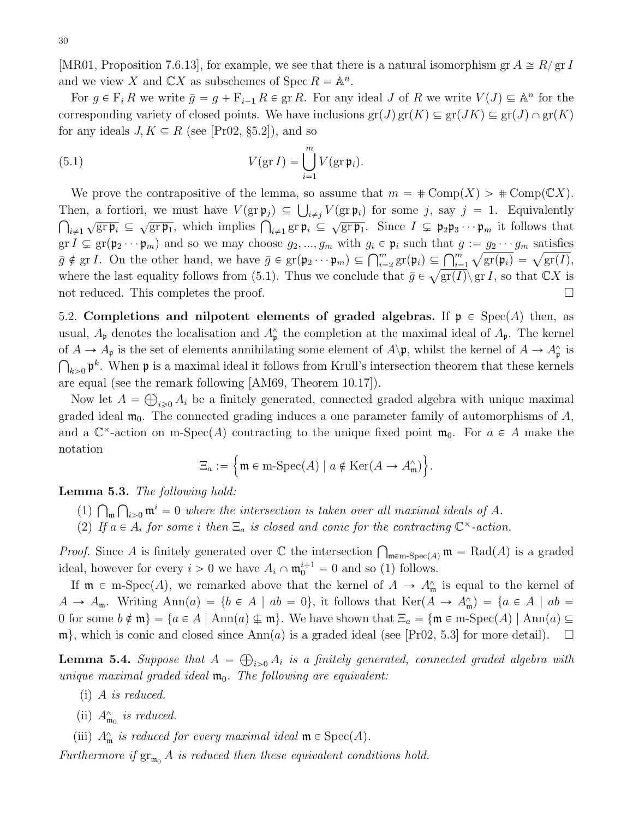[\[MR01,](#page-50-15) Proposition 7.6.13], for example, we see that there is a natural isomorphism gr  $A \cong R/gr I$ and we view X and  $\mathbb{C}X$  as subschemes of  $\text{Spec } R = \mathbb{A}^n$ .

For  $g \in F_i R$  we write  $\bar{g} = g + F_{i-1} R \in \text{gr } R$ . For any ideal J of R we write  $V(J) \subseteq \mathbb{A}^n$  for the corresponding variety of closed points. We have inclusions  $\text{gr}(J)\text{gr}(K) \subseteq \text{gr}(JK) \subseteq \text{gr}(J) \cap \text{gr}(K)$ for any ideals  $J, K \subseteq R$  (see [\[Pr02,](#page-50-0) §5.2]), and so

<span id="page-29-1"></span>(5.1) 
$$
V(\operatorname{gr} I) = \bigcup_{i=1}^{m} V(\operatorname{gr} \mathfrak{p}_{i}).
$$

We prove the contrapositive of the lemma, so assume that  $m = \pm \text{Comp}(X) > \pm \text{Comp}(CX)$ . We prove the contrapositive of the lemma, so assume that  $m = \pm \text{Comp}(X) > \pm \text{Comp}(\mathcal{A})$ .<br>Then, a fortiori, we must have  $V(\text{gr}\,\mathfrak{p}_j) \subseteq \bigcup_{i \neq j} V(\text{gr}\,\mathfrak{p}_i)$  for some j, say  $j = 1$ . Equivalently  $i\neq 1$ a fortion, we must have  $V(\text{gr } \mathfrak{p}_j) \subseteq \bigcup_{i \neq j} V(\text{gr } \mathfrak{p}_i)$  for some *j*, say  $j = 1$ . Equivalently,<br> $\sqrt{\text{gr } \mathfrak{p}_i} \subseteq \sqrt{\text{gr } \mathfrak{p}_1}$ , which implies  $\bigcap_{i \neq 1} \text{gr } \mathfrak{p}_i \subseteq \sqrt{\text{gr } \mathfrak{p}_1}$ . Since  $I \subsetneq \math$  $gr I \subsetneq gr(\mathfrak{p}_2 \cdots \mathfrak{p}_m)$  and so we may choose  $g_2, ..., g_m$  with  $g_i \in \mathfrak{p}_i$  such that  $g := g_2 \cdots g_m$  satisfies  $g \in \mathbb{F}^n$  gr $(\mathfrak{p}_2 \cdots \mathfrak{p}_m)$  and so we may choose  $g_2, ..., g_m$  with  $g_i \in \mathfrak{p}_i$  such that  $g := g_2 \cdots g_m$  satisfies  $\overline{g} \notin \text{gr } I$ . On the other hand, we have  $\overline{g} \in \text{gr}(\mathfrak{p}_2 \cdots \mathfrak{p}_m) \subseteq \bigcap_{i=2}^m \text{gr}(\math$ where the last equality follows from [\(5.1\)](#page-29-1). Thus we conclude that  $\bar{g} \in \sqrt{\text{gr}(I)}\$ gr I, so that  $\mathbb{C}X$  is not reduced. This completes the proof.

<span id="page-29-0"></span>5.2. Completions and nilpotent elements of graded algebras. If  $\mathfrak{p} \in \text{Spec}(A)$  then, as usual,  $A_{\mathfrak{p}}$  denotes the localisation and  $A_{\mathfrak{p}}^{\wedge}$  the completion at the maximal ideal of  $A_{\mathfrak{p}}$ . The kernel of  $A \to A_{\mathfrak{p}}$  is the set of elements annihilating some element of  $A \backslash \mathfrak{p}$ , whilst the kernel of  $A \to A_{\mathfrak{p}}^{\wedge}$  is  $k>0$   $\mathfrak{p}^k$ . When  $\mathfrak{p}$  is a maximal ideal it follows from Krull's intersection theorem that these kernels are equal (see the remark following [\[AM69,](#page-49-15) Theorem 10.17]).

Now let  $A = \bigoplus_{i \geq 0} A_i$  be a finitely generated, connected graded algebra with unique maximal graded ideal  $\mathfrak{m}_0$ . The connected grading induces a one parameter family of automorphisms of A, and a  $\mathbb{C}^*$ -action on m-Spec(A) contracting to the unique fixed point  $\mathfrak{m}_0$ . For  $a \in A$  make the notation **1980** )

$$
\Xi_a := \Big\{ \mathfrak{m} \in \mathrm{m}\text{-}\mathrm{Spec}(A) \mid a \notin \mathrm{Ker}(A \to A_{\mathfrak{m}}^\wedge) \Big\}.
$$

<span id="page-29-2"></span>**Lemma 5.3.** The following hold:

- (1)  $\bigcap_{m}\bigcap_{i>0} m^i = 0$  where the intersection is taken over all maximal ideals of A.
- (2) If  $a \in A_i$  for some i then  $\Xi_a$  is closed and conic for the contracting  $\mathbb{C}^{\times}$ -action.

*Proof.* Since A is finitely generated over  $\mathbb C$  the intersection  $\bigcap_{\mathfrak{m}\in \mathbb{R}} \text{Spec}(A)$  **m** = Rad(A) is a graded ideal, however for every  $i > 0$  we have  $A_i \cap \mathfrak{m}_0^{i+1} = 0$  and so (1) follows.

If  $\mathfrak{m} \in \text{m-Spec}(A)$ , we remarked above that the kernel of  $A \to A_{\mathfrak{m}}^{\wedge}$  is equal to the kernel of  $A \to A_{\mathfrak{m}}$ . Writing  $\text{Ann}(a) = \{b \in A \mid ab = 0\}$ , it follows that  $\text{Ker}(A \to A_{\mathfrak{m}}) = \{a \in A \mid ab = 0\}$ 0 for some  $b \notin \mathfrak{m}$  =  $\{a \in A \mid \text{Ann}(a) \notin \mathfrak{m}\}\$ . We have shown that  $\Xi_a = \{\mathfrak{m} \in \text{m-Spec}(A) \mid \text{Ann}(a) \subseteq$  $\mathfrak{m}$ , which is conic and closed since Ann(*a*) is a graded ideal (see [\[Pr02,](#page-50-0) 5.3] for more detail).  $\Box$ 

<span id="page-29-3"></span>**Lemma 5.4.** Suppose that  $A = \bigoplus_{i>0} A_i$  is a finitely generated, connected graded algebra with unique maximal graded ideal  $\mathfrak{m}_0$ . The following are equivalent:

- (i) A is reduced.
- (ii)  $A^{\wedge}_{\mathfrak{m}_0}$  is reduced.
- (iii)  $A^{\wedge}_{\mathfrak{m}}$  is reduced for every maximal ideal  $\mathfrak{m} \in \text{Spec}(A)$ .

Furthermore if  $gr_{m_0} A$  is reduced then these equivalent conditions hold.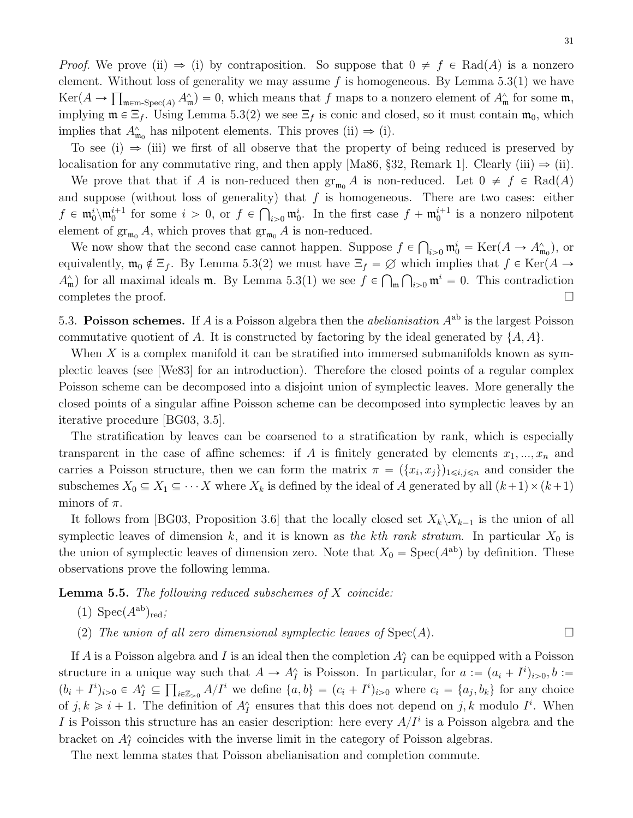*Proof.* We prove (ii)  $\Rightarrow$  (i) by contraposition. So suppose that  $0 \neq f \in Rad(A)$  is a nonzero element. Without loss of generality we may assume  $f$  is homogeneous. By Lemma [5.3\(](#page-29-2)1) we have  $\text{Ker}(A \to \prod_{\mathfrak{m} \in \mathbf{m} \text{-} \text{Spec}(A)} A^{\wedge}_{\mathfrak{m}}) = 0$ , which means that f maps to a nonzero element of  $A^{\wedge}_{\mathfrak{m}}$  for some  $\mathfrak{m}$ , implying  $\mathfrak{m} \in \Xi_f$ . Using Lemma [5.3\(](#page-29-2)2) we see  $\Xi_f$  is conic and closed, so it must contain  $\mathfrak{m}_0$ , which implies that  $A^{\wedge}_{\mathfrak{m}_0}$  has nilpotent elements. This proves (ii)  $\Rightarrow$  (i).

To see (i)  $\Rightarrow$  (iii) we first of all observe that the property of being reduced is preserved by localisation for any commutative ring, and then apply [\[Ma86,](#page-50-16) §32, Remark 1]. Clearly (iii)  $\Rightarrow$  (ii).

We prove that that if A is non-reduced then  $\operatorname{gr}_{m_0} A$  is non-reduced. Let  $0 \neq f \in \operatorname{Rad}(A)$ and suppose (without loss of generality) that  $f$  is homogeneous. There are two cases: either  $f \in \mathfrak{m}_0^i \setminus \mathfrak{m}_0^{i+1}$  for some  $i > 0$ , or  $f \in \bigcap_{i>0} \mathfrak{m}_0^i$ . In the first case  $f + \mathfrak{m}_0^{i+1}$  is a nonzero nilpotent element of  $gr_{m_0} A$ , which proves that  $gr_{m_0} A$  is non-reduced. Ş

We now show that the second case cannot happen. Suppose  $f \in$  $i>0$   $\mathfrak{m}_0^i = \text{Ker}(A \to A_{\mathfrak{m}_0}^\wedge)$ , or equivalently,  $\mathfrak{m}_0 \notin \Xi_f$ . By Lemma [5.3\(](#page-29-2)2) we must have  $\Xi_f = \emptyset$  which implies that  $f \in \text{Ker}(A \to$  $A^{\wedge}_{\mathfrak{m}}$  for all maximal ideals **m**. By Lemma [5.3\(](#page-29-2)1) we see  $f \in \bigcap_{\mathfrak{m}} \bigcap_{i>0} \mathfrak{m}^i = 0$ . This contradiction completes the proof.  $\Box$ 

<span id="page-30-0"></span>5.3. Poisson schemes. If A is a Poisson algebra then the *abelianisation*  $A^{ab}$  is the largest Poisson commutative quotient of A. It is constructed by factoring by the ideal generated by  $\{A, A\}$ .

When X is a complex manifold it can be stratified into immersed submanifolds known as symplectic leaves (see [\[We83\]](#page-50-11) for an introduction). Therefore the closed points of a regular complex Poisson scheme can be decomposed into a disjoint union of symplectic leaves. More generally the closed points of a singular affine Poisson scheme can be decomposed into symplectic leaves by an iterative procedure [\[BG03,](#page-49-16) 3.5].

The stratification by leaves can be coarsened to a stratification by rank, which is especially transparent in the case of affine schemes: if A is finitely generated by elements  $x_1, ..., x_n$  and carries a Poisson structure, then we can form the matrix  $\pi = (\{x_i, x_j\})_{1 \leq i,j \leq n}$  and consider the subschemes  $X_0 \subseteq X_1 \subseteq \cdots X$  where  $X_k$  is defined by the ideal of A generated by all  $(k+1)\times(k+1)$ minors of  $\pi$ .

It follows from [\[BG03,](#page-49-16) Proposition 3.6] that the locally closed set  $X_k \backslash X_{k-1}$  is the union of all symplectic leaves of dimension k, and it is known as the kth rank stratum. In particular  $X_0$  is the union of symplectic leaves of dimension zero. Note that  $X_0 = \text{Spec}(A^{ab})$  by definition. These observations prove the following lemma.

<span id="page-30-1"></span>**Lemma 5.5.** The following reduced subschemes of  $X$  coincide:

- (1)  $Spec(A^{ab})_{red}$ ;
- (2) The union of all zero dimensional symplectic leaves of  $Spec(A)$ .

If A is a Poisson algebra and I is an ideal then the completion  $A<sub>I</sub><sup>\wedge</sup>$  can be equipped with a Poisson structure in a unique way such that  $A \to A_I^*$  is Poisson. In particular, for  $a := (a_i + I^i)_{i>0}, b :=$  $(b_i + I^i)_{i>0} \in A_I^{\wedge} \subseteq \prod_{i \in \mathbb{Z}_{>0}} A_I^i$  we define  $\{a, b\} = (c_i + I^i)_{i>0}$  where  $c_i = \{a_j, b_k\}$  for any choice of  $j, k \geq i + 1$ . The definition of  $A<sub>I</sub><sup>\wedge</sup>$  ensures that this does not depend on  $j, k$  modulo  $I<sup>i</sup>$ . When I is Poisson this structure has an easier description: here every  $A/I<sup>i</sup>$  is a Poisson algebra and the bracket on  $A<sub>I</sub><sup>\wedge</sup>$  coincides with the inverse limit in the category of Poisson algebras.

The next lemma states that Poisson abelianisation and completion commute.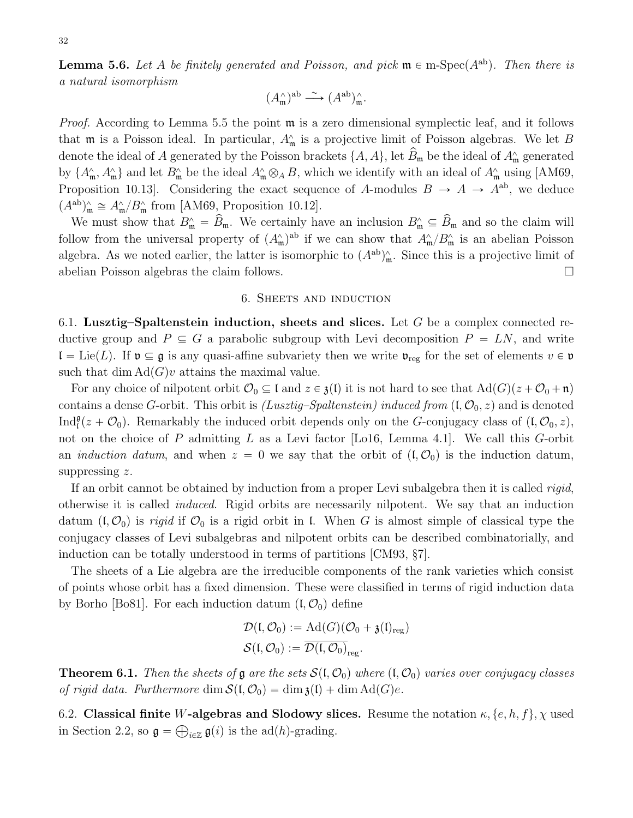32

<span id="page-31-4"></span>**Lemma 5.6.** Let A be finitely generated and Poisson, and pick  $\mathfrak{m} \in \text{m-Spec}(A^{ab})$ . Then there is a natural isomorphism

$$
(A_{\mathfrak{m}}^{\wedge})^{\mathrm{ab}}\stackrel{\sim}{\longrightarrow} (A^{\mathrm{ab}})_{\mathfrak{m}}^{\wedge}.
$$

*Proof.* According to Lemma [5.5](#page-30-1) the point  $\mathfrak{m}$  is a zero dimensional symplectic leaf, and it follows that  $\mathfrak m$  is a Poisson ideal. In particular,  $A_{\mathfrak m}^{\wedge}$  is a projective limit of Poisson algebras. We let B denote the ideal of A generated by the Poisson brackets  $\{A, A\}$ , let  $\widehat{B}_{\mathfrak{m}}$  be the ideal of  $A_{\mathfrak{m}}^{\wedge}$  generated by  $\{A_{\mathfrak{m}}^{\wedge}, A_{\mathfrak{m}}^{\wedge}\}$  and let  $B_{\mathfrak{m}}^{\wedge}$  be the ideal  $A_{\mathfrak{m}}^{\wedge}\otimes_{A}B$ , which we identify with an ideal of  $A_{\mathfrak{m}}^{\wedge}$  using [\[AM69,](#page-49-15) Proposition 10.13. Considering the exact sequence of A-modules  $B \to A \to A^{ab}$ , we deduce  $(A^{ab})_{\mathfrak{m}}^{\wedge} \cong A_{\mathfrak{m}}^{\wedge}/B_{\mathfrak{m}}^{\wedge}$  from [\[AM69,](#page-49-15) Proposition 10.12].

We must show that  $B^{\wedge}_{\mathfrak{m}} = \hat{B}_{\mathfrak{m}}$ . We certainly have an inclusion  $B^{\wedge}_{\mathfrak{m}} \subseteq \hat{B}_{\mathfrak{m}}$  and so the claim will follow from the universal property of  $(A_m^{\wedge})^{\text{ab}}$  if we can show that  $A_m^{\wedge}/B_m^{\wedge}$  is an abelian Poisson algebra. As we noted earlier, the latter is isomorphic to  $(A^{ab})_{\mathfrak{m}}^{\wedge}$ . Since this is a projective limit of abelian Poisson algebras the claim follows.

#### 6. Sheets and induction

<span id="page-31-1"></span><span id="page-31-0"></span>6.1. Lusztig–Spaltenstein induction, sheets and slices. Let  $G$  be a complex connected reductive group and  $P \subseteq G$  a parabolic subgroup with Levi decomposition  $P = LN$ , and write  $\mathfrak{l} = \text{Lie}(L)$ . If  $\mathfrak{v} \subseteq \mathfrak{g}$  is any quasi-affine subvariety then we write  $\mathfrak{v}_{reg}$  for the set of elements  $v \in \mathfrak{v}$ such that dim  $\text{Ad}(G)v$  attains the maximal value.

For any choice of nilpotent orbit  $\mathcal{O}_0 \subseteq \mathfrak{l}$  and  $z \in \mathfrak{z}(\mathfrak{l})$  it is not hard to see that  $\text{Ad}(G)(z + \mathcal{O}_0 + \mathfrak{n})$ contains a dense G-orbit. This orbit is *(Lusztig–Spaltenstein)* induced from  $(\mathfrak{l}, \mathcal{O}_0, z)$  and is denoted  $\text{Ind}_{\mathfrak{l}}^{\mathfrak{g}}(z+\mathcal{O}_0)$ . Remarkably the induced orbit depends only on the G-conjugacy class of  $(\mathfrak{l}, \mathcal{O}_0, z)$ , not on the choice of P admitting L as a Levi factor [\[Lo16,](#page-50-9) Lemma 4.1]. We call this G-orbit an *induction datum*, and when  $z = 0$  we say that the orbit of  $(1, \mathcal{O}_0)$  is the induction datum, suppressing z.

If an orbit cannot be obtained by induction from a proper Levi subalgebra then it is called rigid, otherwise it is called induced. Rigid orbits are necessarily nilpotent. We say that an induction datum  $(0, \mathcal{O}_0)$  is rigid if  $\mathcal{O}_0$  is a rigid orbit in l. When G is almost simple of classical type the conjugacy classes of Levi subalgebras and nilpotent orbits can be described combinatorially, and induction can be totally understood in terms of partitions [\[CM93,](#page-49-11) §7].

The sheets of a Lie algebra are the irreducible components of the rank varieties which consist of points whose orbit has a fixed dimension. These were classified in terms of rigid induction data by Borho [\[Bo81\]](#page-49-17). For each induction datum  $(I, \mathcal{O}_0)$  define

$$
\mathcal{D}(\mathfrak{l},\mathcal{O}_0) := \mathrm{Ad}(G)(\mathcal{O}_0 + \mathfrak{z}(\mathfrak{l})_{\mathrm{reg}})
$$
  

$$
\mathcal{S}(\mathfrak{l},\mathcal{O}_0) := \overline{\mathcal{D}(\mathfrak{l},\mathcal{O}_0)}_{\mathrm{reg}}.
$$

<span id="page-31-3"></span>**Theorem 6.1.** Then the sheets of **g** are the sets  $\mathcal{S}(\mathfrak{l}, \mathcal{O}_0)$  where  $(\mathfrak{l}, \mathcal{O}_0)$  varies over conjugacy classes of rigid data. Furthermore dim  $\mathcal{S}(\mathfrak{l}, \mathcal{O}_0) = \dim \mathfrak{z}(\mathfrak{l}) + \dim \mathrm{Ad}(G)e$ .

<span id="page-31-2"></span>6.2. Classical finite W-algebras and Slodowy slices. Resume the notation  $\kappa, \{e, h, f\}, \chi$  used in Section [2.2,](#page-8-0) so  $\mathfrak{g} = \bigoplus_{i \in \mathbb{Z}} \mathfrak{g}(i)$  is the ad $(h)$ -grading.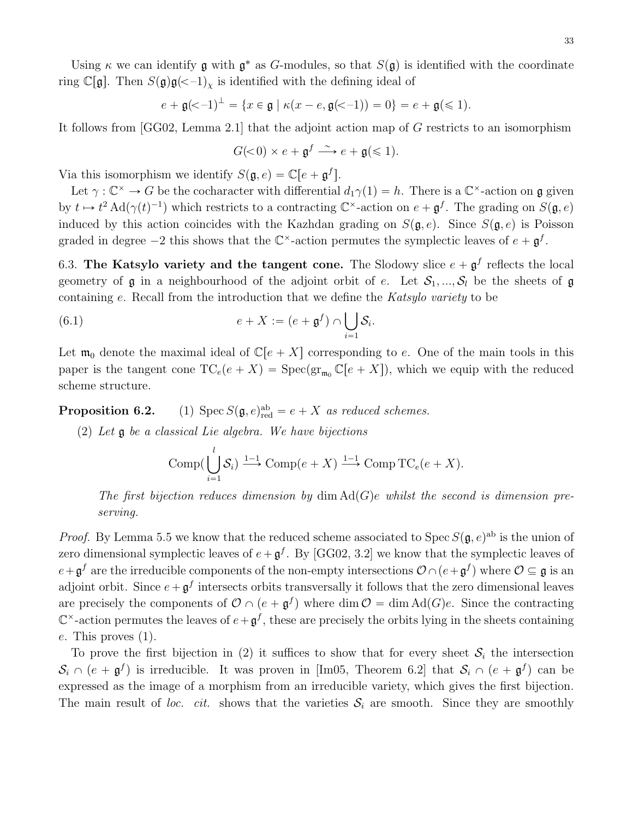Using  $\kappa$  we can identify  $\mathfrak g$  with  $\mathfrak g^*$  as G-modules, so that  $S(\mathfrak g)$  is identified with the coordinate ring  $\mathbb{C}[\mathfrak{g}]$ . Then  $S(\mathfrak{g})\mathfrak{g}(\lt-1)_\chi$  is identified with the defining ideal of

$$
e + \mathfrak{g}(-1)^{\perp} = \{x \in \mathfrak{g} \mid \kappa(x - e, \mathfrak{g}(-1)) = 0\} = e + \mathfrak{g}(\leq 1).
$$

It follows from [\[GG02,](#page-49-6) Lemma 2.1] that the adjoint action map of G restricts to an isomorphism

$$
G(<0) \times e + \mathfrak{g}^f \xrightarrow{\sim} e + \mathfrak{g}(\leq 1).
$$

Via this isomorphism we identify  $S(\mathfrak{g}, e) = \mathbb{C}[e + \mathfrak{g}^f].$ 

Let  $\gamma: \mathbb{C}^{\times} \to G$  be the cocharacter with differential  $d_1\gamma(1) = h$ . There is a  $\mathbb{C}^{\times}$ -action on g given by  $t \mapsto t^2 \operatorname{Ad}(\gamma(t)^{-1})$  which restricts to a contracting  $\mathbb{C}^{\times}$ -action on  $e + \mathfrak{g}^f$ . The grading on  $S(\mathfrak{g}, e)$ induced by this action coincides with the Kazhdan grading on  $S(\mathfrak{g}, e)$ . Since  $S(\mathfrak{g}, e)$  is Poisson graded in degree  $-2$  this shows that the  $\mathbb{C}^{\times}$ -action permutes the symplectic leaves of  $e + \mathfrak{g}^f$ .

<span id="page-32-0"></span>6.3. The Katsylo variety and the tangent cone. The Slodowy slice  $e + \mathfrak{g}^f$  reflects the local geometry of  $\mathfrak g$  in a neighbourhood of the adjoint orbit of e. Let  $\mathcal S_1, ..., \mathcal S_l$  be the sheets of  $\mathfrak g$ containing e. Recall from the introduction that we define the Katsylo variety to be

(6.1) 
$$
e + X := (e + \mathfrak{g}^f) \cap \bigcup_{i=1} S_i.
$$

Let  $\mathfrak{m}_0$  denote the maximal ideal of  $\mathbb{C}[e + X]$  corresponding to e. One of the main tools in this paper is the tangent cone  $TC_e(e + X) = Spec(\text{gr}_{\mathfrak{m}_0} \mathbb{C}[e + X])$ , which we equip with the reduced scheme structure.

**Proposition 6.2.** (1) Spec  $S(\mathfrak{g}, e)_{\text{red}}^{\text{ab}} = e + X$  as reduced schemes.

(2) Let g be a classical Lie algebra. We have bijections

<span id="page-32-1"></span>Comp(
$$
\bigcup_{i=1}^{l} S_i
$$
)  $\xrightarrow{1-1}$ Comp( $e + X$ )  $\xrightarrow{1-1}$ Comp  $TC_e(e + X)$ .

The first bijection reduces dimension by  $\dim \mathrm{Ad}(G)e$  whilst the second is dimension preserving.

*Proof.* By Lemma [5.5](#page-30-1) we know that the reduced scheme associated to Spec  $S(\mathfrak{g},e)^{ab}$  is the union of zero dimensional symplectic leaves of  $e + \mathfrak{g}^f$ . By [\[GG02,](#page-49-6) 3.2] we know that the symplectic leaves of  $e+\mathfrak{g}^f$  are the irreducible components of the non-empty intersections  $\mathcal{O}\cap (e+\mathfrak{g}^f)$  where  $\mathcal{O}\subseteq \mathfrak{g}$  is an adjoint orbit. Since  $e + \mathfrak{g}^f$  intersects orbits transversally it follows that the zero dimensional leaves are precisely the components of  $\mathcal{O} \cap (e + \mathfrak{g}^f)$  where dim  $\mathcal{O} = \dim \text{Ad}(G)e$ . Since the contracting  $\mathbb{C}^{\times}$ -action permutes the leaves of  $e + \mathfrak{g}^f$ , these are precisely the orbits lying in the sheets containing e. This proves  $(1)$ .

To prove the first bijection in (2) it suffices to show that for every sheet  $S_i$  the intersection  $\mathcal{S}_i \cap (e + \mathfrak{g}^f)$  is irreducible. It was proven in [\[Im05,](#page-49-18) Theorem 6.2] that  $\mathcal{S}_i \cap (e + \mathfrak{g}^f)$  can be expressed as the image of a morphism from an irreducible variety, which gives the first bijection. The main result of loc. cit. shows that the varieties  $S_i$  are smooth. Since they are smoothly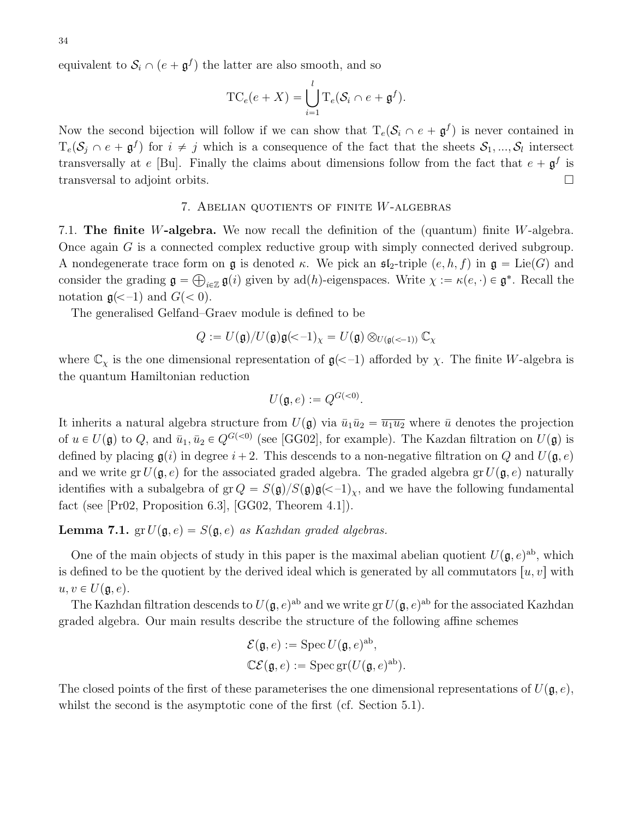equivalent to  $S_i \cap (e + \mathfrak{g}^f)$  the latter are also smooth, and so

$$
TC_e(e+X) = \bigcup_{i=1}^l T_e(\mathcal{S}_i \cap e + \mathfrak{g}^f).
$$

Now the second bijection will follow if we can show that  $T_e(S_i \cap e + \mathfrak{g}^f)$  is never contained in  $T_e(\mathcal{S}_j \cap e + \mathfrak{g}^f)$  for  $i \neq j$  which is a consequence of the fact that the sheets  $\mathcal{S}_1, ..., \mathcal{S}_l$  intersect transversally at e [\[Bu\]](#page-49-3). Finally the claims about dimensions follow from the fact that  $e + \mathfrak{g}^f$  is transversal to adjoint orbits.

# 7. Abelian quotients of finite W-algebras

<span id="page-33-1"></span><span id="page-33-0"></span>7.1. The finite W-algebra. We now recall the definition of the (quantum) finite W-algebra. Once again G is a connected complex reductive group with simply connected derived subgroup. A nondegenerate trace form on  $\mathfrak g$  is denoted  $\kappa$ . We pick an  $\mathfrak{sl}_2$ -triple  $(e, h, f)$  in  $\mathfrak g = \text{Lie}(G)$  and consider the grading  $\mathfrak{g} = \bigoplus_{i \in \mathbb{Z}} \mathfrak{g}(i)$  given by ad $(h)$ -eigenspaces. Write  $\chi := \kappa(e, \cdot) \in \mathfrak{g}^*$ . Recall the notation  $\mathfrak{g}(-1)$  and  $G(< 0)$ .

The generalised Gelfand–Graev module is defined to be

$$
Q:=U(\mathfrak{g})/U(\mathfrak{g})\mathfrak{g}(\operatorname{\!<\!}-1)_\chi=U(\mathfrak{g})\otimes_{U(\mathfrak{g}(\operatorname{\!<\!}-1))}\mathbb{C}_\chi
$$

where  $\mathbb{C}_{\chi}$  is the one dimensional representation of  $\mathfrak{g}(\lt-1)$  afforded by  $\chi$ . The finite W-algebra is the quantum Hamiltonian reduction

$$
U(\mathfrak{g},e) := Q^{G(<0)}.
$$

It inherits a natural algebra structure from  $U(\mathfrak{g})$  via  $\bar{u}_1\bar{u}_2 = \overline{u_1u_2}$  where  $\bar{u}$  denotes the projection of  $u \in U(\mathfrak{g})$  to Q, and  $\bar{u}_1, \bar{u}_2 \in Q^{G(<0)}$  (see [\[GG02\]](#page-49-6), for example). The Kazdan filtration on  $U(\mathfrak{g})$  is defined by placing  $g(i)$  in degree  $i+2$ . This descends to a non-negative filtration on Q and  $U(\mathfrak{g}, e)$ and we write gr  $U(\mathfrak{g}, e)$  for the associated graded algebra. The graded algebra gr  $U(\mathfrak{g}, e)$  naturally identifies with a subalgebra of gr  $Q = S(g)/S(g)g(-1)_x$ , and we have the following fundamental fact (see  $[Pr02, Proposition 6.3]$ ,  $[GG02, Theorem 4.1]$ ).

<span id="page-33-2"></span>**Lemma 7.1.**  $gr U(g, e) = S(g, e)$  as Kazhdan graded algebras.

One of the main objects of study in this paper is the maximal abelian quotient  $U(\mathfrak{g}, e)^{ab}$ , which is defined to be the quotient by the derived ideal which is generated by all commutators  $[u, v]$  with  $u, v \in U(\mathfrak{g}, e).$ 

The Kazhdan filtration descends to  $U(\mathfrak{g},e)^{\text{ab}}$  and we write  $\operatorname{gr} U(\mathfrak{g},e)^{\text{ab}}$  for the associated Kazhdan graded algebra. Our main results describe the structure of the following affine schemes

$$
\mathcal{E}(\mathfrak{g},e) := \operatorname{Spec} U(\mathfrak{g},e)^{ab},
$$
  

$$
\mathbb{C}\mathcal{E}(\mathfrak{g},e) := \operatorname{Spec} \operatorname{gr}(U(\mathfrak{g},e)^{ab}).
$$

The closed points of the first of these parameterises the one dimensional representations of  $U(\mathfrak{g}, e)$ , whilst the second is the asymptotic cone of the first (cf. Section [5.1\)](#page-28-2).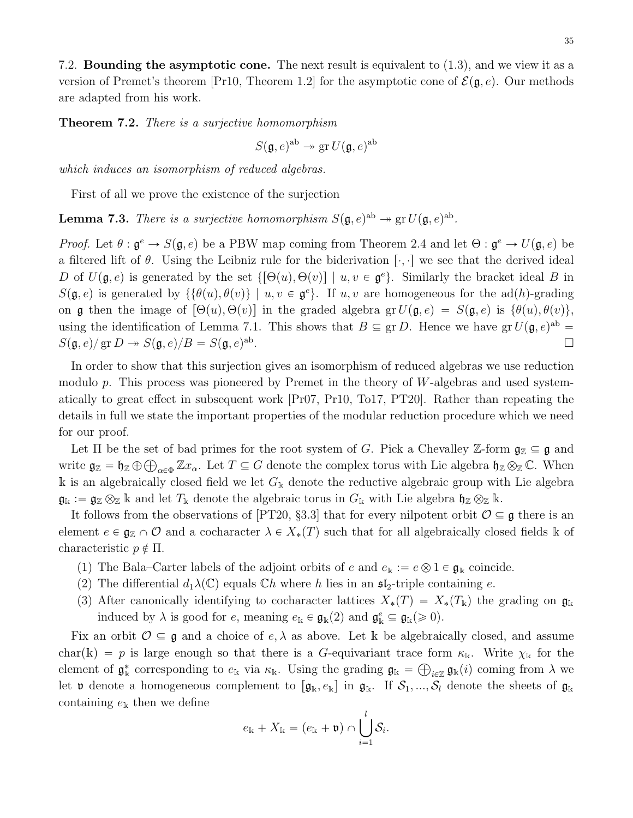<span id="page-34-0"></span>7.2. Bounding the asymptotic cone. The next result is equivalent to [\(1.3\)](#page-2-0), and we view it as a version of Premet's theorem [\[Pr10,](#page-50-6) Theorem 1.2] for the asymptotic cone of  $\mathcal{E}(\mathfrak{g}, e)$ . Our methods are adapted from his work.

<span id="page-34-1"></span>**Theorem 7.2.** There is a surjective homomorphism

$$
S(\mathfrak{g},e)^{ab} \twoheadrightarrow \text{gr } U(\mathfrak{g},e)^{ab}
$$

which induces an isomorphism of reduced algebras.

First of all we prove the existence of the surjection

<span id="page-34-2"></span>**Lemma 7.3.** There is a surjective homomorphism  $S(\mathfrak{g},e)^{ab} \to gr U(\mathfrak{g},e)^{ab}$ .

*Proof.* Let  $\theta: \mathfrak{g}^e \to S(\mathfrak{g}, e)$  be a PBW map coming from Theorem [2.4](#page-8-3) and let  $\Theta: \mathfrak{g}^e \to U(\mathfrak{g}, e)$  be a filtered lift of  $\theta$ . Using the Leibniz rule for the biderivation  $[\cdot, \cdot]$  we see that the derived ideal D of  $U(\mathfrak{g}, e)$  is generated by the set  $\{[\Theta(u), \Theta(v)] \mid u, v \in \mathfrak{g}^e\}$ . Similarly the bracket ideal B in  $S(\mathfrak{g}, e)$  is generated by  $\{\theta(u), \theta(v)\} \mid u, v \in \mathfrak{g}^e\}$ . If  $u, v$  are homogeneous for the ad(h)-grading on **g** then the image of  $[\Theta(u), \Theta(v)]$  in the graded algebra gr  $U(\mathfrak{g}, e) = S(\mathfrak{g}, e)$  is  $\{\theta(u), \theta(v)\},\$ using the identification of Lemma [7.1.](#page-33-2) This shows that  $B \subseteq gr D$ . Hence we have  $gr U(\mathfrak{g}, e)^{ab} =$  $S(\mathfrak{g},e) / \operatorname{gr} D \twoheadrightarrow S(\mathfrak{g},e) / B = S(\mathfrak{g},e)^{\operatorname{ab}}$ .

In order to show that this surjection gives an isomorphism of reduced algebras we use reduction modulo  $p$ . This process was pioneered by Premet in the theory of W-algebras and used systematically to great effect in subsequent work [\[Pr07,](#page-50-17) [Pr10,](#page-50-6) [To17,](#page-50-18) [PT20\]](#page-50-19). Rather than repeating the details in full we state the important properties of the modular reduction procedure which we need for our proof.

Let  $\Pi$  be the set of bad primes for the root system of G. Pick a Chevalley Z-form  $\mathfrak{g}_\mathbb{Z} \subseteq \mathfrak{g}$  and write  $\mathfrak{g}_{\mathbb{Z}} = \mathfrak{h}_{\mathbb{Z}} \oplus \bigoplus_{\alpha \in \Phi} \mathbb{Z} x_{\alpha}$ . Let  $T \subseteq G$  denote the complex torus with Lie algebra  $\mathfrak{h}_{\mathbb{Z}} \otimes_{\mathbb{Z}} \mathbb{C}$ . When k is an algebraically closed field we let  $G_k$  denote the reductive algebraic group with Lie algebra  $\mathfrak{g}_{\mathbb{k}} := \mathfrak{g}_{\mathbb{Z}} \otimes_{\mathbb{Z}} \mathbb{k}$  and let  $T_{\mathbb{k}}$  denote the algebraic torus in  $G_{\mathbb{k}}$  with Lie algebra  $\mathfrak{h}_{\mathbb{Z}} \otimes_{\mathbb{Z}} \mathbb{k}$ .

It follows from the observations of [\[PT20,](#page-50-19) §3.3] that for every nilpotent orbit  $\mathcal{O} \subseteq \mathfrak{g}$  there is an element  $e \in \mathfrak{g}_\mathbb{Z} \cap \mathcal{O}$  and a cocharacter  $\lambda \in X_*(T)$  such that for all algebraically closed fields k of characteristic  $p \notin \Pi$ .

- (1) The Bala–Carter labels of the adjoint orbits of e and  $e_k := e \otimes 1 \in \mathfrak{g}_k$  coincide.
- (2) The differential  $d_1\lambda(\mathbb{C})$  equals  $\mathbb{C}h$  where h lies in an  $\mathfrak{sl}_2$ -triple containing e.
- (3) After canonically identifying to cocharacter lattices  $X_*(T) = X_*(T_k)$  the grading on  $\mathfrak{g}_k$ induced by  $\lambda$  is good for e, meaning  $e_{\mathbf{k}} \in \mathfrak{g}_{\mathbf{k}}(2)$  and  $\mathfrak{g}_{\mathbf{k}}^e \subseteq \mathfrak{g}_{\mathbf{k}}(\geq 0)$ .

Fix an orbit  $\mathcal{O} \subseteq \mathfrak{g}$  and a choice of  $e, \lambda$  as above. Let k be algebraically closed, and assume char(k) = p is large enough so that there is a G-equivariant trace form  $\kappa_k$ . Write  $\chi_k$  for the element of  $\mathfrak{g}_{\mathbb{k}}^*$  corresponding to  $e_{\mathbb{k}}$  via  $\kappa_{\mathbb{k}}$ . Using the grading  $\mathfrak{g}_{\mathbb{k}} = \bigoplus_{i \in \mathbb{Z}} \mathfrak{g}_{\mathbb{k}}(i)$  coming from  $\lambda$  we let **v** denote a homogeneous complement to  $[\mathfrak{g}_k, e_k]$  in  $\mathfrak{g}_k$ . If  $\mathcal{S}_1, ..., \mathcal{S}_l$  denote the sheets of  $\mathfrak{g}_k$ containing  $e_{\mathbf{k}}$  then we define

$$
e_{\mathbf{k}}+X_{\mathbf{k}}=(e_{\mathbf{k}}+\mathfrak{v})\cap\bigcup_{i=1}^{l}\mathcal{S}_{i}.
$$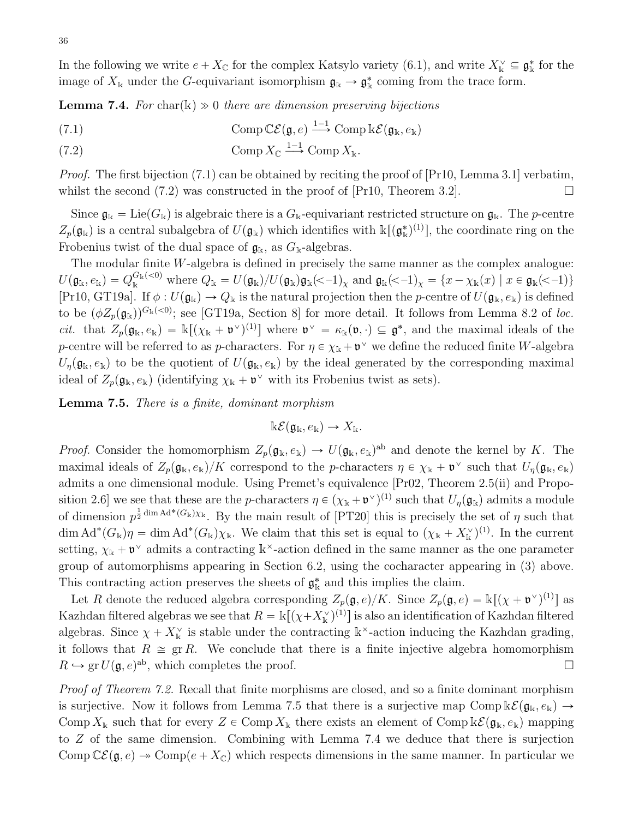In the following we write  $e + X_{\mathbb{C}}$  for the complex Katsylo variety [\(6.1\)](#page-32-1), and write  $X_{\mathbb{K}}^{\vee} \subseteq \mathfrak{g}_{\mathbb{K}}^*$  for the image of  $X_{\mathbb{k}}$  under the G-equivariant isomorphism  $\mathfrak{g}_{\mathbb{k}} \to \mathfrak{g}_{\mathbb{k}}^*$  coming from the trace form.

<span id="page-35-2"></span>**Lemma 7.4.** For char( $\mathbb{k}$ )  $\gg$  0 there are dimension preserving bijections

<span id="page-35-0"></span>(7.1) 
$$
\text{Comp}\,\mathbb{C}\mathcal{E}(\mathfrak{g},e) \stackrel{1-1}{\longrightarrow} \text{Comp}\,\mathbb{k}\mathcal{E}(\mathfrak{g}_{\mathbb{k}},e_{\mathbb{k}})
$$

(7.2) 
$$
\text{Comp } X_{\mathbb{C}} \stackrel{1-1}{\longrightarrow} \text{Comp } X_{\mathbb{K}}.
$$

*Proof.* The first bijection [\(7.1\)](#page-35-0) can be obtained by reciting the proof of  $\rm [Pr10, Lemma 3.1]$  $\rm [Pr10, Lemma 3.1]$  $\rm [Pr10, Lemma 3.1]$  verbatim, whilst the second [\(7.2\)](#page-35-0) was constructed in the proof of  $[Pr10, Theorem 3.2]$ .

Since  $\mathfrak{g}_k = \text{Lie}(G_k)$  is algebraic there is a  $G_k$ -equivariant restricted structure on  $\mathfrak{g}_k$ . The *p*-centre  $Z_p(\mathfrak{g}_k)$  is a central subalgebra of  $U(\mathfrak{g}_k)$  which identifies with  $\Bbbk[(\mathfrak{g}_k^*)^{(1)}]$ , the coordinate ring on the Frobenius twist of the dual space of  $\mathfrak{g}_{k}$ , as  $G_{k}$ -algebras.

The modular finite W-algebra is defined in precisely the same manner as the complex analogue:  $U(\mathfrak{g}_{\Bbbk},e_{\Bbbk})=Q_{\Bbbk}^{G_{\Bbbk}(-0)}$  where  $Q_{\Bbbk}=U(\mathfrak{g}_{\Bbbk})/U(\mathfrak{g}_{\Bbbk})\mathfrak{g}_{\Bbbk}(\lt-1)_\chi$  and  $\mathfrak{g}_{\Bbbk}(\lt-1)_\chi=\{x-\chi_{\Bbbk}(x)\mid x\in\mathfrak{g}_{\Bbbk}(\lt-1)\}$ [\[Pr10,](#page-50-6) [GT19a\]](#page-49-19). If  $\phi: U(\mathfrak{g}_k) \to Q_k$  is the natural projection then the p-centre of  $U(\mathfrak{g}_k, e_k)$  is defined to be  $(\phi Z_p(\mathfrak{g}_{\mathbb{k}}))^{G_{\mathbb{k}}(-0)}$ ; see [\[GT19a,](#page-49-19) Section 8] for more detail. It follows from Lemma 8.2 of loc. *cit.* that  $Z_p(\mathfrak{g}_k, e_k) = \mathbb{k}[(\chi_k + \mathfrak{v}^\vee)^{(1)}]$  where  $\mathfrak{v}^\vee = \kappa_k(\mathfrak{v}, \cdot) \subseteq \mathfrak{g}^*$ , and the maximal ideals of the p-centre will be referred to as p-characters. For  $\eta \in \chi_k + \mathfrak{v}^\vee$  we define the reduced finite W-algebra  $U_{\eta}(\mathfrak{g}_{k}, e_{k})$  to be the quotient of  $U(\mathfrak{g}_{k}, e_{k})$  by the ideal generated by the corresponding maximal ideal of  $Z_p(\mathfrak{g}_k, e_k)$  (identifying  $\chi_k + \mathfrak{v}^\vee$  with its Frobenius twist as sets).

<span id="page-35-1"></span>Lemma 7.5. There is a finite, dominant morphism

 $\Bbbk\mathcal{E}(\mathfrak{g}_{\Bbbk}, e_{\Bbbk}) \to X_{\Bbbk}.$ 

*Proof.* Consider the homomorphism  $Z_p(\mathfrak{g}_k, e_k) \to U(\mathfrak{g}_k, e_k)$ <sup>ab</sup> and denote the kernel by K. The maximal ideals of  $Z_p(\mathfrak{g}_k, e_k)/K$  correspond to the p-characters  $\eta \in \chi_k + \mathfrak{v}^\vee$  such that  $U_\eta(\mathfrak{g}_k, e_k)$ admits a one dimensional module. Using Premet's equivalence [\[Pr02,](#page-50-0) Theorem 2.5(ii) and Proposition 2.6] we see that these are the *p*-characters  $\eta \in (\chi_{\mathbb{k}} + \mathfrak{v}^{\vee})^{(1)}$  such that  $U_{\eta}(\mathfrak{g}_{\mathbb{k}})$  admits a module of dimension  $p^{\frac{1}{2} \dim \text{Ad}^*(G_k)\chi_k}$ . By the main result of [\[PT20\]](#page-50-19) this is precisely the set of  $\eta$  such that dim  $\text{Ad}^*(G_{\mathbb{k}})\eta = \dim \text{Ad}^*(G_{\mathbb{k}}) \chi_{\mathbb{k}}$ . We claim that this set is equal to  $(\chi_{\mathbb{k}} + X_{\mathbb{k}}^{\vee})^{(1)}$ . In the current setting,  $\chi_{\mathbb{k}} + \mathfrak{v}^{\vee}$  admits a contracting  $\mathbb{k}^{\times}$ -action defined in the same manner as the one parameter group of automorphisms appearing in Section [6.2,](#page-31-2) using the cocharacter appearing in (3) above. This contracting action preserves the sheets of  $\mathfrak{g}_{\mathbb{k}}^*$  and this implies the claim.

Let R denote the reduced algebra corresponding  $Z_p(\mathfrak{g}, e)/K$ . Since  $Z_p(\mathfrak{g}, e) = \mathbb{k}[(\chi + \mathfrak{v}^\vee)^{(1)}]$  as Kazhdan filtered algebras we see that  $R = \Bbbk[(\chi + X_{\Bbbk}^{\vee})^{(1)}]$  is also an identification of Kazhdan filtered algebras. Since  $\chi + X_{\mathbf{k}}^{\vee}$  is stable under the contracting  $\mathbf{k}^{\times}$ -action inducing the Kazhdan grading, it follows that  $R \cong \text{gr } R$ . We conclude that there is a finite injective algebra homomorphism  $R \hookrightarrow \text{gr } U(\mathfrak{g}, e)^{\text{ab}}$ , which completes the proof.

Proof of Theorem [7.2.](#page-34-1) Recall that finite morphisms are closed, and so a finite dominant morphism is surjective. Now it follows from Lemma [7.5](#page-35-1) that there is a surjective map Comp  $\Bbbk\mathcal{E}(\mathfrak{g}_{\Bbbk}, e_{\Bbbk}) \to$ Comp  $X_k$  such that for every  $Z \in \text{Comp } X_k$  there exists an element of Comp  $k\mathcal{E}(\mathfrak{g}_k, e_k)$  mapping to Z of the same dimension. Combining with Lemma [7.4](#page-35-2) we deduce that there is surjection Comp  $\mathbb{C}\mathcal{E}(\mathfrak{g}, e) \to \text{Comp}(e + X_{\mathbb{C}})$  which respects dimensions in the same manner. In particular we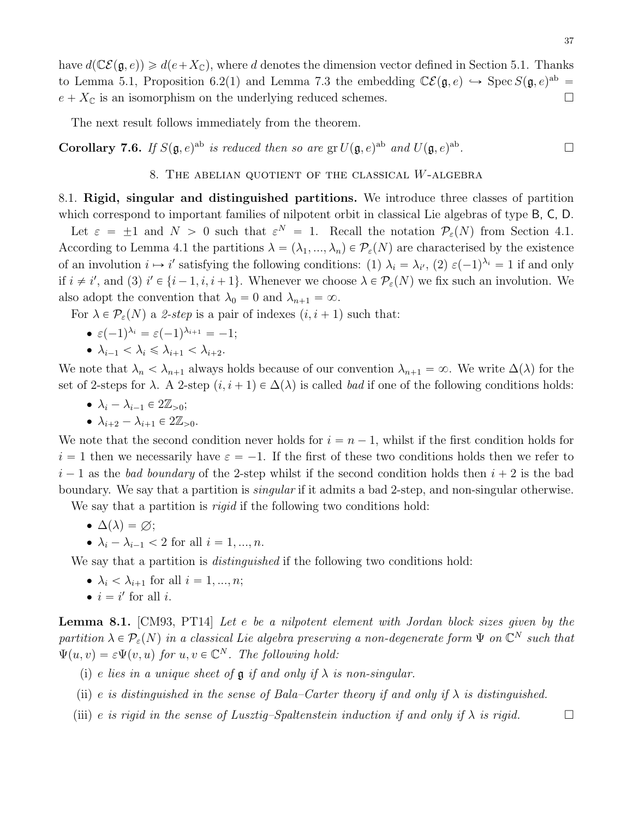have  $d(\mathbb{C}\mathcal{E}(\mathfrak{g}, e)) \geq d(e + X_{\mathbb{C}})$ , where d denotes the dimension vector defined in Section [5.1.](#page-28-2) Thanks to Lemma [5.1,](#page-28-4) Proposition [6.2\(](#page-0-0)1) and Lemma [7.3](#page-34-2) the embedding  $\mathbb{C}\mathcal{E}(\mathfrak{g},e) \hookrightarrow \text{Spec } S(\mathfrak{g},e)^{ab} =$  $e + X_{\mathbb{C}}$  is an isomorphism on the underlying reduced schemes.

The next result follows immediately from the theorem.

<span id="page-36-3"></span><span id="page-36-0"></span>**Corollary 7.6.** If  $S(\mathfrak{g},e)^{ab}$  is reduced then so are  $gr U(\mathfrak{g},e)^{ab}$  and  $U(\mathfrak{g},e)^{ab}$ .

8. The abelian quotient of the classical W-algebra

<span id="page-36-1"></span>8.1. Rigid, singular and distinguished partitions. We introduce three classes of partition which correspond to important families of nilpotent orbit in classical Lie algebras of type B, C, D.

Let  $\varepsilon = \pm 1$  and  $N > 0$  such that  $\varepsilon^N = 1$ . Recall the notation  $\mathcal{P}_{\varepsilon}(N)$  from Section [4.1.](#page-22-1) According to Lemma [4.1](#page-22-3) the partitions  $\lambda = (\lambda_1, ..., \lambda_n) \in \mathcal{P}_{\varepsilon}(N)$  are characterised by the existence of an involution  $i \mapsto i'$  satisfying the following conditions: (1)  $\lambda_i = \lambda_{i'}$ , (2)  $\varepsilon(-1)^{\lambda_i} = 1$  if and only if  $i \neq i'$ , and (3)  $i' \in \{i-1, i, i+1\}$ . Whenever we choose  $\lambda \in \mathcal{P}_{\varepsilon}(N)$  we fix such an involution. We also adopt the convention that  $\lambda_0 = 0$  and  $\lambda_{n+1} = \infty$ .

For  $\lambda \in \mathcal{P}_{\varepsilon}(N)$  a 2-step is a pair of indexes  $(i, i + 1)$  such that:

- $\bullet \ \varepsilon(-1)^{\lambda_i} = \varepsilon(-1)^{\lambda_{i+1}} = -1;$
- $\bullet$   $\lambda_{i-1} < \lambda_i \leqslant \lambda_{i+1} < \lambda_{i+2}.$

We note that  $\lambda_n < \lambda_{n+1}$  always holds because of our convention  $\lambda_{n+1} = \infty$ . We write  $\Delta(\lambda)$  for the set of 2-steps for  $\lambda$ . A 2-step  $(i, i + 1) \in \Delta(\lambda)$  is called bad if one of the following conditions holds:

 $\bullet \lambda_i - \lambda_{i-1} \in 2\mathbb{Z}_{>0};$ 

• 
$$
\lambda_{i+2} - \lambda_{i+1} \in 2\mathbb{Z}_{>0}.
$$

We note that the second condition never holds for  $i = n - 1$ , whilst if the first condition holds for  $i = 1$  then we necessarily have  $\varepsilon = -1$ . If the first of these two conditions holds then we refer to  $i - 1$  as the bad boundary of the 2-step whilst if the second condition holds then  $i + 2$  is the bad boundary. We say that a partition is *singular* if it admits a bad 2-step, and non-singular otherwise.

We say that a partition is *rigid* if the following two conditions hold:

$$
\bullet \ \Delta(\lambda) = \varnothing;
$$

•  $\lambda_i - \lambda_{i-1} < 2$  for all  $i = 1, ..., n$ .

We say that a partition is *distinguished* if the following two conditions hold:

- $\bullet \lambda_i < \lambda_{i+1}$  for all  $i = 1, ..., n;$
- $i = i'$  for all  $i$ .

<span id="page-36-2"></span>Lemma 8.1. [\[CM93,](#page-49-11) [PT14\]](#page-50-7) Let e be a nilpotent element with Jordan block sizes given by the partition  $\lambda \in \mathcal{P}_{\varepsilon}(N)$  in a classical Lie algebra preserving a non-degenerate form  $\Psi$  on  $\mathbb{C}^N$  such that  $\Psi(u, v) = \varepsilon \Psi(v, u)$  for  $u, v \in \mathbb{C}^N$ . The following hold:

- (i) e lies in a unique sheet of  $\mathfrak g$  if and only if  $\lambda$  is non-singular.
- (ii) e is distinguished in the sense of Bala–Carter theory if and only if  $\lambda$  is distinguished.
- (iii) e is rigid in the sense of Lusztig–Spaltenstein induction if and only if  $\lambda$  is rigid.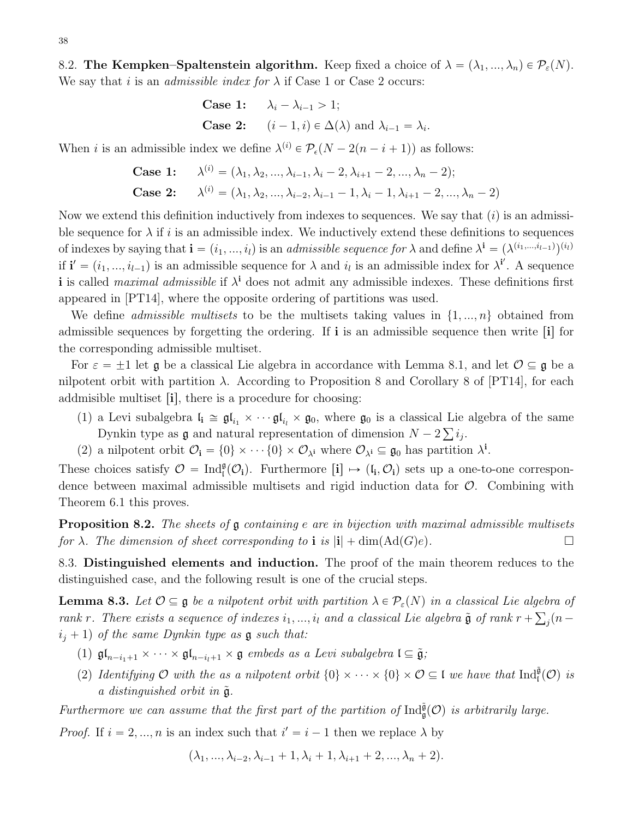<span id="page-37-1"></span>8.2. The Kempken–Spaltenstein algorithm. Keep fixed a choice of  $\lambda = (\lambda_1, ..., \lambda_n) \in \mathcal{P}_{\varepsilon}(N)$ . We say that *i* is an *admissible index for*  $\lambda$  if Case 1 or Case 2 occurs:

Case 1: 
$$
\lambda_i - \lambda_{i-1} > 1
$$
;  
Case 2:  $(i - 1, i) \in \Delta(\lambda)$  and  $\lambda_{i-1} = \lambda_i$ 

.

When *i* is an admissible index we define  $\lambda^{(i)} \in \mathcal{P}_{\epsilon}(N - 2(n - i + 1))$  as follows:

Case 1: 
$$
\lambda^{(i)} = (\lambda_1, \lambda_2, ..., \lambda_{i-1}, \lambda_i - 2, \lambda_{i+1} - 2, ..., \lambda_n - 2);
$$
  
\nCase 2:  $\lambda^{(i)} = (\lambda_1, \lambda_2, ..., \lambda_{i-2}, \lambda_{i-1} - 1, \lambda_i - 1, \lambda_{i+1} - 2, ..., \lambda_n - 2)$ 

Now we extend this definition inductively from indexes to sequences. We say that  $(i)$  is an admissible sequence for  $\lambda$  if i is an admissible index. We inductively extend these definitions to sequences of indexes by saying that  $\mathbf{i} = (i_1, ..., i_l)$  is an *admissible sequence for*  $\lambda$  and define  $\lambda^{\mathbf{i}} = (\lambda^{(i_1,...,i_{l-1})})^{(i_l)}$ if  $\mathbf{i}' = (i_1, ..., i_{l-1})$  is an admissible sequence for  $\lambda$  and  $i_l$  is an admissible index for  $\lambda^{\mathbf{i}'}$ . A sequence i is called *maximal admissible* if  $\lambda^i$  does not admit any admissible indexes. These definitions first appeared in [\[PT14\]](#page-50-7), where the opposite ordering of partitions was used.

We define *admissible multisets* to be the multisets taking values in  $\{1, ..., n\}$  obtained from admissible sequences by forgetting the ordering. If  $\mathbf i$  is an admissible sequence then write  $\begin{bmatrix} \mathbf i \end{bmatrix}$  for the corresponding admissible multiset.

For  $\varepsilon = \pm 1$  let g be a classical Lie algebra in accordance with Lemma [8.1,](#page-36-2) and let  $\mathcal{O} \subseteq \mathfrak{g}$  be a nilpotent orbit with partition  $\lambda$ . According to Proposition 8 and Corollary 8 of [\[PT14\]](#page-50-7), for each addmisible multiset  $[i]$ , there is a procedure for choosing:

- (1) a Levi subalgebra  $\mathfrak{l}_i \cong \mathfrak{gl}_{i_1} \times \cdots \mathfrak{gl}_{i_l} \times \mathfrak{g}_0$ , where  $\mathfrak{g}_0$  is a classical Lie algebra of the same Dynkin type as  $\mathfrak g$  and natural representation of dimension  $N - 2\sum_i i_j$ .
- (2) a nilpotent orbit  $\mathcal{O}_i = \{0\} \times \cdots \{0\} \times \mathcal{O}_{\lambda^i}$  where  $\mathcal{O}_{\lambda^i} \subseteq \mathfrak{g}_0$  has partition  $\lambda^i$ .

These choices satisfy  $\mathcal{O} = \text{Ind}_{\mathfrak{l}}^{\mathfrak{g}}(\mathcal{O}_{\mathfrak{i}})$ . Furthermore  $[\mathfrak{i}] \mapsto (\mathfrak{l}_{\mathfrak{i}}, \mathcal{O}_{\mathfrak{j}})$  sets up a one-to-one correspondence between maximal admissible multisets and rigid induction data for  $\mathcal{O}$ . Combining with Theorem [6.1](#page-31-3) this proves.

<span id="page-37-0"></span>**Proposition 8.2.** The sheets of  $\mathfrak g$  containing e are in bijection with maximal admissible multisets for  $\lambda$ . The dimension of sheet corresponding to **i** is  $|\mathbf{i}| + \dim(\text{Ad}(G)e)$ .

<span id="page-37-2"></span>8.3. Distinguished elements and induction. The proof of the main theorem reduces to the distinguished case, and the following result is one of the crucial steps.

<span id="page-37-3"></span>**Lemma 8.3.** Let  $\mathcal{O} \subseteq \mathfrak{g}$  be a nilpotent orbit with partition  $\lambda \in \mathcal{P}_{\varepsilon}(N)$  in a classical Lie algebra of rank r. There exists a sequence of indexes  $i_1, ..., i_l$  and a classical Lie algebra  $\tilde{\mathfrak{g}}$  of rank  $r + \sum_j (n - j)$  $i_j + 1$ ) of the same Dynkin type as  $\mathfrak g$  such that:

- (1)  $\mathfrak{gl}_{n-i_1+1} \times \cdots \times \mathfrak{gl}_{n-i_l+1} \times \mathfrak{g}$  embeds as a Levi subalgebra  $\mathfrak{l} \subseteq \tilde{\mathfrak{g}}$ ;
- (2) Identifying  $\mathcal O$  with the as a nilpotent orbit  $\{0\} \times \cdots \times \{0\} \times \mathcal O \subseteq \mathfrak l$  we have that  $\mathrm{Ind}_{\mathfrak l}^{\tilde{\mathfrak g}}(\mathcal O)$  is a distinguished orbit in  $\tilde{\mathfrak{g}}$ .

Furthermore we can assume that the first part of the partition of  $\text{Ind}_{\mathfrak{g}}^{\tilde{\mathfrak{g}}}(\mathcal{O})$  is arbitrarily large.

*Proof.* If  $i = 2, ..., n$  is an index such that  $i' = i - 1$  then we replace  $\lambda$  by

$$
(\lambda_1, ..., \lambda_{i-2}, \lambda_{i-1} + 1, \lambda_i + 1, \lambda_{i+1} + 2, ..., \lambda_n + 2).
$$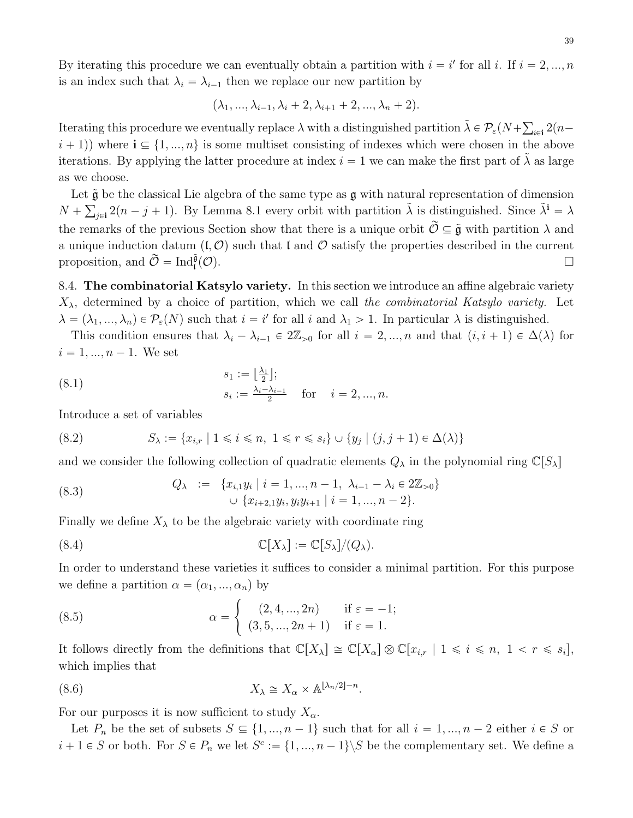By iterating this procedure we can eventually obtain a partition with  $i = i'$  for all i. If  $i = 2, ..., n$ is an index such that  $\lambda_i = \lambda_{i-1}$  then we replace our new partition by

$$
(\lambda_1, ..., \lambda_{i-1}, \lambda_i + 2, \lambda_{i+1} + 2, ..., \lambda_n + 2).
$$

Iterating this procedure we eventually replace  $\lambda$  with a distinguished partition  $\tilde{\lambda}\in\mathcal{P}_\varepsilon(N+1)$  $_{i\in I}$  2(n $i + 1$ ) where  $\mathbf{i} \subseteq \{1, ..., n\}$  is some multiset consisting of indexes which were chosen in the above iterations. By applying the latter procedure at index  $i = 1$  we can make the first part of  $\lambda$  as large as we choose.

Let  $\tilde{\mathfrak{g}}$  be the classical Lie algebra of the same type as  $\mathfrak{g}$  with natural representation of dimension  $N + \sum_{j \in \mathbf{i}} 2(n-j+1)$ . By Lemma [8.1](#page-36-2) every orbit with partition  $\tilde{\lambda}$  is distinguished. Since  $\tilde{\lambda}^{\mathbf{i}} = \lambda$ the remarks of the previous Section show that there is a unique orbit  $\tilde{O} \subseteq \tilde{\mathfrak{g}}$  with partition  $\lambda$  and a unique induction datum  $(I, O)$  such that l and O satisfy the properties described in the current proposition, and  $\widetilde{\mathcal{O}} = \text{Ind}_{\mathfrak{l}}^{\widetilde{\mathfrak{g}}}$  $(\mathcal{O}).$ 

<span id="page-38-0"></span>8.4. The combinatorial Katsylo variety. In this section we introduce an affine algebraic variety  $X_{\lambda}$ , determined by a choice of partition, which we call the combinatorial Katsylo variety. Let  $\lambda = (\lambda_1, ..., \lambda_n) \in \mathcal{P}_{\varepsilon}(N)$  such that  $i = i'$  for all i and  $\lambda_1 > 1$ . In particular  $\lambda$  is distinguished.

This condition ensures that  $\lambda_i - \lambda_{i-1} \in 2\mathbb{Z}_{>0}$  for all  $i = 2, ..., n$  and that  $(i, i + 1) \in \Delta(\lambda)$  for  $i = 1, ..., n - 1$ . We set

<span id="page-38-3"></span>(8.1) 
$$
s_1 := \left[\frac{\lambda_1}{2}\right]; s_i := \frac{\lambda_i - \lambda_{i-1}}{2} \quad \text{for} \quad i = 2, ..., n.
$$

Introduce a set of variables

(8.2) 
$$
S_{\lambda} := \{x_{i,r} \mid 1 \leq i \leq n, \ 1 \leq r \leq s_i\} \cup \{y_j \mid (j, j+1) \in \Delta(\lambda)\}\
$$

and we consider the following collection of quadratic elements  $Q_{\lambda}$  in the polynomial ring  $\mathbb{C}[S_{\lambda}]$ 

<span id="page-38-1"></span>(8.3) 
$$
Q_{\lambda} := \{x_{i,1}y_i \mid i = 1,...,n-1, \lambda_{i-1} - \lambda_i \in 2\mathbb{Z}_{>0}\} \cup \{x_{i+2,1}y_i, y_iy_{i+1} \mid i = 1,...,n-2\}.
$$

Finally we define  $X_{\lambda}$  to be the algebraic variety with coordinate ring

(8.4) 
$$
\mathbb{C}[X_{\lambda}] := \mathbb{C}[S_{\lambda}]/(Q_{\lambda}).
$$

In order to understand these varieties it suffices to consider a minimal partition. For this purpose we define a partition  $\alpha = (\alpha_1, ..., \alpha_n)$  by

(8.5) 
$$
\alpha = \begin{cases} (2, 4, ..., 2n) & \text{if } \varepsilon = -1; \\ (3, 5, ..., 2n + 1) & \text{if } \varepsilon = 1. \end{cases}
$$

It follows directly from the definitions that  $\mathbb{C}[X_\lambda] \cong \mathbb{C}[X_\alpha] \otimes \mathbb{C}[x_{i,r} \mid 1 \leq i \leq n, 1 \leq r \leq s_i],$ which implies that

<span id="page-38-2"></span>(8.6) 
$$
X_{\lambda} \cong X_{\alpha} \times \mathbb{A}^{\lfloor \lambda_n/2 \rfloor - n}.
$$

For our purposes it is now sufficient to study  $X_{\alpha}$ .

Let  $P_n$  be the set of subsets  $S \subseteq \{1, ..., n-1\}$  such that for all  $i = 1, ..., n-2$  either  $i \in S$  or  $i + 1 \in S$  or both. For  $S \in P_n$  we let  $S^c := \{1, ..., n - 1\} \backslash S$  be the complementary set. We define a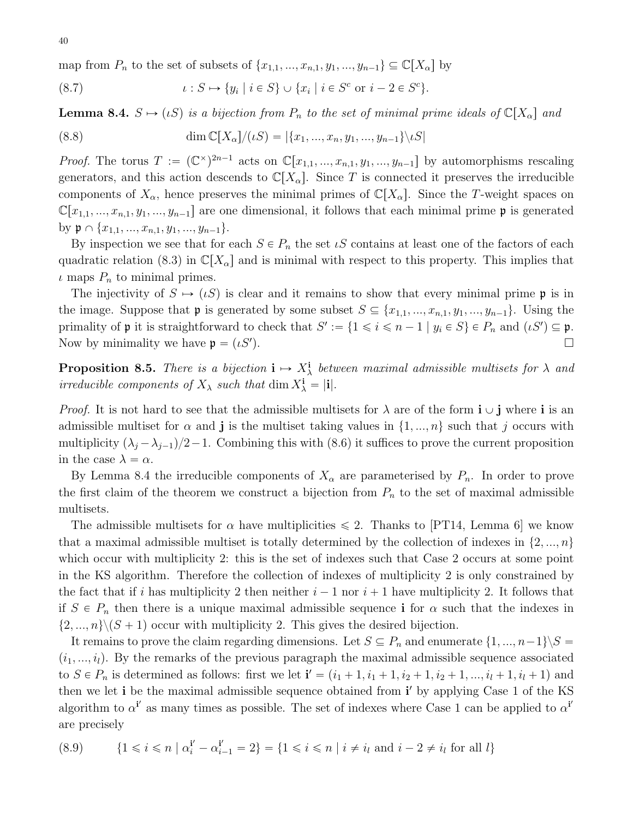map from  $P_n$  to the set of subsets of  $\{x_{1,1},..., x_{n,1}, y_1,..., y_{n-1}\} \subseteq \mathbb{C}[X_\alpha]$  by

<span id="page-39-1"></span>(8.7) 
$$
u: S \mapsto \{y_i \mid i \in S\} \cup \{x_i \mid i \in S^c \text{ or } i-2 \in S^c\}.
$$

<span id="page-39-0"></span>**Lemma 8.4.**  $S \mapsto (tS)$  is a bijection from  $P_n$  to the set of minimal prime ideals of  $\mathbb{C}[X_\alpha]$  and

(8.8) 
$$
\dim \mathbb{C}[X_{\alpha}]/(\iota S) = |\{x_1, ..., x_n, y_1, ..., y_{n-1}\}\backslash \iota S|
$$

*Proof.* The torus  $T := (\mathbb{C}^{\times})^{2n-1}$  acts on  $\mathbb{C}[x_{1,1},...,x_{n,1}, y_1,..., y_{n-1}]$  by automorphisms rescaling generators, and this action descends to  $\mathbb{C}[X_\alpha]$ . Since T is connected it preserves the irreducible components of  $X_{\alpha}$ , hence preserves the minimal primes of  $\mathbb{C}[X_{\alpha}]$ . Since the T-weight spaces on  $\mathbb{C}[x_{1,1},...,x_{n,1}, y_1,...,y_{n-1}]$  are one dimensional, it follows that each minimal prime p is generated by  $\mathfrak{p} \cap \{x_{1,1}, \ldots, x_{n,1}, y_1, \ldots, y_{n-1}\}.$ 

By inspection we see that for each  $S \in P_n$  the set  $\iota S$  contains at least one of the factors of each quadratic relation [\(8.3\)](#page-38-1) in  $\mathbb{C}[X_\alpha]$  and is minimal with respect to this property. This implies that  $\iota$  maps  $P_n$  to minimal primes.

The injectivity of  $S \mapsto (tS)$  is clear and it remains to show that every minimal prime p is in the image. Suppose that **p** is generated by some subset  $S \subseteq \{x_{1,1}, ..., x_{n,1}, y_1, ..., y_{n-1}\}$ . Using the primality of  $\mathfrak p$  it is straightforward to check that  $S' := \{1 \leq i \leq n-1 \mid y_i \in S\} \in P_n$  and  $(\iota S') \subseteq \mathfrak p$ . Now by minimality we have  $\mathfrak{p} = (\iota S')$ . ).  $\Box$ 

<span id="page-39-2"></span>**Proposition 8.5.** There is a bijection  $\mathbf{i} \mapsto X^{\mathbf{i}}_{\lambda}$  between maximal admissible multisets for  $\lambda$  and irreducible components of  $X_{\lambda}$  such that  $\dim X_{\lambda}^{\mathbf{i}} = |\mathbf{i}|$ .

*Proof.* It is not hard to see that the admissible multisets for  $\lambda$  are of the form  $\mathbf{i} \cup \mathbf{j}$  where i is an admissible multiset for  $\alpha$  and j is the multiset taking values in  $\{1, ..., n\}$  such that j occurs with multiplicity  $(\lambda_j - \lambda_{j-1})/2 - 1$ . Combining this with [\(8.6\)](#page-38-2) it suffices to prove the current proposition in the case  $\lambda = \alpha$ .

By Lemma [8.4](#page-39-0) the irreducible components of  $X_{\alpha}$  are parameterised by  $P_n$ . In order to prove the first claim of the theorem we construct a bijection from  $P_n$  to the set of maximal admissible multisets.

The admissible multisets for  $\alpha$  have multiplicities  $\leq 2$ . Thanks to [\[PT14,](#page-50-7) Lemma 6] we know that a maximal admissible multiset is totally determined by the collection of indexes in  $\{2, ..., n\}$ which occur with multiplicity 2: this is the set of indexes such that Case 2 occurs at some point in the KS algorithm. Therefore the collection of indexes of multiplicity 2 is only constrained by the fact that if i has multiplicity 2 then neither  $i - 1$  nor  $i + 1$  have multiplicity 2. It follows that if  $S \in P_n$  then there is a unique maximal admissible sequence i for  $\alpha$  such that the indexes in  $\{2, ..., n\} \setminus (S + 1)$  occur with multiplicity 2. This gives the desired bijection.

It remains to prove the claim regarding dimensions. Let  $S \subseteq P_n$  and enumerate  $\{1, ..., n-1\} \backslash S =$  $(i_1, ..., i_l)$ . By the remarks of the previous paragraph the maximal admissible sequence associated to  $S \in P_n$  is determined as follows: first we let  $\mathbf{i}' = (i_1 + 1, i_1 + 1, i_2 + 1, i_2 + 1, ..., i_l + 1, i_l + 1)$  and then we let i be the maximal admissible sequence obtained from i' by applying Case 1 of the KS algorithm to  $\alpha^{i'}$  as many times as possible. The set of indexes where Case 1 can be applied to  $\alpha^{i'}$ are precisely

$$
(8.9) \qquad \{1 \le i \le n \mid \alpha_i^{i'} - \alpha_{i-1}^{i'} = 2\} = \{1 \le i \le n \mid i \ne i_l \text{ and } i - 2 \ne i_l \text{ for all } l\}
$$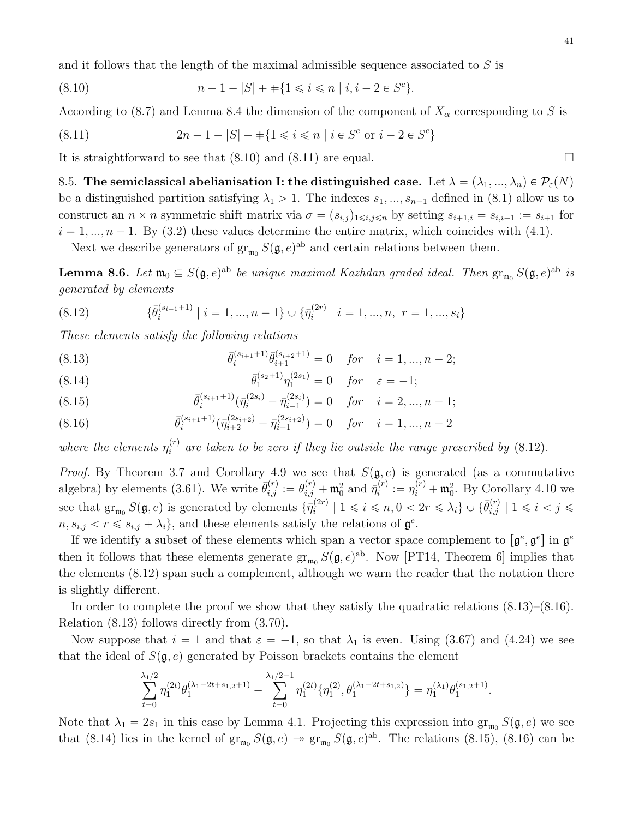and it follows that the length of the maximal admissible sequence associated to  $S$  is

<span id="page-40-1"></span>(8.10) 
$$
n - 1 - |S| + \frac{1}{2} \leq i \leq n | i, i - 2 \in S^{c}.
$$

According to [\(8.7\)](#page-39-1) and Lemma [8.4](#page-39-0) the dimension of the component of  $X_{\alpha}$  corresponding to S is

<span id="page-40-2"></span>(8.11) 
$$
2n - 1 - |S| - 1 = \{1 \le i \le n \mid i \in S^c \text{ or } i - 2 \in S^c\}
$$

It is straightforward to see that  $(8.10)$  and  $(8.11)$  are equal.

<span id="page-40-0"></span>8.5. The semiclassical abelianisation I: the distinguished case. Let  $\lambda = (\lambda_1, ..., \lambda_n) \in \mathcal{P}_{\varepsilon}(N)$ be a distinguished partition satisfying  $\lambda_1 > 1$ . The indexes  $s_1, ..., s_{n-1}$  defined in [\(8.1\)](#page-38-3) allow us to construct an  $n \times n$  symmetric shift matrix via  $\sigma = (s_{i,j})_{1 \leq i,j \leq n}$  by setting  $s_{i+1,i} = s_{i,i+1} := s_{i+1}$  for  $i = 1, ..., n - 1$ . By [\(3.2\)](#page-12-4) these values determine the entire matrix, which coincides with [\(4.1\)](#page-22-5).

Next we describe generators of  $\operatorname{gr}_{\mathfrak{m}_0} S(\mathfrak{g}, e)^{\text{ab}}$  and certain relations between them.

<span id="page-40-5"></span>**Lemma 8.6.** Let  $\mathfrak{m}_0 \subseteq S(\mathfrak{g}, e)^{ab}$  be unique maximal Kazhdan graded ideal. Then  $\mathrm{gr}_{\mathfrak{m}_0} S(\mathfrak{g}, e)^{ab}$  is generated by elements

<span id="page-40-3"></span>(8.12) 
$$
\{\bar{\theta}_{i}^{(s_{i+1}+1)} | i = 1,...,n-1\} \cup \{\bar{\eta}_{i}^{(2r)} | i = 1,...,n, r = 1,...,s_{i}\}
$$

These elements satisfy the following relations

<span id="page-40-4"></span>(8.13) 
$$
\bar{\theta}_{i}^{(s_{i+1}+1)}\bar{\theta}_{i+1}^{(s_{i+2}+1)} = 0 \quad \text{for} \quad i = 1, ..., n-2;
$$

(8.14) 
$$
\bar{\theta}_1^{(s_2+1)} \eta_1^{(2s_1)} = 0 \quad \text{for} \quad \varepsilon = -1;
$$

(8.15) 
$$
\bar{\theta}_{i}^{(s_{i+1}+1)}(\bar{\eta}_{i}^{(2s_{i})}-\bar{\eta}_{i-1}^{(2s_{i})})=0 \quad \text{for} \quad i=2,...,n-1;
$$

(8.16) 
$$
\bar{\theta}_{i}^{(s_{i+1}+1)}(\bar{\eta}_{i+2}^{(2s_{i+2})}-\bar{\eta}_{i+1}^{(2s_{i+2})})=0 \quad \text{for} \quad i=1,...,n-2
$$

where the elements  $\eta_i^{(r)}$  $i_i^{(r)}$  are taken to be zero if they lie outside the range prescribed by  $(8.12)$ .

*Proof.* By Theorem [3.7](#page-19-0) and Corollary [4.9](#page-27-0) we see that  $S(\mathfrak{g}, e)$  is generated (as a commutative algebra) by elements [\(3.61\)](#page-18-3). We write  $\bar{\theta}_{i,j}^{(r)} := \theta_{i,j}^{(r)} + \mathfrak{m}_0^2$  and  $\bar{\eta}_i^{(r)}$  $\eta_i^{(r)} := \eta_i^{(r)} + \mathfrak{m}_0^2$ . By Corollary [4.10](#page-28-5) we see that  $\operatorname{gr}_{\mathfrak{m}_0} S(\mathfrak{g}, e)$  is generated by elements  $\{ \bar{\eta}_i^{(2r)} \}$  $\{\hat{\theta}_{i}^{(2r)} \mid 1 \leq i \leq n, 0 < 2r \leq \lambda_i\} \cup \{\overline{\theta}_{i,j}^{(r)} \mid 1 \leq i < j \leq \lambda_i\}$  $n, s_{i,j} < r \leq s_{i,j} + \lambda_i$ , and these elements satisfy the relations of  $\mathfrak{g}^e$ .

If we identify a subset of these elements which span a vector space complement to  $[\mathfrak{g}^e, \mathfrak{g}^e]$  in  $\mathfrak{g}^e$ then it follows that these elements generate  $\mathrm{gr}_{\mathfrak{m}_0} S(\mathfrak{g}, e)^{\mathrm{ab}}$ . Now [\[PT14,](#page-50-7) Theorem 6] implies that the elements [\(8.12\)](#page-40-3) span such a complement, although we warn the reader that the notation there is slightly different.

In order to complete the proof we show that they satisfy the quadratic relations [\(8.13\)](#page-40-4)–[\(8.16\)](#page-40-4). Relation [\(8.13\)](#page-40-4) follows directly from [\(3.70\)](#page-19-3).

Now suppose that  $i = 1$  and that  $\varepsilon = -1$ , so that  $\lambda_1$  is even. Using [\(3.67\)](#page-19-1) and [\(4.24\)](#page-27-3) we see that the ideal of  $S(\mathfrak{g}, e)$  generated by Poisson brackets contains the element

$$
\sum_{t=0}^{\lambda_1/2} \eta_1^{(2t)} \theta_1^{(\lambda_1 - 2t + s_{1,2} + 1)} - \sum_{t=0}^{\lambda_1/2 - 1} \eta_1^{(2t)} \{ \eta_1^{(2)}, \theta_1^{(\lambda_1 - 2t + s_{1,2})} \} = \eta_1^{(\lambda_1)} \theta_1^{(s_{1,2}+1)}.
$$

Note that  $\lambda_1 = 2s_1$  in this case by Lemma [4.1.](#page-22-3) Projecting this expression into  $\operatorname{gr}_{\mathfrak{m}_0} S(\mathfrak{g}, e)$  we see that [\(8.14\)](#page-40-4) lies in the kernel of  $gr_{m_0}S(\mathfrak{g},e) \twoheadrightarrow gr_{m_0}S(\mathfrak{g},e)^{ab}$ . The relations [\(8.15\)](#page-40-4), [\(8.16\)](#page-40-4) can be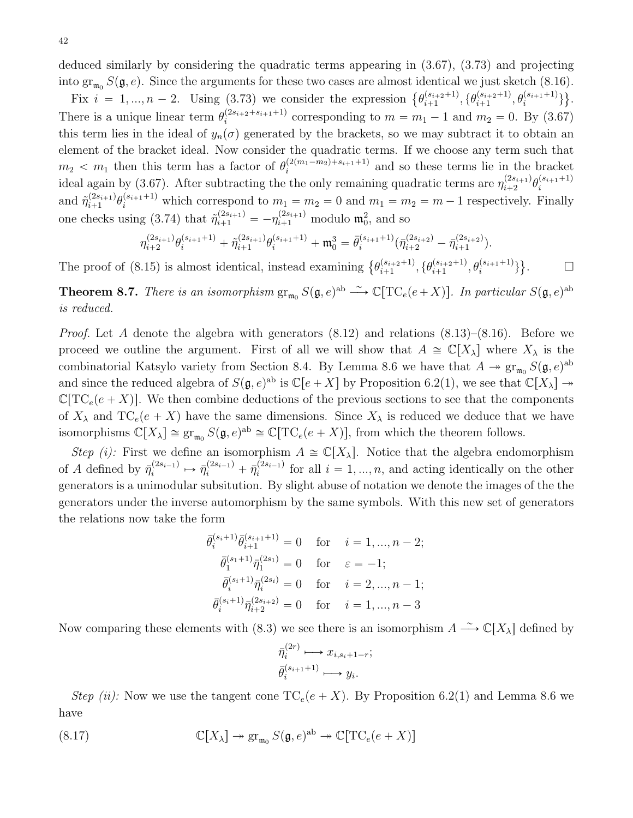deduced similarly by considering the quadratic terms appearing in [\(3.67\)](#page-19-1), [\(3.73\)](#page-19-2) and projecting into  $gr_{\mathfrak{m}_0} S(\mathfrak{g}, e)$ . Since the arguments for these two cases are almost identical we just sketch [\(8.16\)](#page-40-4).

 $\arg_{m_0} S(\mathfrak{g}, e)$ . Since the arguments for these two cases are almost identical<br>Fix  $i = 1, ..., n - 2$ . Using [\(3.73\)](#page-19-2) we consider the expression  $\{\theta_{i+1}^{(s_{i+2}+1)}\}$  $\{\theta_{i+2}^{(s_{i+2}+1)},\{\theta_{i+1}^{(s_{i+2}+1)}\}$  $_{i+1}^{(s_{i+2}+1)}, \theta_i^{(s_{i+1}+1)}\}$ . There is a unique linear term  $\theta_i^{(2s_{i+2}+s_{i+1}+1)}$  $i^{(2s_{i+2}+s_{i+1}+1)}$  corresponding to  $m = m_1 - 1$  and  $m_2 = 0$ . By  $(3.67)$ this term lies in the ideal of  $y_n(\sigma)$  generated by the brackets, so we may subtract it to obtain an element of the bracket ideal. Now consider the quadratic terms. If we choose any term such that  $m_2 < m_1$  then this term has a factor of  $\theta_i^{(2(m_1-m_2)+s_{i+1}+1)}$  $\binom{\lfloor 2(m_1-m_2)+s_{i+1}+1}{i}$  and so these terms lie in the bracket ideal again by [\(3.67\)](#page-19-1). After subtracting the the only remaining quadratic terms are  $\eta_{i+2}^{(2s_{i+1})}$  $_{i+2}^{(2s_{i+1})}\theta_i^{(s_{i+1}+1)}$ i and  $\tilde{\eta}_{i+1}^{(2s_{i+1})}$  $\theta_i^{(2s_{i+1})}\theta_i^{(s_{i+1}+1)}$  which correspond to  $m_1 = m_2 = 0$  and  $m_1 = m_2 = m - 1$  respectively. Finally one checks using [\(3.74\)](#page-20-0) that  $\tilde{\eta}_{i+1}^{(2s_{i+1})} = -\eta_{i+1}^{(2s_{i+1})}$  modulo  $\mathfrak{m}_0^2$ , and so

$$
\eta_{i+2}^{(2s_{i+1})}\theta_i^{(s_{i+1}+1)} + \tilde{\eta}_{i+1}^{(2s_{i+1})}\theta_i^{(s_{i+1}+1)} + \mathfrak{m}_0^3 = \bar{\theta}_i^{(s_{i+1}+1)}(\bar{\eta}_{i+2}^{(2s_{i+2})} - \bar{\eta}_{i+1}^{(2s_{i+2})}).
$$

The proof of [\(8.15\)](#page-40-4) is almost identical, instead examining  $\{\theta_{i+1}^{(s_{i+2}+1)}\}$  $\theta_{i+1}^{(s_{i+2}+1)}, \{\theta_{i+1}^{(s_{i+2}+1)}\}$  $\{\begin{matrix} (s_{i+2}+1), \theta_i^{(s_{i+1}+1)} \end{matrix}\}$ (  $\Box$ 

<span id="page-41-0"></span>**Theorem 8.7.** There is an isomorphism  $\operatorname{gr}_{\mathfrak{m}_0} S(\mathfrak{g}, e)^{\text{ab}} \stackrel{\sim}{\longrightarrow} \mathbb{C}[\text{TC}_e(e+X)].$  In particular  $S(\mathfrak{g}, e)^{\text{ab}}$ is reduced.

*Proof.* Let A denote the algebra with generators  $(8.12)$  and relations  $(8.13)$ – $(8.16)$ . Before we proceed we outline the argument. First of all we will show that  $A \cong \mathbb{C}[X_\lambda]$  where  $X_\lambda$  is the combinatorial Katsylo variety from Section [8.4.](#page-38-0) By Lemma [8.6](#page-40-5) we have that  $A \to \text{gr}_{\mathfrak{m}_0} S(\mathfrak{g}, e)^{\text{ab}}$ and since the reduced algebra of  $S(\mathfrak{g}, e)^{ab}$  is  $\mathbb{C}[e+X]$  by Proposition [6.2\(](#page-0-0)1), we see that  $\mathbb{C}[X_{\lambda}] \rightarrow$  $\mathbb{C}[TC_e(e+X)]$ . We then combine deductions of the previous sections to see that the components of  $X_{\lambda}$  and  $TC_e(e + X)$  have the same dimensions. Since  $X_{\lambda}$  is reduced we deduce that we have isomorphisms  $\mathbb{C}[X_{\lambda}] \cong \operatorname{gr}_{\mathfrak{m}_0} S(\mathfrak{g}, e)^{\text{ab}} \cong \mathbb{C}[\text{TC}_e(e+X)],$  from which the theorem follows.

Step (i): First we define an isomorphism  $A \cong \mathbb{C}[X_\lambda]$ . Notice that the algebra endomorphism of A defined by  $\bar{\eta}_i^{(2s_{i-1})}$  $\bar{\eta}_i^{(2s_{i-1})} \mapsto \bar{\eta}_i^{(2s_{i-1})} + \bar{\eta}_i^{(2s_{i-1})}$  $i^{(2s_{i-1})}$  for all  $i = 1, ..., n$ , and acting identically on the other generators is a unimodular subsitution. By slight abuse of notation we denote the images of the the generators under the inverse automorphism by the same symbols. With this new set of generators the relations now take the form

$$
\bar{\theta}_{i}^{(s_i+1)} \bar{\theta}_{i+1}^{(s_{i+1}+1)} = 0 \quad \text{for} \quad i = 1, ..., n-2;
$$
  
\n
$$
\bar{\theta}_{1}^{(s_1+1)} \bar{\eta}_{1}^{(2s_1)} = 0 \quad \text{for} \quad \varepsilon = -1;
$$
  
\n
$$
\bar{\theta}_{i}^{(s_i+1)} \bar{\eta}_{i}^{(2s_i)} = 0 \quad \text{for} \quad i = 2, ..., n-1;
$$
  
\n
$$
\bar{\theta}_{i}^{(s_i+1)} \bar{\eta}_{i+2}^{(2s_{i+2})} = 0 \quad \text{for} \quad i = 1, ..., n-3
$$

Now comparing these elements with [\(8.3\)](#page-38-1) we see there is an isomorphism  $A \stackrel{\sim}{\longrightarrow} \mathbb{C}[X_{\lambda}]$  defined by

<span id="page-41-1"></span>
$$
\begin{aligned}\n\bar{\eta}^{(2r)}_i &\longmapsto x_{i,s_i+1-r}; \\
\bar{\theta}^{(s_{i+1}+1)}_i &\longmapsto y_i.\n\end{aligned}
$$

Step (ii): Now we use the tangent cone  $TC_e(e + X)$ . By Proposition [6.2\(](#page-0-0)1) and Lemma [8.6](#page-40-5) we have

(8.17) 
$$
\mathbb{C}[X_{\lambda}] \twoheadrightarrow \operatorname{gr}_{\mathfrak{m}_0} S(\mathfrak{g},e)^{\text{ab}} \twoheadrightarrow \mathbb{C}[\text{TC}_e(e+X)]
$$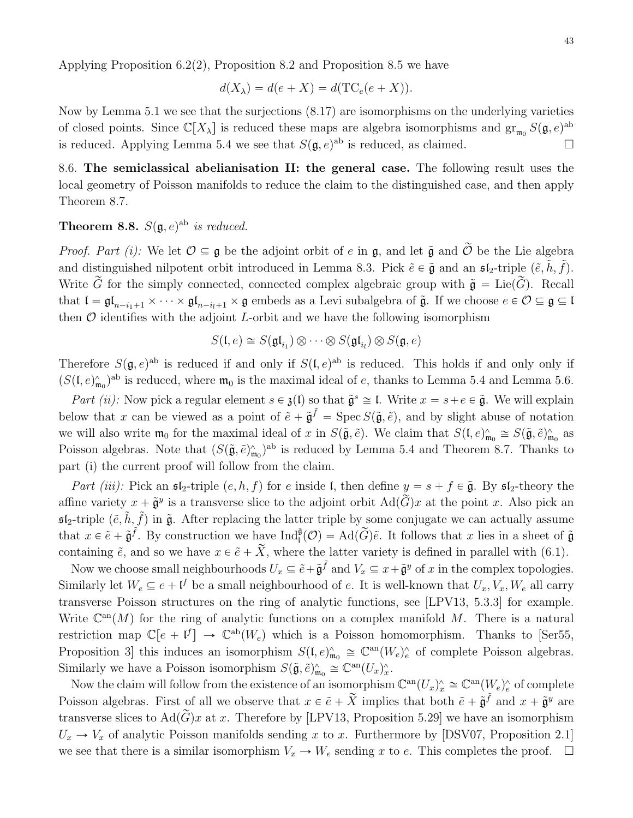Applying Proposition [6.2\(](#page-0-0)2), Proposition [8.2](#page-37-0) and Proposition [8.5](#page-39-2) we have

$$
d(X_{\lambda}) = d(e + X) = d(\text{TC}_e(e + X)).
$$

Now by Lemma [5.1](#page-28-4) we see that the surjections [\(8.17\)](#page-41-1) are isomorphisms on the underlying varieties of closed points. Since  $\mathbb{C}[X_\lambda]$  is reduced these maps are algebra isomorphisms and  $\mathrm{gr}_{\mathfrak{m}_0} S(\mathfrak{g}, e)^{\mathrm{ab}}$ is reduced. Applying Lemma [5.4](#page-29-3) we see that  $S(\mathfrak{g}, e)^{ab}$  is reduced, as claimed.

<span id="page-42-1"></span>8.6. The semiclassical abelianisation II: the general case. The following result uses the local geometry of Poisson manifolds to reduce the claim to the distinguished case, and then apply Theorem [8.7.](#page-41-0)

<span id="page-42-0"></span>**Theorem 8.8.**  $S(\mathfrak{g},e)^{ab}$  is reduced.

*Proof. Part (i):* We let  $\mathcal{O} \subseteq \mathfrak{g}$  be the adjoint orbit of e in  $\mathfrak{g}$ , and let  $\tilde{\mathfrak{g}}$  and  $\tilde{\mathcal{O}}$  be the Lie algebra and distinguished nilpotent orbit introduced in Lemma [8.3.](#page-37-3) Pick  $\tilde{e} \in \tilde{\mathfrak{g}}$  and an  $\mathfrak{sl}_2$ -triple  $(\tilde{e}, \tilde{h}, \tilde{f})$ . Write  $\tilde{G}$  for the simply connected, connected complex algebraic group with  $\tilde{\mathfrak{g}} = \text{Lie}(\tilde{G})$ . Recall that  $\mathfrak{l} = \mathfrak{gl}_{n-i_1+1} \times \cdots \times \mathfrak{gl}_{n-i_l+1} \times \mathfrak{g}$  embeds as a Levi subalgebra of  $\tilde{\mathfrak{g}}$ . If we choose  $e \in \mathcal{O} \subseteq \mathfrak{g} \subseteq \mathfrak{l}$ then  $\mathcal O$  identifies with the adjoint *L*-orbit and we have the following isomorphism

$$
S(\mathfrak{l},e) \cong S(\mathfrak{gl}_{i_1}) \otimes \cdots \otimes S(\mathfrak{gl}_{i_l}) \otimes S(\mathfrak{g},e)
$$

Therefore  $S(\mathfrak{g}, e)^{ab}$  is reduced if and only if  $S(\mathfrak{l}, e)^{ab}$  is reduced. This holds if and only only if  $(S(\mathfrak{l}, e)_{\mathfrak{m}_0}^{\wedge})^{\text{ab}}$  is reduced, where  $\mathfrak{m}_0$  is the maximal ideal of e, thanks to Lemma [5.4](#page-29-3) and Lemma [5.6.](#page-31-4)

Part (ii): Now pick a regular element  $s \in \mathfrak{z}(\mathfrak{l})$  so that  $\tilde{\mathfrak{g}}^s \cong \mathfrak{l}$ . Write  $x = s + e \in \tilde{\mathfrak{g}}$ . We will explain below that x can be viewed as a point of  $\tilde{e} + \tilde{\mathfrak{g}}^{\tilde{f}} = \text{Spec } S(\tilde{\mathfrak{g}}, \tilde{e})$ , and by slight abuse of notation we will also write  $\mathfrak{m}_0$  for the maximal ideal of x in  $S(\tilde{\mathfrak{g}}, \tilde{e})$ . We claim that  $S(\mathfrak{l}, e)_{\mathfrak{m}_0}^{\wedge} \cong S(\tilde{\mathfrak{g}}, \tilde{e})_{\mathfrak{m}_0}^{\wedge}$  as Poisson algebras. Note that  $(S(\tilde{\mathfrak{g}}, \tilde{e})_{\mathfrak{m}_0}^{\wedge})^{\text{ab}}$  is reduced by Lemma [5.4](#page-29-3) and Theorem [8.7.](#page-41-0) Thanks to part (i) the current proof will follow from the claim.

Part (iii): Pick an  $\mathfrak{sl}_2$ -triple  $(e, h, f)$  for e inside l, then define  $y = s + f \in \tilde{\mathfrak{g}}$ . By  $\mathfrak{sl}_2$ -theory the affine variety  $x + \tilde{g}^y$  is a transverse slice to the adjoint orbit  $\text{Ad}(\tilde{G})x$  at the point x. Also pick an  $\mathfrak{sl}_2$ -triple  $(\tilde{e}, \tilde{h}, \tilde{f})$  in  $\tilde{\mathfrak{g}}$ . After replacing the latter triple by some conjugate we can actually assume that  $x \in \tilde{e} + \tilde{\mathfrak{g}}^f$ . By construction we have  $\text{Ind}_{\mathfrak{l}}^{\tilde{\mathfrak{g}}}(\mathcal{O}) = \text{Ad}(\tilde{G})\tilde{e}$ . It follows that x lies in a sheet of  $\tilde{\mathfrak{g}}$ containing  $\tilde{e}$ , and so we have  $x \in \tilde{e} + \tilde{X}$ , where the latter variety is defined in parallel with [\(6.1\)](#page-32-1).

Now we choose small neighbourhoods  $U_x \subseteq \tilde{e} + \tilde{\mathfrak{g}}^{\tilde{f}}$  and  $V_x \subseteq x + \tilde{\mathfrak{g}}^y$  of x in the complex topologies. Similarly let  $W_e \subseteq e + l^f$  be a small neighbourhood of e. It is well-known that  $U_x, V_x, W_e$  all carry transverse Poisson structures on the ring of analytic functions, see [\[LPV13,](#page-50-13) 5.3.3] for example. Write  $\mathbb{C}^{an}(M)$  for the ring of analytic functions on a complex manifold M. There is a natural restriction map  $\mathbb{C}[e + \mathfrak{l}^f] \to \mathbb{C}^{ab}(W_e)$  which is a Poisson homomorphism. Thanks to [\[Ser55,](#page-50-20) Proposition 3 this induces an isomorphism  $S(\mathfrak{l}, e)_{\mathfrak{m}_0}^{\wedge} \cong \mathbb{C}^{\mathrm{an}}(W_e)_e^{\wedge}$  of complete Poisson algebras. Similarly we have a Poisson isomorphism  $S(\tilde{\mathfrak{g}}, \tilde{e})_{\mathfrak{m}_0}^{\wedge} \cong \mathbb{C}^{\text{an}}(U_x)_{x}^{\wedge}$ .

Now the claim will follow from the existence of an isomorphism  $\mathbb{C}^{an}(U_x)_x^{\wedge} \cong \mathbb{C}^{an}(W_e)_e^{\wedge}$  of complete Poisson algebras. First of all we observe that  $x \in \tilde{e} + \tilde{X}$  implies that both  $\tilde{e} + \tilde{\tilde{\mathfrak{g}}}^f$  and  $x + \tilde{\mathfrak{g}}^y$  are transverse slices to Ad $(\widetilde{G})x$  at x. Therefore by [\[LPV13,](#page-50-13) Proposition 5.29] we have an isomorphism  $U_x \rightarrow V_x$  of analytic Poisson manifolds sending x to x. Furthermore by [\[DSV07,](#page-49-20) Proposition 2.1] we see that there is a similar isomorphism  $V_x \to W_e$  sending x to e. This completes the proof.  $\Box$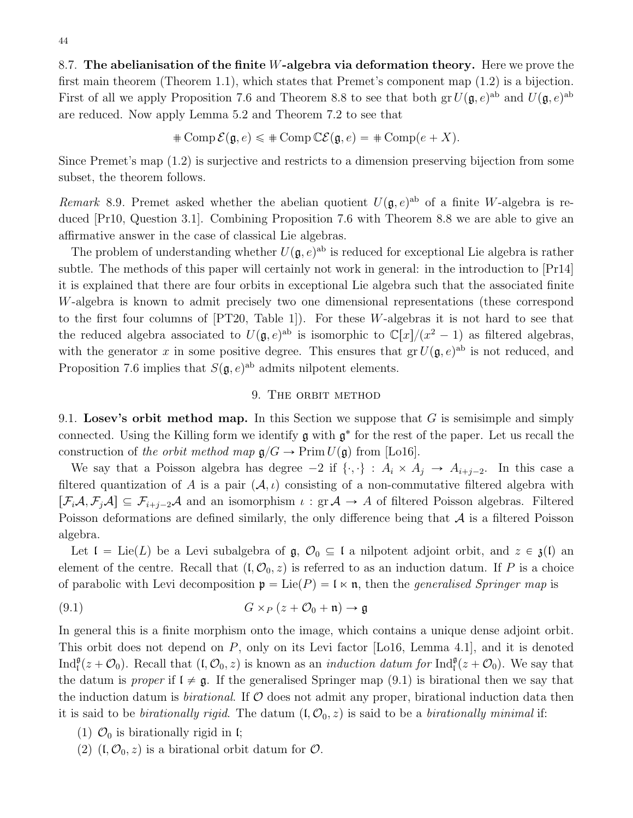<span id="page-43-0"></span>8.7. The abelianisation of the finite  $W$ -algebra via deformation theory. Here we prove the first main theorem (Theorem [1.1\)](#page-1-1), which states that Premet's component map [\(1.2\)](#page-1-0) is a bijection. First of all we apply Proposition [7.6](#page-36-3) and Theorem [8.8](#page-42-0) to see that both gr  $U(\mathfrak{g},e)^{ab}$  and  $U(\mathfrak{g},e)^{ab}$ are reduced. Now apply Lemma [5.2](#page-28-6) and Theorem [7.2](#page-34-1) to see that

$$
= \operatorname{Comp} \mathcal{E}(\mathfrak{g}, e) \leq \operatorname{Hom} \mathbb{C} \mathcal{E}(\mathfrak{g}, e) = \operatorname{Hom} (e + X).
$$

Since Premet's map [\(1.2\)](#page-1-0) is surjective and restricts to a dimension preserving bijection from some subset, the theorem follows.

Remark 8.9. Premet asked whether the abelian quotient  $U(\mathfrak{g},e)^{ab}$  of a finite W-algebra is reduced [\[Pr10,](#page-50-6) Question 3.1]. Combining Proposition [7.6](#page-36-3) with Theorem [8.8](#page-42-0) we are able to give an affirmative answer in the case of classical Lie algebras.

The problem of understanding whether  $U(\mathfrak{g}, e)^{ab}$  is reduced for exceptional Lie algebra is rather subtle. The methods of this paper will certainly not work in general: in the introduction to [\[Pr14\]](#page-50-5) it is explained that there are four orbits in exceptional Lie algebra such that the associated finite W-algebra is known to admit precisely two one dimensional representations (these correspond to the first four columns of [\[PT20,](#page-50-19) Table 1]). For these W-algebras it is not hard to see that the reduced algebra associated to  $U(\mathfrak{g},e)^{ab}$  is isomorphic to  $\mathbb{C}[x]/(x^2-1)$  as filtered algebras, with the generator x in some positive degree. This ensures that  $gr U(\mathfrak{g}, e)^{ab}$  is not reduced, and Proposition [7.6](#page-36-3) implies that  $S(\mathfrak{g}, e)^{ab}$  admits nilpotent elements.

# 9. The orbit method

<span id="page-43-2"></span><span id="page-43-1"></span>9.1. Losev's orbit method map. In this Section we suppose that  $G$  is semisimple and simply connected. Using the Killing form we identify  $g$  with  $g^*$  for the rest of the paper. Let us recall the construction of the orbit method map  $\mathfrak{g}/G \to \mathrm{Prim} U(\mathfrak{g})$  from [\[Lo16\]](#page-50-9).

We say that a Poisson algebra has degree  $-2$  if  $\{\cdot, \cdot\} : A_i \times A_j \to A_{i+j-2}$ . In this case a filtered quantization of A is a pair  $(A, \iota)$  consisting of a non-commutative filtered algebra with  $[\mathcal{F}_i\mathcal{A}, \mathcal{F}_j\mathcal{A}] \subseteq \mathcal{F}_{i+j-2}\mathcal{A}$  and an isomorphism  $\iota : \mathrm{gr}\,\mathcal{A} \to A$  of filtered Poisson algebras. Filtered Poisson deformations are defined similarly, the only difference being that  $A$  is a filtered Poisson algebra.

Let  $\mathfrak{l} = \text{Lie}(L)$  be a Levi subalgebra of  $\mathfrak{g}, \mathcal{O}_0 \subseteq \mathfrak{l}$  a nilpotent adjoint orbit, and  $z \in \mathfrak{z}(\mathfrak{l})$  and element of the centre. Recall that  $(I, \mathcal{O}_0, z)$  is referred to as an induction datum. If P is a choice of parabolic with Levi decomposition  $\mathfrak{p} = \text{Lie}(P) = \mathfrak{l} \ltimes \mathfrak{n}$ , then the *generalised Springer map* is

<span id="page-43-3"></span>(9.1) 
$$
G \times_P (z + \mathcal{O}_0 + \mathfrak{n}) \to \mathfrak{g}
$$

In general this is a finite morphism onto the image, which contains a unique dense adjoint orbit. This orbit does not depend on P, only on its Levi factor [\[Lo16,](#page-50-9) Lemma 4.1], and it is denoted  $\text{Ind}_{\mathfrak{l}}^{\mathfrak{g}}(z+\mathcal{O}_0)$ . Recall that  $(\mathfrak{l}, \mathcal{O}_0, z)$  is known as an *induction datum for*  $\text{Ind}_{\mathfrak{l}}^{\mathfrak{g}}(z+\mathcal{O}_0)$ . We say that the datum is *proper* if  $\mathfrak{l} \neq \mathfrak{g}$ . If the generalised Springer map [\(9.1\)](#page-43-3) is birational then we say that the induction datum is *birational*. If  $\mathcal O$  does not admit any proper, birational induction data then it is said to be *birationally rigid*. The datum  $(1, \mathcal{O}_0, z)$  is said to be a *birationally minimal* if:

- (1)  $\mathcal{O}_0$  is birationally rigid in  $\mathfrak{l}$ ;
- (2)  $(I, \mathcal{O}_0, z)$  is a birational orbit datum for  $\mathcal{O}$ .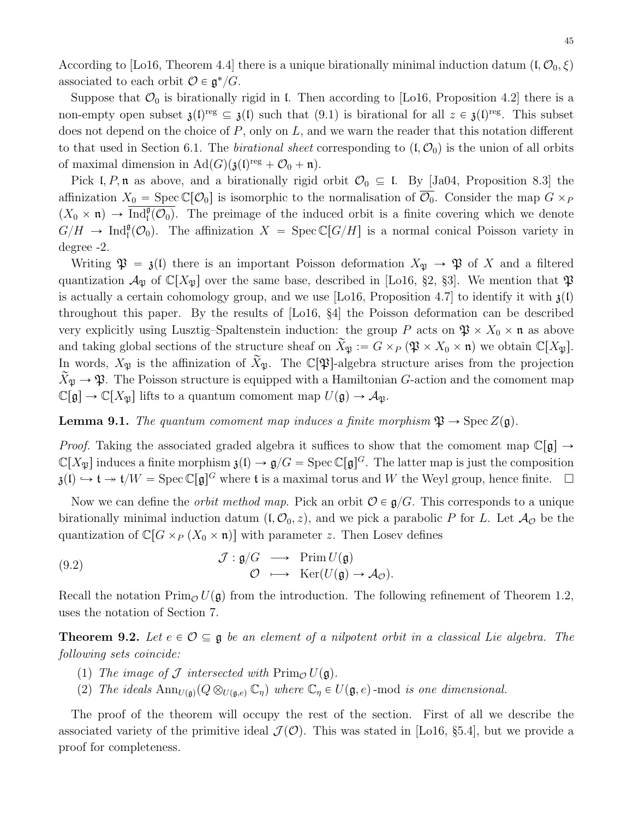According to [\[Lo16,](#page-50-9) Theorem 4.4] there is a unique birationally minimal induction datum  $(0, \mathcal{O}_0, \xi)$ associated to each orbit  $\mathcal{O} \in \mathfrak{g}^*/G$ .

Suppose that  $\mathcal{O}_0$  is birationally rigid in I. Then according to [\[Lo16,](#page-50-9) Proposition 4.2] there is a non-empty open subset  $\mathfrak{z}(I)^{reg} \subseteq \mathfrak{z}(I)$  such that  $(9.1)$  is birational for all  $z \in \mathfrak{z}(I)^{reg}$ . This subset does not depend on the choice of  $P$ , only on  $L$ , and we warn the reader that this notation different to that used in Section [6.1.](#page-31-1) The *birational sheet* corresponding to  $(\mathfrak{l}, \mathcal{O}_0)$  is the union of all orbits of maximal dimension in  $\text{Ad}(G)(\mathfrak{z}(\mathfrak{l})^{\text{reg}} + \mathcal{O}_0 + \mathfrak{n}).$ 

Pick  $\mathfrak{l}, P, \mathfrak{n}$  as above, and a birationally rigid orbit  $\mathcal{O}_0 \subseteq \mathfrak{l}$ . By [\[Ja04,](#page-49-0) Proposition 8.3] the affinization  $X_0 = \text{Spec } \mathbb{C}[\mathcal{O}_0]$  is isomorphic to the normalisation of  $\overline{\mathcal{O}_0}$ . Consider the map  $G \times_P$  $(X_0 \times \mathfrak{n}) \to \overline{\text{Ind}_{\mathfrak{l}}^{\mathfrak{g}}(\mathcal{O}_0)}$ . The preimage of the induced orbit is a finite covering which we denote  $G/H \to \text{Ind}_{\mathfrak{l}}^{\mathfrak{g}}(\mathcal{O}_0)$ . The affinization  $X = \text{Spec } \mathbb{C}[G/H]$  is a normal conical Poisson variety in degree -2.

Writing  $\mathfrak{P} = \mathfrak{z}(I)$  there is an important Poisson deformation  $X_{\mathfrak{P}} \to \mathfrak{P}$  of X and a filtered quantization  $\mathcal{A}_{\mathfrak{B}}$  of  $\mathbb{C}[X_{\mathfrak{B}}]$  over the same base, described in [\[Lo16,](#page-50-9) §2, §3]. We mention that  $\mathfrak{B}$ is actually a certain cohomology group, and we use [\[Lo16,](#page-50-9) Proposition 4.7] to identify it with  $\mathfrak{z}(\mathfrak{l})$ throughout this paper. By the results of [\[Lo16,](#page-50-9) §4] the Poisson deformation can be described very explicitly using Lusztig–Spaltenstein induction: the group P acts on  $\mathfrak{P} \times X_0 \times \mathfrak{n}$  as above and taking global sections of the structure sheaf on  $\widetilde{X}_{\mathfrak{P}} := G \times_P (\mathfrak{P} \times X_0 \times \mathfrak{n})$  we obtain  $\mathbb{C}[X_{\mathfrak{P}}]$ . In words,  $X_{\mathfrak{P}}$  is the affinization of  $\tilde{X}_{\mathfrak{P}}$ . The C[ $\mathfrak{P}$ ]-algebra structure arises from the projection  $X_{\mathfrak{P}} \to \mathfrak{P}$ . The Poisson structure is equipped with a Hamiltonian G-action and the comoment map  $\mathbb{C}[\mathfrak{g}] \to \mathbb{C}[X_{\mathfrak{P}}]$  lifts to a quantum comoment map  $U(\mathfrak{g}) \to \mathcal{A}_{\mathfrak{P}}$ .

<span id="page-44-0"></span>**Lemma 9.1.** The quantum comoment map induces a finite morphism  $\mathfrak{P} \to \operatorname{Spec} Z(\mathfrak{g})$ .

*Proof.* Taking the associated graded algebra it suffices to show that the comoment map  $\mathbb{C}[\mathfrak{g}] \rightarrow$  $\mathbb{C}[X_{\mathfrak{P}}]$  induces a finite morphism  $\mathfrak{z}(\mathfrak{l}) \to \mathfrak{g}/G = \mathrm{Spec} \, \mathbb{C}[\mathfrak{g}]^G$ . The latter map is just the composition  $\mathfrak{z}(\mathfrak{l}) \hookrightarrow \mathfrak{t} \twoheadrightarrow \mathfrak{t}/W = \operatorname{Spec} \mathbb{C}[\mathfrak{g}]^G$  where  $\mathfrak{t}$  is a maximal torus and W the Weyl group, hence finite.  $\Box$ 

Now we can define the *orbit method map*. Pick an orbit  $\mathcal{O} \in \mathfrak{g}/G$ . This corresponds to a unique birationally minimal induction datum  $(I, \mathcal{O}_0, z)$ , and we pick a parabolic P for L. Let  $\mathcal{A}_{\mathcal{O}}$  be the quantization of  $\mathbb{C}[G \times_P (X_0 \times \mathfrak{n})]$  with parameter z. Then Losev defines

(9.2) 
$$
\mathcal{J}: \mathfrak{g}/G \longrightarrow \text{Prim } U(\mathfrak{g})
$$

$$
\mathcal{O} \longrightarrow \text{Ker}(U(\mathfrak{g}) \longrightarrow \mathcal{A}_{\mathcal{O}}).
$$

Recall the notation  $\text{Prim}_{\mathcal{O}} U(\mathfrak{g})$  from the introduction. The following refinement of Theorem [1.2,](#page-2-1) uses the notation of Section [7.](#page-33-0)

<span id="page-44-1"></span>**Theorem 9.2.** Let  $e \in \mathcal{O} \subseteq \mathfrak{g}$  be an element of a nilpotent orbit in a classical Lie algebra. The following sets coincide:

- (1) The image of  $\mathcal J$  intersected with  $\operatorname{Prim}_{\mathcal O} U(\mathfrak{g})$ .
- (2) The ideals  $\text{Ann}_{U(\mathfrak{g})}(Q \otimes_{U(\mathfrak{g},e)} \mathbb{C}_\eta)$  where  $\mathbb{C}_\eta \in U(\mathfrak{g}, e)$ -mod is one dimensional.

The proof of the theorem will occupy the rest of the section. First of all we describe the associated variety of the primitive ideal  $\mathcal{J}(\mathcal{O})$ . This was stated in [\[Lo16,](#page-50-9) §5.4], but we provide a proof for completeness.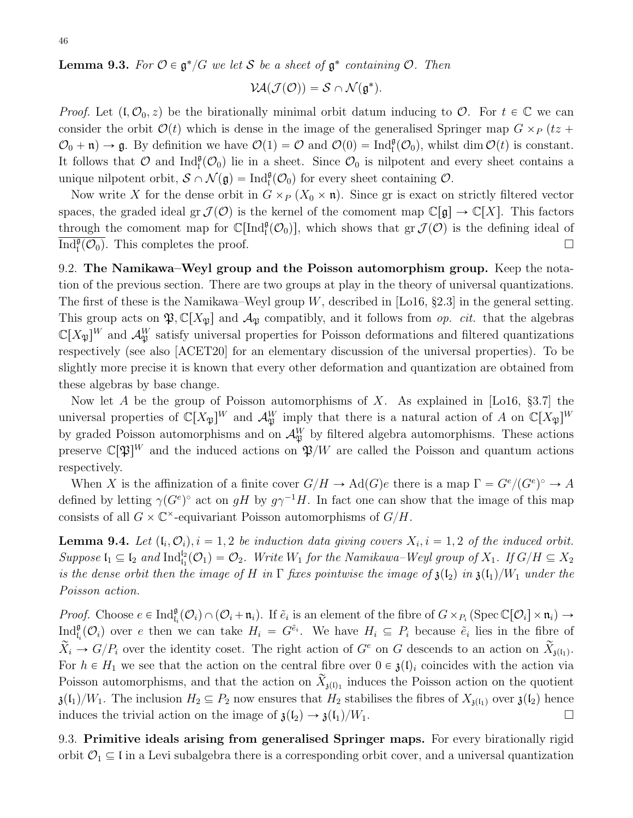<span id="page-45-3"></span>**Lemma 9.3.** For  $\mathcal{O} \in \mathfrak{g}^*/G$  we let S be a sheet of  $\mathfrak{g}^*$  containing  $\mathcal{O}$ . Then

$$
\mathcal{VA}(\mathcal{J}(\mathcal{O})) = \mathcal{S} \cap \mathcal{N}(\mathfrak{g}^*).
$$

*Proof.* Let  $(I, \mathcal{O}_0, z)$  be the birationally minimal orbit datum inducing to  $\mathcal{O}$ . For  $t \in \mathbb{C}$  we can consider the orbit  $\mathcal{O}(t)$  which is dense in the image of the generalised Springer map  $G \times_P (tz +$  $\mathcal{O}_0 + \mathfrak{n}$   $\rightarrow$  g. By definition we have  $\mathcal{O}(1) = \mathcal{O}$  and  $\mathcal{O}(0) = \text{Ind}_{\mathfrak{l}}^{\mathfrak{g}}(\mathcal{O}_0)$ , whilst dim  $\mathcal{O}(t)$  is constant. It follows that  $\mathcal O$  and  $\text{Ind}_{\mathfrak l}^{\mathfrak g}(\mathcal O_0)$  lie in a sheet. Since  $\mathcal O_0$  is nilpotent and every sheet contains a unique nilpotent orbit,  $S \cap \mathcal{N}(\mathfrak{g}) = \text{Ind}_{\mathfrak{l}}^{\mathfrak{g}}(\mathcal{O}_0)$  for every sheet containing  $\mathcal{O}$ .

Now write X for the dense orbit in  $G \times_P (X_0 \times \mathfrak{n})$ . Since gr is exact on strictly filtered vector spaces, the graded ideal gr  $\mathcal{J}(\mathcal{O})$  is the kernel of the comoment map  $\mathbb{C}[\mathfrak{g}] \to \mathbb{C}[X]$ . This factors through the comoment map for  $\mathbb{C}[\text{Ind}_{\mathfrak{l}}^{\mathfrak{g}}(\mathcal{O}_0)]$ , which shows that  $gr \mathcal{J}(\mathcal{O})$  is the defining ideal of  $\overline{\text{Ind}_{\mathfrak{l}}^{\mathfrak{g}}(\mathcal{O}_0)}$ . This completes the proof.

<span id="page-45-0"></span>9.2. The Namikawa–Weyl group and the Poisson automorphism group. Keep the notation of the previous section. There are two groups at play in the theory of universal quantizations. The first of these is the Namikawa–Weyl group  $W$ , described in [\[Lo16,](#page-50-9) §2.3] in the general setting. This group acts on  $\mathfrak{P}, \mathbb{C}[X_{\mathfrak{P}}]$  and  $\mathcal{A}_{\mathfrak{P}}$  compatibly, and it follows from *op. cit.* that the algebras  $\mathbb{C}[X_{\mathfrak{P}}]^W$  and  $\mathcal{A}_{\mathfrak{P}}^W$  satisfy universal properties for Poisson deformations and filtered quantizations respectively (see also [\[ACET20\]](#page-49-2) for an elementary discussion of the universal properties). To be slightly more precise it is known that every other deformation and quantization are obtained from these algebras by base change.

Now let A be the group of Poisson automorphisms of X. As explained in [\[Lo16,](#page-50-9)  $\S 3.7$ ] the universal properties of  $\mathbb{C}[X_{\mathfrak{P}}]^W$  and  $\mathcal{A}_{\mathfrak{P}}^W$  imply that there is a natural action of A on  $\mathbb{C}[X_{\mathfrak{P}}]^W$ by graded Poisson automorphisms and on  $\mathcal{A}_{\mathfrak{P}}^W$  by filtered algebra automorphisms. These actions preserve  $\mathbb{C}[\mathfrak{P}]^W$  and the induced actions on  $\mathfrak{P}/W$  are called the Poisson and quantum actions respectively.

When X is the affinization of a finite cover  $G/H \to \text{Ad}(G)e$  there is a map  $\Gamma = G^e/(G^e)^\circ \to A$ defined by letting  $\gamma(G^e)$ <sup>o</sup> act on gH by g $\gamma^{-1}H$ . In fact one can show that the image of this map consists of all  $G \times \mathbb{C}^{\times}$ -equivariant Poisson automorphisms of  $G/H$ .

<span id="page-45-2"></span>**Lemma 9.4.** Let  $(\mathfrak{l}_i, \mathcal{O}_i), i = 1, 2$  be induction data giving covers  $X_i, i = 1, 2$  of the induced orbit. Suppose  $\mathfrak{l}_1 \subseteq \mathfrak{l}_2$  and  $\mathrm{Ind}_{\mathfrak{l}_1}^{\mathfrak{l}_2}(\mathcal{O}_1) = \mathcal{O}_2$ . Write  $W_1$  for the Namikawa–Weyl group of  $X_1$ . If  $G/H \subseteq X_2$ is the dense orbit then the image of H in  $\Gamma$  fixes pointwise the image of  $\mathfrak{z}(\mathfrak{l}_2)$  in  $\mathfrak{z}(\mathfrak{l}_1)/W_1$  under the Poisson action.

Proof. Choose  $e \in \text{Ind}_{\mathfrak{l}_i}^{\mathfrak{g}}(\mathcal{O}_i) \cap (\mathcal{O}_i + \mathfrak{n}_i)$ . If  $\tilde{e}_i$  is an element of the fibre of  $G \times_{P_i} (\text{Spec } \mathbb{C}[\mathcal{O}_i] \times \mathfrak{n}_i) \to$  $\text{Ind}_{\mathfrak{l}_i}^{\mathfrak{g}}(\mathcal{O}_i)$  over e then we can take  $H_i = G^{\tilde{e}_i}$ . We have  $H_i \subseteq P_i$  because  $\tilde{e}_i$  lies in the fibre of  $\widetilde{X}_i \to G/P_i$  over the identity coset. The right action of  $G^e$  on G descends to an action on  $\widetilde{X}_{\mathfrak{z}(i_1)}$ . For  $h \in H_1$  we see that the action on the central fibre over  $0 \in \mathfrak{z}(1)_i$  coincides with the action via Poisson automorphisms, and that the action on  $\widetilde{X}_{\mathfrak{z}(0)}$  induces the Poisson action on the quotient  $\mathfrak{z}(\mathfrak{l}_1)/W_1$ . The inclusion  $H_2 \subseteq P_2$  now ensures that  $H_2$  stabilises the fibres of  $X_{\mathfrak{z}(\mathfrak{l}_1)}$  over  $\mathfrak{z}(\mathfrak{l}_2)$  hence induces the trivial action on the image of  $\mathfrak{z}(\mathfrak{l}_2) \to \mathfrak{z}(\mathfrak{l}_1)/W_1$ .

<span id="page-45-1"></span>9.3. Primitive ideals arising from generalised Springer maps. For every birationally rigid orbit  $\mathcal{O}_1 \subseteq \mathfrak{l}$  in a Levi subalgebra there is a corresponding orbit cover, and a universal quantization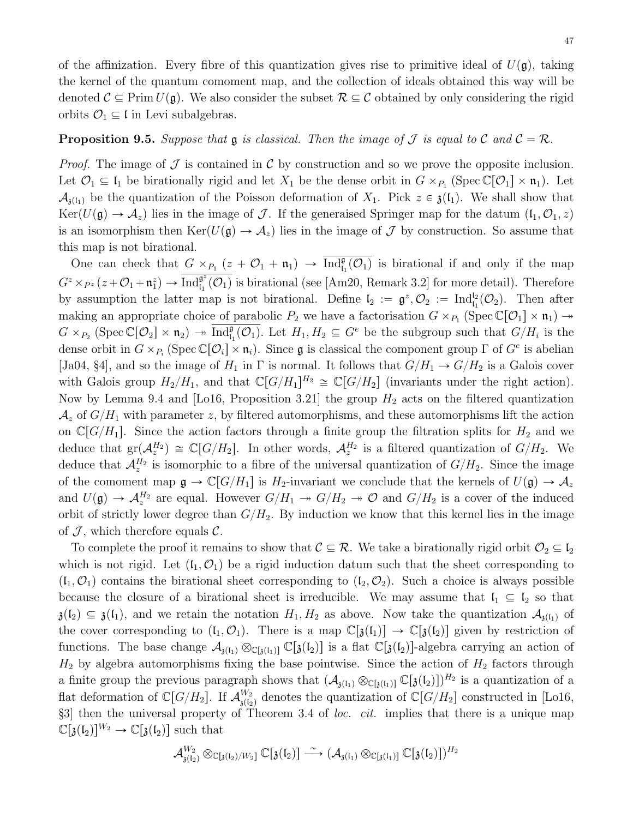of the affinization. Every fibre of this quantization gives rise to primitive ideal of  $U(\mathfrak{g})$ , taking the kernel of the quantum comoment map, and the collection of ideals obtained this way will be denoted  $\mathcal{C} \subseteq \text{Prim } U(\mathfrak{g})$ . We also consider the subset  $\mathcal{R} \subseteq \mathcal{C}$  obtained by only considering the rigid orbits  $\mathcal{O}_1 \subseteq \mathfrak{l}$  in Levi subalgebras.

## <span id="page-46-0"></span>**Proposition 9.5.** Suppose that  $\mathfrak g$  is classical. Then the image of  $\mathcal J$  is equal to  $\mathcal C$  and  $\mathcal C = \mathcal R$ .

*Proof.* The image of  $\mathcal J$  is contained in  $\mathcal C$  by construction and so we prove the opposite inclusion. Let  $\mathcal{O}_1 \subseteq \mathfrak{l}_1$  be birationally rigid and let  $X_1$  be the dense orbit in  $G \times_{P_1} (\text{Spec } \mathbb{C}[\mathcal{O}_1] \times \mathfrak{n}_1)$ . Let  $\mathcal{A}_{3(1)}$  be the quantization of the Poisson deformation of  $X_1$ . Pick  $z \in \mathfrak{z}(1)$ . We shall show that  $Ker(U(\mathfrak{g}) \to \mathcal{A}_z)$  lies in the image of J. If the generaised Springer map for the datum  $(I_1, \mathcal{O}_1, z)$ is an isomorphism then  $\text{Ker}(U(\mathfrak{g}) \to \mathcal{A}_z)$  lies in the image of  $\mathcal J$  by construction. So assume that this map is not birational.

One can check that  $G \times_{P_1} (z + \mathcal{O}_1 + \mathfrak{n}_1) \to \overline{\text{Ind}_{\mathfrak{l}_1}^{\mathfrak{g}}(\mathcal{O}_1)}$  is birational if and only if the map  $G^z \times_{P^z} (z + \mathcal{O}_1 + \mathfrak{n}_1^z) \to \overline{\mathrm{Ind}_{\mathfrak{l}_1}^{\mathfrak{g}^z}}$  $\int_{I_1}^{\mathfrak{g}^2} (\mathcal{O}_1)$  is birational (see [\[Am20,](#page-49-21) Remark 3.2] for more detail). Therefore by assumption the latter map is not birational. Define  $\mathfrak{l}_2 := \mathfrak{g}^z, \mathcal{O}_2 := \text{Ind}_{\mathfrak{l}_1}^{\mathfrak{l}_2}(\mathcal{O}_2)$ . Then after making an appropriate choice of parabolic  $P_2$  we have a factorisation  $G \times_{P_1} (\text{Spec } \mathbb{C}[\mathcal{O}_1] \times \mathfrak{n}_1) \rightarrow$  $G \times_{P_2} (\text{Spec } \mathbb{C}[\mathcal{O}_2] \times \mathfrak{n}_2) \to \overline{\text{Ind}_{\mathfrak{l}_1}^{\mathfrak{g}}(\mathcal{O}_1)}$ . Let  $H_1, H_2 \subseteq G^e$  be the subgroup such that  $G/H_i$  is the dense orbit in  $G \times_{P_i} (\operatorname{Spec} \mathbb{C}[\mathcal{O}_i] \times \mathfrak{n}_i)$ . Since  $\mathfrak g$  is classical the component group  $\Gamma$  of  $G^e$  is abelian [\[Ja04,](#page-49-0) §4], and so the image of  $H_1$  in  $\Gamma$  is normal. It follows that  $G/H_1 \to G/H_2$  is a Galois cover with Galois group  $H_2/H_1$ , and that  $\mathbb{C}[G/H_1]^{H_2} \cong \mathbb{C}[G/H_2]$  (invariants under the right action). Now by Lemma [9.4](#page-45-2) and [\[Lo16,](#page-50-9) Proposition 3.21] the group  $H_2$  acts on the filtered quantization  $\mathcal{A}_z$  of  $G/H_1$  with parameter z, by filtered automorphisms, and these automorphisms lift the action on  $\mathbb{C}[G/H_1]$ . Since the action factors through a finite group the filtration splits for  $H_2$  and we deduce that  $gr(A_z^{H_2}) \cong \mathbb{C}[G/H_2]$ . In other words,  $A_z^{H_2}$  is a filtered quantization of  $G/H_2$ . We deduce that  $\mathcal{A}_z^{H_2}$  is isomorphic to a fibre of the universal quantization of  $G/H_2$ . Since the image of the comoment map  $\mathfrak{g} \to \mathbb{C}[G/H_1]$  is H<sub>2</sub>-invariant we conclude that the kernels of  $U(\mathfrak{g}) \to \mathcal{A}_z$ and  $U(\mathfrak{g}) \to \mathcal{A}_z^{H_2}$  are equal. However  $G/H_1 \twoheadrightarrow G/H_2 \twoheadrightarrow \mathcal{O}$  and  $G/H_2$  is a cover of the induced orbit of strictly lower degree than  $G/H_2$ . By induction we know that this kernel lies in the image of  $\mathcal{J}$ , which therefore equals  $\mathcal{C}$ .

To complete the proof it remains to show that  $C \subseteq \mathcal{R}$ . We take a birationally rigid orbit  $\mathcal{O}_2 \subseteq \mathfrak{l}_2$ which is not rigid. Let  $(I_1, O_1)$  be a rigid induction datum such that the sheet corresponding to  $(\mathfrak{l}_1, \mathcal{O}_1)$  contains the birational sheet corresponding to  $(\mathfrak{l}_2, \mathcal{O}_2)$ . Such a choice is always possible because the closure of a birational sheet is irreducible. We may assume that  $\mathfrak{l}_1 \subseteq \mathfrak{l}_2$  so that  $\mathfrak{z}(\mathfrak{l}_2)\subseteq\mathfrak{z}(\mathfrak{l}_1)$ , and we retain the notation  $H_1, H_2$  as above. Now take the quantization  $\mathcal{A}_{\mathfrak{z}(\mathfrak{l}_1)}$  of the cover corresponding to  $(I_1, O_1)$ . There is a map  $\mathbb{C}[\mathfrak{z}(I_1)] \to \mathbb{C}[\mathfrak{z}(I_2)]$  given by restriction of functions. The base change  $\mathcal{A}_{3(1)} \otimes_{\mathbb{C}[3(1_1)]} \mathbb{C}[3(1_2)]$  is a flat  $\mathbb{C}[3(1_2)]$ -algebra carrying an action of  $H_2$  by algebra automorphisms fixing the base pointwise. Since the action of  $H_2$  factors through a finite group the previous paragraph shows that  $(\mathcal{A}_{\mathfrak{z}(\mathfrak{l}_1)} \otimes_{\mathbb{C}[\mathfrak{z}(\mathfrak{l}_1)]}) \mathbb{C}[\mathfrak{z}(\mathfrak{l}_2)])^{H_2}$  is a quantization of a flat deformation of  $\mathbb{C}[G/H_2]$ . If  $\mathcal{A}_{\mathfrak{sl}_2}^{W_2}$  $\frac{W_2}{\mathfrak{z}(\mathfrak{l}_2)}$  denotes the quantization of  $\mathbb{C}[G/H_2]$  constructed in [\[Lo16,](#page-50-9) §3] then the universal property of Theorem 3.4 of loc. cit. implies that there is a unique map  $\mathbb{C}[\mathfrak{z}(\mathfrak{l}_2)]^{W_2} \to \mathbb{C}[\mathfrak{z}(\mathfrak{l}_2)]$  such that

$$
\mathcal{A}_{\mathfrak{z}(\mathfrak{l}_2)}^{W_2}\otimes_{\mathbb{C}[\mathfrak{z}(\mathfrak{l}_2)/W_2]} \mathbb{C}[\mathfrak{z}(\mathfrak{l}_2)] \stackrel{\sim}{\longrightarrow} (\mathcal{A}_{\mathfrak{z}(\mathfrak{l}_1)}\otimes_{\mathbb{C}[\mathfrak{z}(\mathfrak{l}_1)]} \mathbb{C}[\mathfrak{z}(\mathfrak{l}_2)])^{H_2}
$$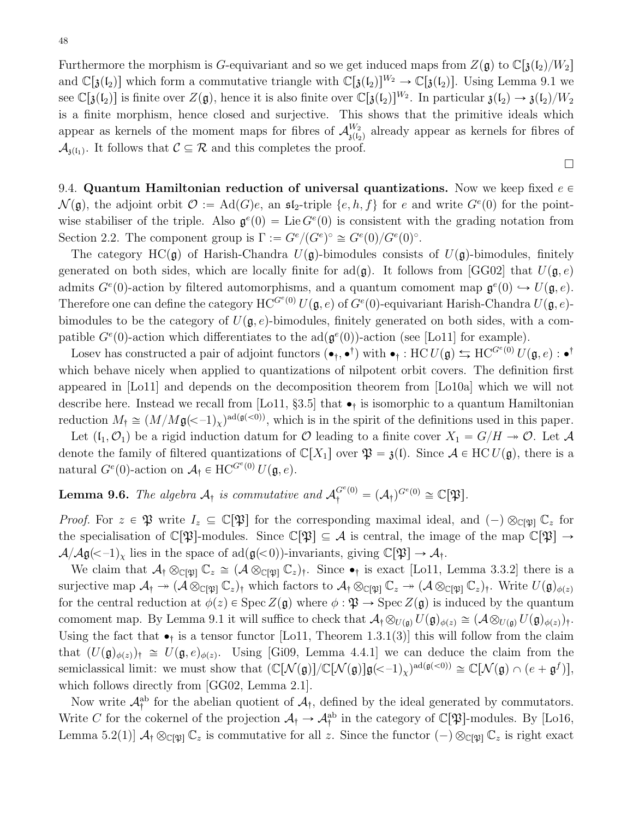Furthermore the morphism is G-equivariant and so we get induced maps from  $Z(\mathfrak{g})$  to  $\mathbb{C}[\mathfrak{z}(\mathfrak{l}_2)/W_2]$ and  $\mathbb{C}[\mathfrak{z}(\mathfrak{l}_2)]$  which form a commutative triangle with  $\mathbb{C}[\mathfrak{z}(\mathfrak{l}_2)]^{W_2} \to \mathbb{C}[\mathfrak{z}(\mathfrak{l}_2)]$ . Using Lemma [9.1](#page-44-0) we see  $\mathbb{C}[\mathfrak{z}(\mathfrak{l}_2)]$  is finite over  $Z(\mathfrak{g})$ , hence it is also finite over  $\mathbb{C}[\mathfrak{z}(\mathfrak{l}_2)]^{W_2}$ . In particular  $\mathfrak{z}(\mathfrak{l}_2) \to \mathfrak{z}(\mathfrak{l}_2)/W_2$ is a finite morphism, hence closed and surjective. This shows that the primitive ideals which appear as kernels of the moment maps for fibres of  $\mathcal{A}_{\mu}^{W_2}$  $\frac{W_2}{\mathfrak{z}(\mathfrak{l}_2)}$  already appear as kernels for fibres of  $\mathcal{A}_{3(I_1)}$ . It follows that  $\mathcal{C} \subseteq \mathcal{R}$  and this completes the proof.

<span id="page-47-0"></span>9.4. Quantum Hamiltonian reduction of universal quantizations. Now we keep fixed  $e \in$  $\mathcal{N}(\mathfrak{g})$ , the adjoint orbit  $\mathcal{O} := \text{Ad}(G)e$ , an  $\mathfrak{sl}_2$ -triple  $\{e, h, f\}$  for e and write  $G^e(0)$  for the pointwise stabiliser of the triple. Also  $\mathfrak{g}^e(0) = \text{Lie } G^e(0)$  is consistent with the grading notation from Section [2.2.](#page-8-0) The component group is  $\Gamma := G^e/(G^e)^\circ \cong G^e(0)/G^e(0)^\circ$ .

The category HC(g) of Harish-Chandra  $U(g)$ -bimodules consists of  $U(g)$ -bimodules, finitely generated on both sides, which are locally finite for  $ad(\mathfrak{g})$ . It follows from [\[GG02\]](#page-49-6) that  $U(\mathfrak{g}, e)$ admits  $G^e(0)$ -action by filtered automorphisms, and a quantum comoment map  $\mathfrak{g}^e(0) \hookrightarrow U(\mathfrak{g}, e)$ . Therefore one can define the category  $\mathrm{HC}^{G^e(0)}$   $U(\mathfrak{g}, e)$  of  $G^e(0)$ -equivariant Harish-Chandra  $U(\mathfrak{g}, e)$ bimodules to be the category of  $U(\mathfrak{g}, e)$ -bimodules, finitely generated on both sides, with a compatible  $G^{e}(0)$ -action which differentiates to the  $ad(\mathfrak{g}^{e}(0))$ -action (see [\[Lo11\]](#page-50-2) for example).

Losev has constructed a pair of adjoint functors  $(\bullet_{\dagger}, \bullet^{\dagger})$  with  $\bullet_{\dagger}$  : HC  $U(\mathfrak{g}) \leftrightarrows \mathrm{HC}^{G^e(0)} U(\mathfrak{g}, e)$  :  $\bullet^{\dagger}$ which behave nicely when applied to quantizations of nilpotent orbit covers. The definition first appeared in [\[Lo11\]](#page-50-2) and depends on the decomposition theorem from [\[Lo10a\]](#page-50-1) which we will not describe here. Instead we recall from [\[Lo11,](#page-50-2) §3.5] that  $\bullet_i$  is isomorphic to a quantum Hamiltonian reduction  $M_{\dagger} \cong (M/Mg(\langle -1 \rangle_{\chi})^{ad(g(\langle 0 \rangle))})$ , which is in the spirit of the definitions used in this paper.

Let  $(\mathfrak{l}_1, \mathcal{O}_1)$  be a rigid induction datum for  $\mathcal O$  leading to a finite cover  $X_1 = G/H \rightarrow \mathcal O$ . Let A denote the family of filtered quantizations of  $\mathbb{C}[X_1]$  over  $\mathfrak{P} = \mathfrak{z}(\mathfrak{l})$ . Since  $\mathcal{A} \in \mathrm{HC} U(\mathfrak{g})$ , there is a natural  $G^e(0)$ -action on  $\mathcal{A}_{\dagger} \in \mathrm{HC}^{G^e(0)}$   $U(\mathfrak{g}, e)$ .

<span id="page-47-1"></span>**Lemma 9.6.** The algebra  $\mathcal{A}_{\dagger}$  is commutative and  $\mathcal{A}_{\dagger}^{G^{e}(0)} = (\mathcal{A}_{\dagger})^{G^{e}(0)} \cong \mathbb{C}[\mathfrak{P}].$ 

*Proof.* For  $z \in \mathfrak{P}$  write  $I_z \subseteq \mathbb{C}[\mathfrak{P}]$  for the corresponding maximal ideal, and  $(-) \otimes_{\mathbb{C}[\mathfrak{P}]} \mathbb{C}_z$  for the specialisation of  $\mathbb{C}[\mathfrak{P}]$ -modules. Since  $\mathbb{C}[\mathfrak{P}] \subseteq A$  is central, the image of the map  $\mathbb{C}[\mathfrak{P}] \rightarrow$  $\mathcal{A}/\mathcal{A}\mathfrak{g}(-1)_{\chi}$  lies in the space of ad $(\mathfrak{g}(<0))$ -invariants, giving  $\mathbb{C}[\mathfrak{P}] \to \mathcal{A}_{\dagger}$ .

We claim that  $\mathcal{A}_\dagger \otimes_{\mathbb{C}[\mathfrak{P}]} \mathbb{C}_z \cong (\mathcal{A} \otimes_{\mathbb{C}[\mathfrak{P}]} \mathbb{C}_z)_\dagger$ . Since  $\bullet_\dagger$  is exact [\[Lo11,](#page-50-2) Lemma 3.3.2] there is a surjective map  $\mathcal{A}_{\dagger} \twoheadrightarrow (\mathcal{A} \otimes_{\mathbb{C}[\mathfrak{B}]} \mathbb{C}_z)_{\dagger}$  which factors to  $\mathcal{A}_{\dagger} \otimes_{\mathbb{C}[\mathfrak{B}]} \mathbb{C}_z \twoheadrightarrow (\mathcal{A} \otimes_{\mathbb{C}[\mathfrak{B}]} \mathbb{C}_z)_{\dagger}$ . Write  $U(\mathfrak{g})_{\phi(z)}$ for the central reduction at  $\phi(z) \in \text{Spec } Z(\mathfrak{g})$  where  $\phi : \mathfrak{P} \to \text{Spec } Z(\mathfrak{g})$  is induced by the quantum comoment map. By Lemma [9.1](#page-44-0) it will suffice to check that  $\mathcal{A}_\dagger \otimes_{U(\mathfrak{g})} U(\mathfrak{g})_{\phi(z)} \cong (\mathcal{A} \otimes_{U(\mathfrak{g})} U(\mathfrak{g})_{\phi(z)})_\dagger$ . Using the fact that  $\bullet$ <sub>†</sub> is a tensor functor [\[Lo11,](#page-50-2) Theorem 1.3.1(3)] this will follow from the claim that  $(U(\mathfrak{g})_{\phi(z)})_1 \cong U(\mathfrak{g}, e)_{\phi(z)}$ . Using [\[Gi09,](#page-49-22) Lemma 4.4.1] we can deduce the claim from the semiclassical limit: we must show that  $(\mathbb{C}[\mathcal{N}(\mathfrak{g})]/\mathbb{C}[\mathcal{N}(\mathfrak{g})] \mathfrak{g}(\lt-1)_\chi)^{\text{ad}(\mathfrak{g}(\lt 0))} \cong \mathbb{C}[\mathcal{N}(\mathfrak{g}) \cap (e + \mathfrak{g}^f)],$ which follows directly from [\[GG02,](#page-49-6) Lemma 2.1].

Now write  $\mathcal{A}^{\text{ab}}_{\dagger}$  for the abelian quotient of  $\mathcal{A}_{\dagger}$ , defined by the ideal generated by commutators. Write C for the cokernel of the projection  $\mathcal{A}_{\dagger} \to \mathcal{A}_{\dagger}^{ab}$  in the category of  $\mathbb{C}[\mathfrak{P}]$ -modules. By [\[Lo16,](#page-50-9) Lemma 5.2(1)]  $\mathcal{A}_{\dagger} \otimes_{\mathbb{C}[\mathfrak{P}]} \mathbb{C}_z$  is commutative for all z. Since the functor  $(-) \otimes_{\mathbb{C}[\mathfrak{P}]} \mathbb{C}_z$  is right exact

 $\Box$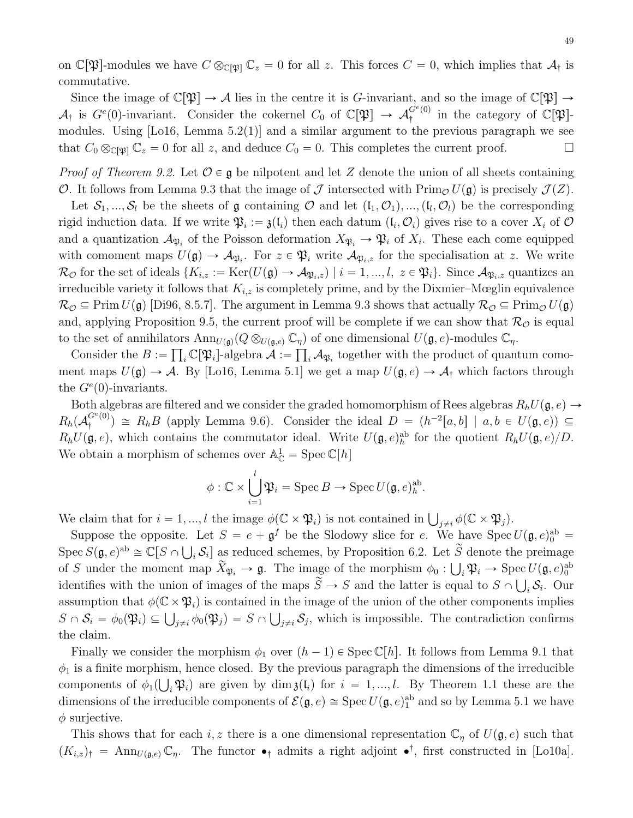on  $\mathbb{C}[\mathfrak{P}]$ -modules we have  $C \otimes_{\mathbb{C}[\mathfrak{P}]} \mathbb{C}_z = 0$  for all z. This forces  $C = 0$ , which implies that  $\mathcal{A}_{\dagger}$  is commutative.

Since the image of  $\mathbb{C}[\mathfrak{P}] \to \mathcal{A}$  lies in the centre it is G-invariant, and so the image of  $\mathbb{C}[\mathfrak{P}] \to$  $\mathcal{A}_{\dagger}$  is  $G^{e}(0)$ -invariant. Consider the cokernel  $C_0$  of  $\mathbb{C}[\mathfrak{P}] \to \mathcal{A}_{\dagger}^{G^{e}(0)}$  $G^{e(0)}$  in the category of  $\mathbb{C}[\mathfrak{P}]$ modules. Using [\[Lo16,](#page-50-9) Lemma 5.2(1)] and a similar argument to the previous paragraph we see that  $C_0 \otimes_{\mathbb{C}[\mathfrak{P}]} \mathbb{C}_z = 0$  for all z, and deduce  $C_0 = 0$ . This completes the current proof.

*Proof of Theorem [9.2.](#page-44-1)* Let  $\mathcal{O} \in \mathfrak{g}$  be nilpotent and let Z denote the union of all sheets containing O. It follows from Lemma [9.3](#page-45-3) that the image of  $\mathcal J$  intersected with  $\text{Prim}_{\mathcal O} U(\mathfrak{g})$  is precisely  $\mathcal J(Z)$ .

Let  $S_1, ..., S_l$  be the sheets of  $\mathfrak g$  containing  $\mathcal O$  and let  $(\mathfrak l_1, \mathcal O_1), ..., (\mathfrak l_l, \mathcal O_l)$  be the corresponding rigid induction data. If we write  $\mathfrak{P}_i := \mathfrak{z}(\mathfrak{l}_i)$  then each datum  $(\mathfrak{l}_i, \mathcal{O}_i)$  gives rise to a cover  $X_i$  of  $\mathcal O$ and a quantization  $\mathcal{A}_{\mathfrak{P}_i}$  of the Poisson deformation  $X_{\mathfrak{P}_i} \to \mathfrak{P}_i$  of  $X_i$ . These each come equipped with comoment maps  $U(\mathfrak{g}) \to \mathcal{A}_{\mathfrak{P}_i}$ . For  $z \in \mathfrak{P}_i$  write  $\mathcal{A}_{\mathfrak{P}_i,z}$  for the specialisation at z. We write  $\mathcal{R}_{\mathcal{O}}$  for the set of ideals  $\{K_{i,z} := \text{Ker}(U(\mathfrak{g}) \to \mathcal{A}_{\mathfrak{P}_i,z}) \mid i = 1, ..., l, z \in \mathfrak{P}_i\}.$  Since  $\mathcal{A}_{\mathfrak{P}_i,z}$  quantizes an irreducible variety it follows that  $K_{i,z}$  is completely prime, and by the Dixmier–Mœglin equivalence  $\mathcal{R}_{\mathcal{O}} \subseteq \text{Prim}\,U(\mathfrak{g})$  [\[Di96,](#page-49-23) 8.5.7]. The argument in Lemma [9.3](#page-45-3) shows that actually  $\mathcal{R}_{\mathcal{O}} \subseteq \text{Prim}_{\mathcal{O}}\,U(\mathfrak{g})$ and, applying Proposition [9.5,](#page-46-0) the current proof will be complete if we can show that  $\mathcal{R}_{\mathcal{O}}$  is equal to the set of annihilators  $\text{Ann}_{U(\mathfrak{g})}(Q \otimes_{U(\mathfrak{g},e)} \mathbb{C}_\eta)$  of one dimensional  $U(\mathfrak{g},e)$ -modules  $\mathbb{C}_\eta$ .

Consider the  $B := \prod_i \mathbb{C}[\mathfrak{P}_i]$ -algebra  $\mathcal{A} := \prod_i \mathcal{A}_{\mathfrak{P}_i}$  together with the product of quantum comoment maps  $U(\mathfrak{g}) \to \mathcal{A}$ . By [\[Lo16,](#page-50-9) Lemma 5.1] we get a map  $U(\mathfrak{g}, e) \to \mathcal{A}_{\dagger}$  which factors through the  $G<sup>e</sup>(0)$ -invariants.

Both algebras are filtered and we consider the graded homomorphism of Rees algebras  $R_hU(\mathfrak{g}, e) \to$  $R_h(\mathcal{A}^{G^e(0)}_{\dagger}$  $\mathcal{L}_{\uparrow}^{G_e(0)}$   $\cong$   $R_h B$  (apply Lemma [9.6\)](#page-47-1). Consider the ideal  $D = (h^{-2}[a, b] \mid a, b \in U(\mathfrak{g}, e)) \subseteq$  $R_hU(\mathfrak{g},e)$ , which contains the commutator ideal. Write  $U(\mathfrak{g},e)^{ab}_{h}$  for the quotient  $R_hU(\mathfrak{g},e)/D$ . We obtain a morphism of schemes over  $\mathbb{A}_{\mathbb{C}}^1 = \operatorname{Spec} \mathbb{C}[h]$ 

$$
\phi : \mathbb{C} \times \bigcup_{i=1}^{l} \mathfrak{P}_i = \operatorname{Spec} B \to \operatorname{Spec} U(\mathfrak{g}, e)_h^{\operatorname{ab}}.
$$

We claim that for  $i = 1, ..., l$  the image  $\phi(\mathbb{C} \times \mathfrak{P}_i)$  is not contained in  $\bigcup_{j \neq i} \phi(\mathbb{C} \times \mathfrak{P}_j)$ .

Suppose the opposite. Let  $S = e + \mathfrak{g}^f$  be the Slodowy slice for e. We have  $Spec U(\mathfrak{g}, e)^{ab}$  $Spec S(\mathfrak{g}, e)^{ab} \cong \mathbb{C}[S \cap \bigcup_i \mathcal{S}_i]$  as reduced schemes, by Proposition [6.2.](#page-0-0) Let  $\widetilde{S}$  denote the preimage of S under the moment map  $\widetilde{X}_{\mathfrak{P}_i} \to \mathfrak{g}$ . The image of the morphism  $\phi_0 : \bigcup_i \mathfrak{P}_i \to \operatorname{Spec} U(\mathfrak{g}, e)_0^{\text{ab}}$ identifies with the union of images of the maps  $\widetilde{S} \to S$  and the latter is equal to  $S \cap \bigcup_i S_i$ . Our assumption that  $\phi(\mathbb{C} \times \mathfrak{P}_i)$  is contained in the image of the union of the other components implies assumption that  $\varphi(\mathbb{C} \times \mathcal{P}_i)$  is contained in the image of the union of the other components implies  $S \cap \mathcal{S}_i = \phi_0(\mathfrak{P}_i) \subseteq \bigcup_{j \neq i} \phi_0(\mathfrak{P}_j) = S \cap \bigcup_{j \neq i} \mathcal{S}_j$ , which is impossible. The contradiction the claim.

Finally we consider the morphism  $\phi_1$  over  $(h - 1) \in \text{Spec } \mathbb{C}[h]$ . It follows from Lemma [9.1](#page-44-0) that  $\phi_1$  is a finite morphism, hence closed. By the previous paragraph the dimensions of the irreducible components of  $\phi_1(\bigcup_i \mathfrak{P}_i)$  are given by dim  $\mathfrak{z}(\mathfrak{l}_i)$  for  $i = 1, ..., l$ . By Theorem [1.1](#page-1-1) these are the dimensions of the irreducible components of  $\mathcal{E}(\mathfrak{g},e) \cong \text{Spec } U(\mathfrak{g},e)^{\text{ab}}_1$  and so by Lemma [5.1](#page-28-4) we have  $\phi$  surjective.

This shows that for each i, z there is a one dimensional representation  $\mathbb{C}_\eta$  of  $U(\mathfrak{g}, e)$  such that  $(K_{i,z})_1 = \text{Ann}_{U(\mathfrak{g},e)} \mathbb{C}_\eta$ . The functor  $\bullet_1$  admits a right adjoint  $\bullet^{\dagger}$ , first constructed in [\[Lo10a\]](#page-50-1).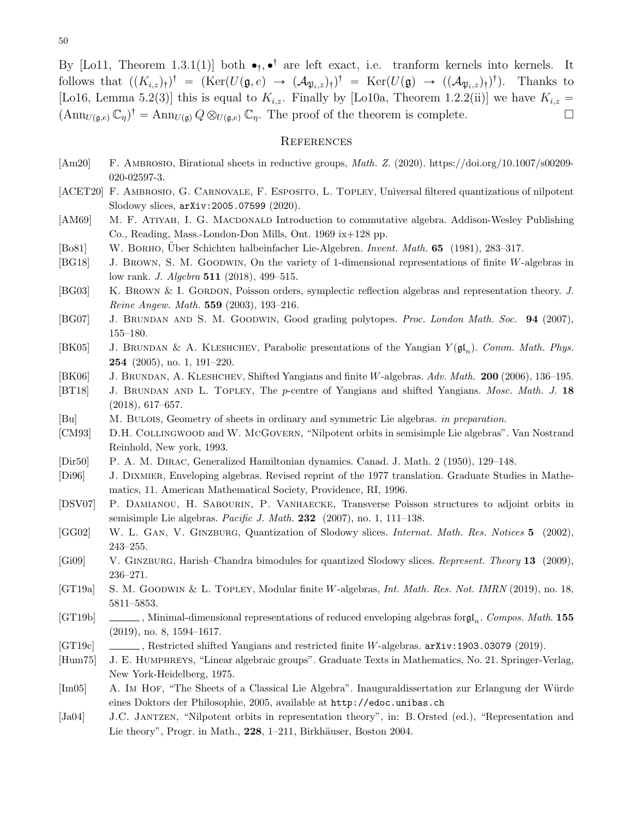By [\[Lo11,](#page-50-2) Theorem 1.3.1(1)] both  $\bullet_{\dagger}$ ,  $\bullet^{\dagger}$  are left exact, i.e. tranform kernels into kernels. It follows that  $((K_{i,z})_!)^{\dagger} = (\text{Ker}(U(\mathfrak{g}, e) \rightarrow (\mathcal{A}_{\mathfrak{P}_i,z})_!)^{\dagger} = \text{Ker}(U(\mathfrak{g}) \rightarrow ((\mathcal{A}_{\mathfrak{P}_i,z})_!)^{\dagger}).$  Thanks to [\[Lo16,](#page-50-9) Lemma 5.2(3)] this is equal to  $K_{i,z}$ . Finally by [\[Lo10a,](#page-50-1) Theorem 1.2.2(ii)] we have  $K_{i,z}$  =  $(\text{Ann}_{U(\mathfrak{g},e)}\mathbb{C}_\eta)^\dagger = \text{Ann}_{U(\mathfrak{g})}Q \otimes_{U(\mathfrak{g},e)} \mathbb{C}_\eta$ . The proof of the theorem is complete.

#### <span id="page-49-4"></span>**REFERENCES**

- <span id="page-49-21"></span>[Am20] F. Ambrosio, Birational sheets in reductive groups, Math. Z. (2020). https://doi.org/10.1007/s00209- 020-02597-3.
- <span id="page-49-2"></span>[ACET20] F. AMBROSIO, G. CARNOVALE, F. ESPOSITO, L. TOPLEY, Universal filtered quantizations of nilpotent Slodowy slices, arXiv:2005.07599 (2020).
- <span id="page-49-15"></span>[AM69] M. F. ATIYAH, I. G. MACDONALD Introduction to commutative algebra. Addison-Wesley Publishing Co., Reading, Mass.-London-Don Mills, Ont. 1969 ix+128 pp.
- <span id="page-49-17"></span>[Bo81] W. BORHO, Uber Schichten halbeinfacher Lie-Algebren. Invent. Math. 65 (1981), 283–317.
- <span id="page-49-1"></span>[BG18] J. Brown, S. M. Goodwin, On the variety of 1-dimensional representations of finite W-algebras in low rank. J. Algebra 511 (2018), 499–515.
- <span id="page-49-16"></span>[BG03] K. BROWN & I. GORDON, Poisson orders, symplectic reflection algebras and representation theory. J. Reine Angew. Math. 559 (2003), 193–216.
- <span id="page-49-12"></span>[BG07] J. BRUNDAN AND S. M. GOODWIN, Good grading polytopes. Proc. London Math. Soc. 94 (2007), 155–180.
- <span id="page-49-9"></span>[BK05] J. BRUNDAN & A. KLESHCHEV, Parabolic presentations of the Yangian  $Y(\mathfrak{gl}_n)$ . Comm. Math. Phys. 254 (2005), no. 1, 191–220.
- <span id="page-49-8"></span>[BK06] J. BRUNDAN, A. KLESHCHEV, Shifted Yangians and finite W-algebras. Adv. Math. 200 (2006), 136–195.
- <span id="page-49-10"></span>[BT18] J. BRUNDAN AND L. TOPLEY, The p-centre of Yangians and shifted Yangians. Mosc. Math. J. 18 (2018), 617–657.
- <span id="page-49-3"></span>[Bu] M. BULOIS, Geometry of sheets in ordinary and symmetric Lie algebras. in preparation.
- <span id="page-49-11"></span>[CM93] D.H. Collingwood and W. McGovern, "Nilpotent orbits in semisimple Lie algebras". Van Nostrand Reinhold, New york, 1993.
- <span id="page-49-5"></span>[Dir50] P. A. M. Dirac, Generalized Hamiltonian dynamics. Canad. J. Math. 2 (1950), 129–148.
- <span id="page-49-23"></span>[Di96] J. Dixmier, Enveloping algebras. Revised reprint of the 1977 translation. Graduate Studies in Mathematics, 11. American Mathematical Society, Providence, RI, 1996.
- <span id="page-49-20"></span>[DSV07] P. Damianou, H. Sabourin, P. Vanhaecke, Transverse Poisson structures to adjoint orbits in semisimple Lie algebras. Pacific J. Math.  $232$  (2007), no. 1, 111–138.
- <span id="page-49-6"></span>[GG02] W. L. GAN, V. GINZBURG, Quantization of Slodowy slices. Internat. Math. Res. Notices 5 (2002), 243–255.
- <span id="page-49-22"></span>[Gi09] V. Ginzburg, Harish–Chandra bimodules for quantized Slodowy slices. Represent. Theory 13 (2009), 236–271.
- <span id="page-49-19"></span>[GT19a] S. M. GOODWIN & L. TOPLEY, Modular finite W-algebras, *Int. Math. Res. Not. IMRN* (2019), no. 18, 5811–5853.
- <span id="page-49-14"></span>[GT19b] , Minimal-dimensional representations of reduced enveloping algebras for  $\mathfrak{gl}_n$ . Compos. Math. 155 (2019), no. 8, 1594–1617.
- <span id="page-49-13"></span>[GT19c] , Restricted shifted Yangians and restricted finite W-algebras. arXiv:1903.03079 (2019).
- <span id="page-49-7"></span>[Hum75] J. E. Humphreys, "Linear algebraic groups". Graduate Texts in Mathematics, No. 21. Springer-Verlag, New York-Heidelberg, 1975.
- <span id="page-49-18"></span>[Im05] A. Im Hof, "The Sheets of a Classical Lie Algebra". Inauguraldissertation zur Erlangung der W¨urde eines Doktors der Philosophie, 2005, available at http://edoc.unibas.ch
- <span id="page-49-0"></span>[Ja04] J.C. Jantzen, "Nilpotent orbits in representation theory", in: B. Orsted (ed.), "Representation and Lie theory", Progr. in Math., 228, 1–211, Birkhäuser, Boston 2004.